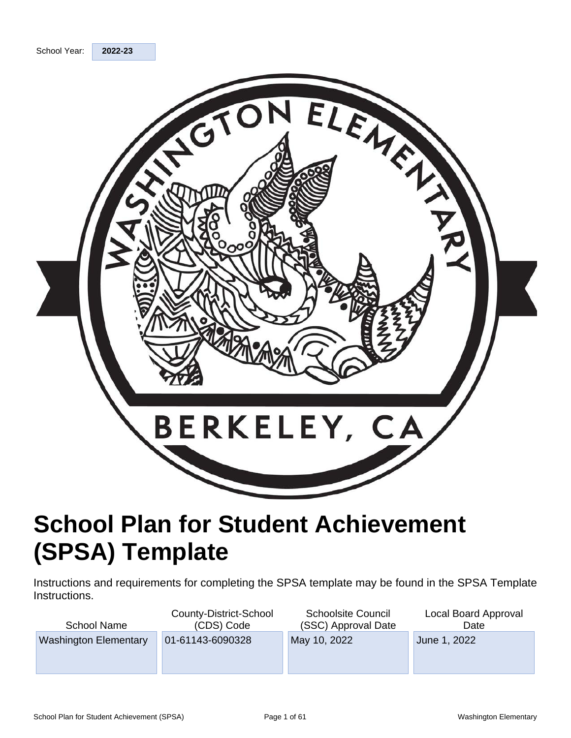

# **School Plan for Student Achievement (SPSA) Template**

Instructions and requirements for completing the SPSA template may be found in the SPSA Template Instructions.

| School Name                  | County-District-School<br>(CDS) Code | <b>Schoolsite Council</b><br>(SSC) Approval Date | Local Board Approval<br>Date |
|------------------------------|--------------------------------------|--------------------------------------------------|------------------------------|
| <b>Washington Elementary</b> | 01-61143-6090328                     | May 10, 2022                                     | June 1, 2022                 |
|                              |                                      |                                                  |                              |
|                              |                                      |                                                  |                              |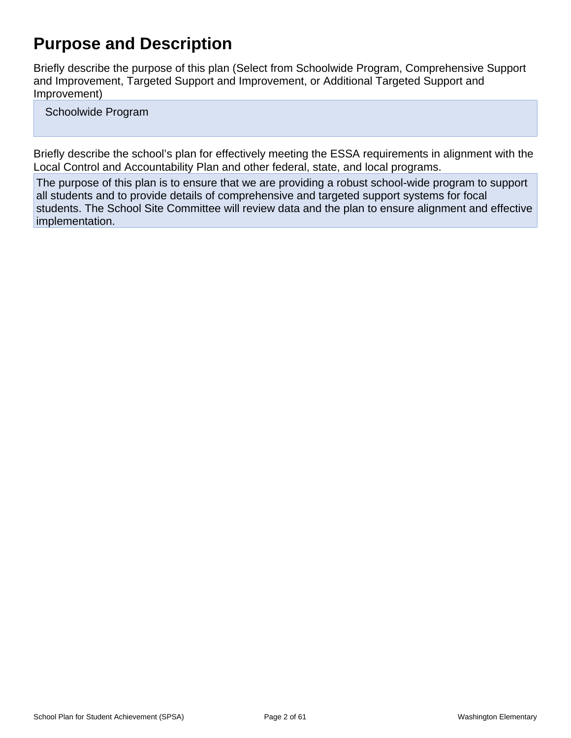# **Purpose and Description**

Briefly describe the purpose of this plan (Select from Schoolwide Program, Comprehensive Support and Improvement, Targeted Support and Improvement, or Additional Targeted Support and Improvement)

Schoolwide Program

Briefly describe the school's plan for effectively meeting the ESSA requirements in alignment with the Local Control and Accountability Plan and other federal, state, and local programs.

The purpose of this plan is to ensure that we are providing a robust school-wide program to support all students and to provide details of comprehensive and targeted support systems for focal students. The School Site Committee will review data and the plan to ensure alignment and effective implementation.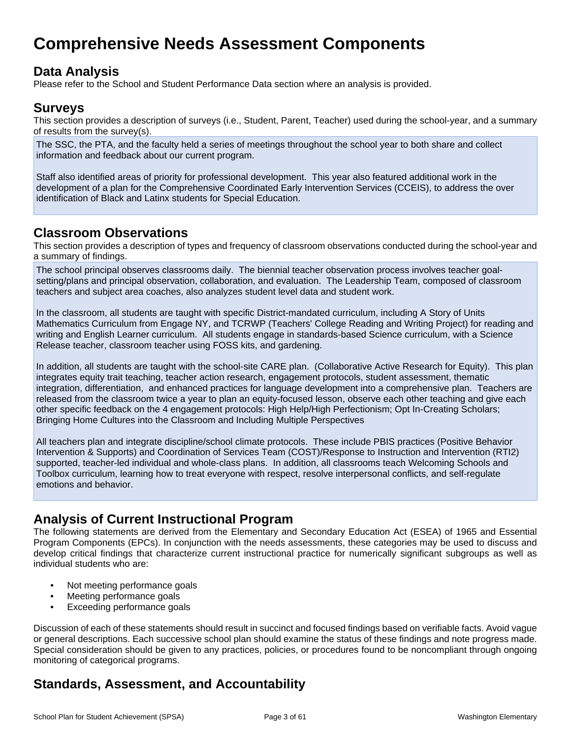# **Comprehensive Needs Assessment Components**

## **Data Analysis**

Please refer to the School and Student Performance Data section where an analysis is provided.

## **Surveys**

This section provides a description of surveys (i.e., Student, Parent, Teacher) used during the school-year, and a summary of results from the survey(s).

The SSC, the PTA, and the faculty held a series of meetings throughout the school year to both share and collect information and feedback about our current program.

Staff also identified areas of priority for professional development. This year also featured additional work in the development of a plan for the Comprehensive Coordinated Early Intervention Services (CCEIS), to address the over identification of Black and Latinx students for Special Education.

## **Classroom Observations**

This section provides a description of types and frequency of classroom observations conducted during the school-year and a summary of findings.

The school principal observes classrooms daily. The biennial teacher observation process involves teacher goalsetting/plans and principal observation, collaboration, and evaluation. The Leadership Team, composed of classroom teachers and subject area coaches, also analyzes student level data and student work.

In the classroom, all students are taught with specific District-mandated curriculum, including A Story of Units Mathematics Curriculum from Engage NY, and TCRWP (Teachers' College Reading and Writing Project) for reading and writing and English Learner curriculum. All students engage in standards-based Science curriculum, with a Science Release teacher, classroom teacher using FOSS kits, and gardening.

In addition, all students are taught with the school-site CARE plan. (Collaborative Active Research for Equity). This plan integrates equity trait teaching, teacher action research, engagement protocols, student assessment, thematic integration, differentiation, and enhanced practices for language development into a comprehensive plan. Teachers are released from the classroom twice a year to plan an equity-focused lesson, observe each other teaching and give each other specific feedback on the 4 engagement protocols: High Help/High Perfectionism; Opt In-Creating Scholars; Bringing Home Cultures into the Classroom and Including Multiple Perspectives

All teachers plan and integrate discipline/school climate protocols. These include PBIS practices (Positive Behavior Intervention & Supports) and Coordination of Services Team (COST)/Response to Instruction and Intervention (RTI2) supported, teacher-led individual and whole-class plans. In addition, all classrooms teach Welcoming Schools and Toolbox curriculum, learning how to treat everyone with respect, resolve interpersonal conflicts, and self-regulate emotions and behavior.

## **Analysis of Current Instructional Program**

The following statements are derived from the Elementary and Secondary Education Act (ESEA) of 1965 and Essential Program Components (EPCs). In conjunction with the needs assessments, these categories may be used to discuss and develop critical findings that characterize current instructional practice for numerically significant subgroups as well as individual students who are:

- Not meeting performance goals
- Meeting performance goals
- Exceeding performance goals

Discussion of each of these statements should result in succinct and focused findings based on verifiable facts. Avoid vague or general descriptions. Each successive school plan should examine the status of these findings and note progress made. Special consideration should be given to any practices, policies, or procedures found to be noncompliant through ongoing monitoring of categorical programs.

## **Standards, Assessment, and Accountability**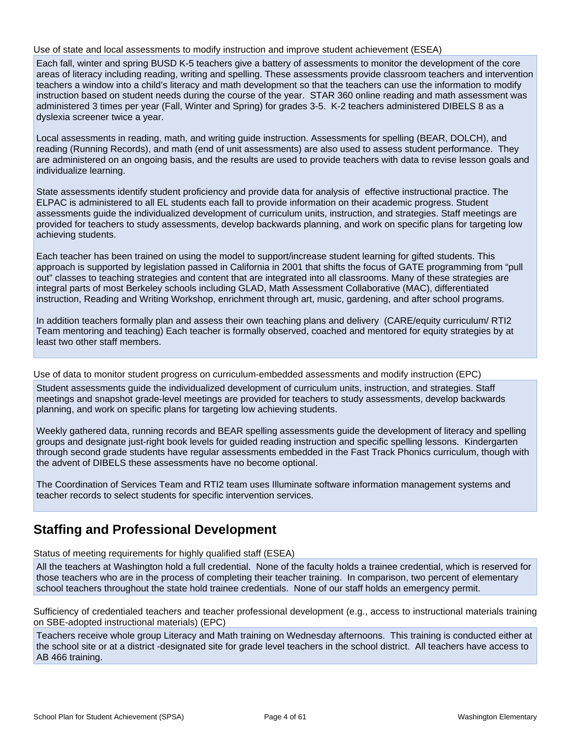#### Use of state and local assessments to modify instruction and improve student achievement (ESEA)

Each fall, winter and spring BUSD K-5 teachers give a battery of assessments to monitor the development of the core areas of literacy including reading, writing and spelling. These assessments provide classroom teachers and intervention teachers a window into a child's literacy and math development so that the teachers can use the information to modify instruction based on student needs during the course of the year. STAR 360 online reading and math assessment was administered 3 times per year (Fall, Winter and Spring) for grades 3-5. K-2 teachers administered DIBELS 8 as a dyslexia screener twice a year.

Local assessments in reading, math, and writing guide instruction. Assessments for spelling (BEAR, DOLCH), and reading (Running Records), and math (end of unit assessments) are also used to assess student performance. They are administered on an ongoing basis, and the results are used to provide teachers with data to revise lesson goals and individualize learning.

State assessments identify student proficiency and provide data for analysis of effective instructional practice. The ELPAC is administered to all EL students each fall to provide information on their academic progress. Student assessments guide the individualized development of curriculum units, instruction, and strategies. Staff meetings are provided for teachers to study assessments, develop backwards planning, and work on specific plans for targeting low achieving students.

Each teacher has been trained on using the model to support/increase student learning for gifted students. This approach is supported by legislation passed in California in 2001 that shifts the focus of GATE programming from "pull out" classes to teaching strategies and content that are integrated into all classrooms. Many of these strategies are integral parts of most Berkeley schools including GLAD, Math Assessment Collaborative (MAC), differentiated instruction, Reading and Writing Workshop, enrichment through art, music, gardening, and after school programs.

In addition teachers formally plan and assess their own teaching plans and delivery (CARE/equity curriculum/ RTI2 Team mentoring and teaching) Each teacher is formally observed, coached and mentored for equity strategies by at least two other staff members.

Use of data to monitor student progress on curriculum-embedded assessments and modify instruction (EPC)

Student assessments guide the individualized development of curriculum units, instruction, and strategies. Staff meetings and snapshot grade-level meetings are provided for teachers to study assessments, develop backwards planning, and work on specific plans for targeting low achieving students.

Weekly gathered data, running records and BEAR spelling assessments guide the development of literacy and spelling groups and designate just-right book levels for guided reading instruction and specific spelling lessons. Kindergarten through second grade students have regular assessments embedded in the Fast Track Phonics curriculum, though with the advent of DIBELS these assessments have no become optional.

The Coordination of Services Team and RTI2 team uses Illuminate software information management systems and teacher records to select students for specific intervention services.

## **Staffing and Professional Development**

Status of meeting requirements for highly qualified staff (ESEA)

All the teachers at Washington hold a full credential. None of the faculty holds a trainee credential, which is reserved for those teachers who are in the process of completing their teacher training. In comparison, two percent of elementary school teachers throughout the state hold trainee credentials. None of our staff holds an emergency permit.

Sufficiency of credentialed teachers and teacher professional development (e.g., access to instructional materials training on SBE-adopted instructional materials) (EPC)

Teachers receive whole group Literacy and Math training on Wednesday afternoons. This training is conducted either at the school site or at a district -designated site for grade level teachers in the school district. All teachers have access to AB 466 training.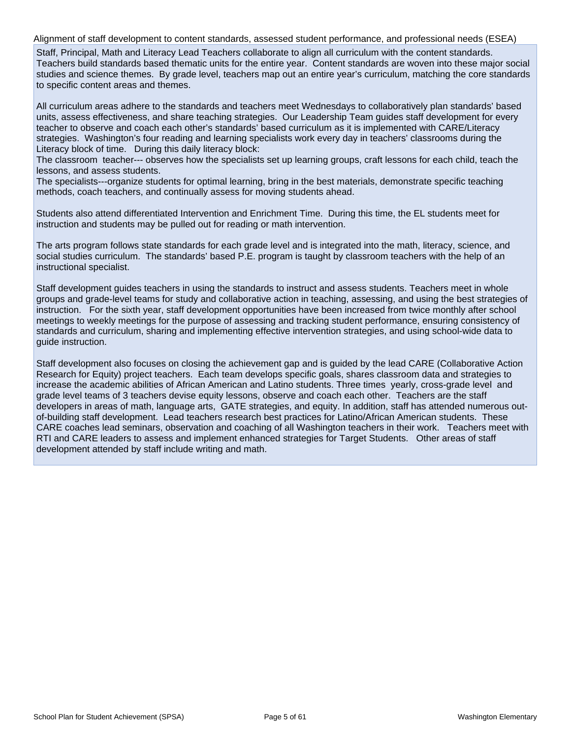Alignment of staff development to content standards, assessed student performance, and professional needs (ESEA)

Staff, Principal, Math and Literacy Lead Teachers collaborate to align all curriculum with the content standards. Teachers build standards based thematic units for the entire year. Content standards are woven into these major social studies and science themes. By grade level, teachers map out an entire year's curriculum, matching the core standards to specific content areas and themes.

All curriculum areas adhere to the standards and teachers meet Wednesdays to collaboratively plan standards' based units, assess effectiveness, and share teaching strategies. Our Leadership Team guides staff development for every teacher to observe and coach each other's standards' based curriculum as it is implemented with CARE/Literacy strategies. Washington's four reading and learning specialists work every day in teachers' classrooms during the Literacy block of time. During this daily literacy block:

The classroom teacher--- observes how the specialists set up learning groups, craft lessons for each child, teach the lessons, and assess students.

The specialists---organize students for optimal learning, bring in the best materials, demonstrate specific teaching methods, coach teachers, and continually assess for moving students ahead.

Students also attend differentiated Intervention and Enrichment Time. During this time, the EL students meet for instruction and students may be pulled out for reading or math intervention.

The arts program follows state standards for each grade level and is integrated into the math, literacy, science, and social studies curriculum. The standards' based P.E. program is taught by classroom teachers with the help of an instructional specialist.

Staff development guides teachers in using the standards to instruct and assess students. Teachers meet in whole groups and grade-level teams for study and collaborative action in teaching, assessing, and using the best strategies of instruction. For the sixth year, staff development opportunities have been increased from twice monthly after school meetings to weekly meetings for the purpose of assessing and tracking student performance, ensuring consistency of standards and curriculum, sharing and implementing effective intervention strategies, and using school-wide data to guide instruction.

Staff development also focuses on closing the achievement gap and is guided by the lead CARE (Collaborative Action Research for Equity) project teachers. Each team develops specific goals, shares classroom data and strategies to increase the academic abilities of African American and Latino students. Three times yearly, cross-grade level and grade level teams of 3 teachers devise equity lessons, observe and coach each other. Teachers are the staff developers in areas of math, language arts, GATE strategies, and equity. In addition, staff has attended numerous outof-building staff development. Lead teachers research best practices for Latino/African American students. These CARE coaches lead seminars, observation and coaching of all Washington teachers in their work. Teachers meet with RTI and CARE leaders to assess and implement enhanced strategies for Target Students. Other areas of staff development attended by staff include writing and math.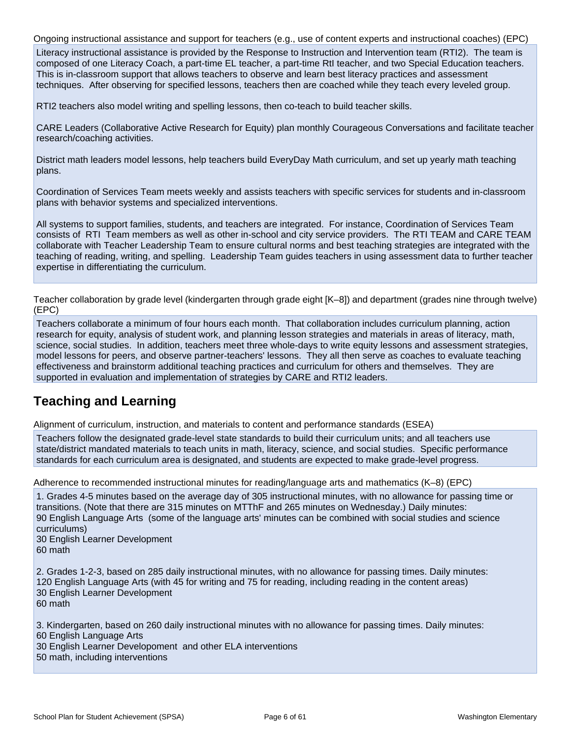Ongoing instructional assistance and support for teachers (e.g., use of content experts and instructional coaches) (EPC) Literacy instructional assistance is provided by the Response to Instruction and Intervention team (RTI2). The team is composed of one Literacy Coach, a part-time EL teacher, a part-time RtI teacher, and two Special Education teachers. This is in-classroom support that allows teachers to observe and learn best literacy practices and assessment techniques. After observing for specified lessons, teachers then are coached while they teach every leveled group.

RTI2 teachers also model writing and spelling lessons, then co-teach to build teacher skills.

CARE Leaders (Collaborative Active Research for Equity) plan monthly Courageous Conversations and facilitate teacher research/coaching activities.

District math leaders model lessons, help teachers build EveryDay Math curriculum, and set up yearly math teaching plans.

Coordination of Services Team meets weekly and assists teachers with specific services for students and in-classroom plans with behavior systems and specialized interventions.

All systems to support families, students, and teachers are integrated. For instance, Coordination of Services Team consists of RTI Team members as well as other in-school and city service providers. The RTI TEAM and CARE TEAM collaborate with Teacher Leadership Team to ensure cultural norms and best teaching strategies are integrated with the teaching of reading, writing, and spelling. Leadership Team guides teachers in using assessment data to further teacher expertise in differentiating the curriculum.

Teacher collaboration by grade level (kindergarten through grade eight [K–8]) and department (grades nine through twelve) (EPC)

Teachers collaborate a minimum of four hours each month. That collaboration includes curriculum planning, action research for equity, analysis of student work, and planning lesson strategies and materials in areas of literacy, math, science, social studies. In addition, teachers meet three whole-days to write equity lessons and assessment strategies, model lessons for peers, and observe partner-teachers' lessons. They all then serve as coaches to evaluate teaching effectiveness and brainstorm additional teaching practices and curriculum for others and themselves. They are supported in evaluation and implementation of strategies by CARE and RTI2 leaders.

## **Teaching and Learning**

Alignment of curriculum, instruction, and materials to content and performance standards (ESEA)

Teachers follow the designated grade-level state standards to build their curriculum units; and all teachers use state/district mandated materials to teach units in math, literacy, science, and social studies. Specific performance standards for each curriculum area is designated, and students are expected to make grade-level progress.

Adherence to recommended instructional minutes for reading/language arts and mathematics (K–8) (EPC)

1. Grades 4-5 minutes based on the average day of 305 instructional minutes, with no allowance for passing time or transitions. (Note that there are 315 minutes on MTThF and 265 minutes on Wednesday.) Daily minutes: 90 English Language Arts (some of the language arts' minutes can be combined with social studies and science curriculums)

30 English Learner Development 60 math

2. Grades 1-2-3, based on 285 daily instructional minutes, with no allowance for passing times. Daily minutes: 120 English Language Arts (with 45 for writing and 75 for reading, including reading in the content areas) 30 English Learner Development 60 math

3. Kindergarten, based on 260 daily instructional minutes with no allowance for passing times. Daily minutes: 60 English Language Arts 30 English Learner Developoment and other ELA interventions

50 math, including interventions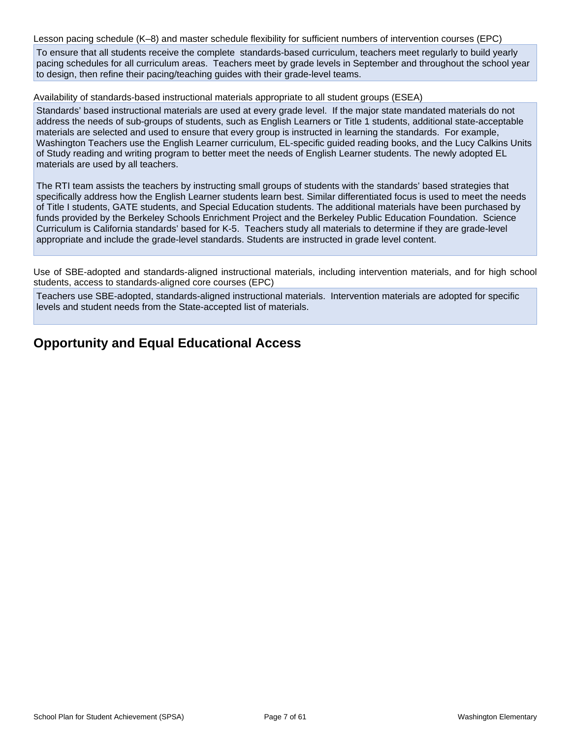Lesson pacing schedule (K–8) and master schedule flexibility for sufficient numbers of intervention courses (EPC)

To ensure that all students receive the complete standards-based curriculum, teachers meet regularly to build yearly pacing schedules for all curriculum areas. Teachers meet by grade levels in September and throughout the school year to design, then refine their pacing/teaching guides with their grade-level teams.

Availability of standards-based instructional materials appropriate to all student groups (ESEA)

Standards' based instructional materials are used at every grade level. If the major state mandated materials do not address the needs of sub-groups of students, such as English Learners or Title 1 students, additional state-acceptable materials are selected and used to ensure that every group is instructed in learning the standards. For example, Washington Teachers use the English Learner curriculum, EL-specific guided reading books, and the Lucy Calkins Units of Study reading and writing program to better meet the needs of English Learner students. The newly adopted EL materials are used by all teachers.

The RTI team assists the teachers by instructing small groups of students with the standards' based strategies that specifically address how the English Learner students learn best. Similar differentiated focus is used to meet the needs of Title I students, GATE students, and Special Education students. The additional materials have been purchased by funds provided by the Berkeley Schools Enrichment Project and the Berkeley Public Education Foundation. Science Curriculum is California standards' based for K-5. Teachers study all materials to determine if they are grade-level appropriate and include the grade-level standards. Students are instructed in grade level content.

Use of SBE-adopted and standards-aligned instructional materials, including intervention materials, and for high school students, access to standards-aligned core courses (EPC)

Teachers use SBE-adopted, standards-aligned instructional materials. Intervention materials are adopted for specific levels and student needs from the State-accepted list of materials.

## **Opportunity and Equal Educational Access**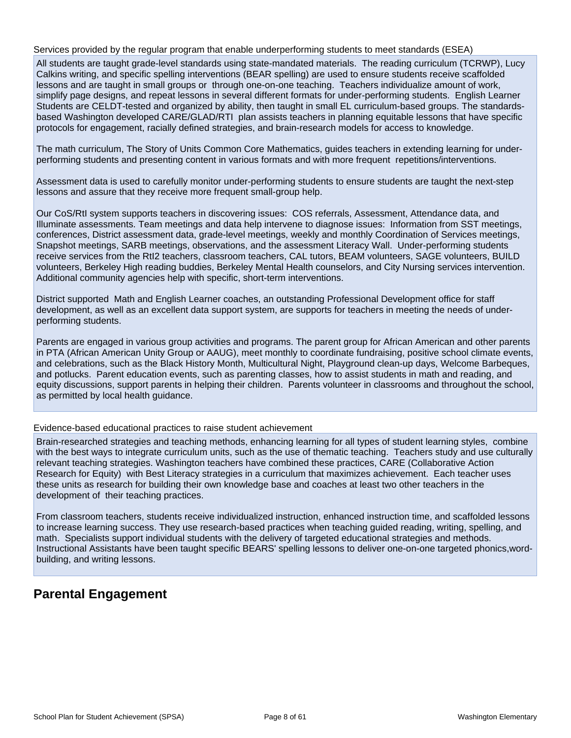Services provided by the regular program that enable underperforming students to meet standards (ESEA)

All students are taught grade-level standards using state-mandated materials. The reading curriculum (TCRWP), Lucy Calkins writing, and specific spelling interventions (BEAR spelling) are used to ensure students receive scaffolded lessons and are taught in small groups or through one-on-one teaching. Teachers individualize amount of work, simplify page designs, and repeat lessons in several different formats for under-performing students. English Learner Students are CELDT-tested and organized by ability, then taught in small EL curriculum-based groups. The standardsbased Washington developed CARE/GLAD/RTI plan assists teachers in planning equitable lessons that have specific protocols for engagement, racially defined strategies, and brain-research models for access to knowledge.

The math curriculum, The Story of Units Common Core Mathematics, guides teachers in extending learning for underperforming students and presenting content in various formats and with more frequent repetitions/interventions.

Assessment data is used to carefully monitor under-performing students to ensure students are taught the next-step lessons and assure that they receive more frequent small-group help.

Our CoS/RtI system supports teachers in discovering issues: COS referrals, Assessment, Attendance data, and Illuminate assessments. Team meetings and data help intervene to diagnose issues: Information from SST meetings, conferences, District assessment data, grade-level meetings, weekly and monthly Coordination of Services meetings, Snapshot meetings, SARB meetings, observations, and the assessment Literacy Wall. Under-performing students receive services from the RtI2 teachers, classroom teachers, CAL tutors, BEAM volunteers, SAGE volunteers, BUILD volunteers, Berkeley High reading buddies, Berkeley Mental Health counselors, and City Nursing services intervention. Additional community agencies help with specific, short-term interventions.

District supported Math and English Learner coaches, an outstanding Professional Development office for staff development, as well as an excellent data support system, are supports for teachers in meeting the needs of underperforming students.

Parents are engaged in various group activities and programs. The parent group for African American and other parents in PTA (African American Unity Group or AAUG), meet monthly to coordinate fundraising, positive school climate events, and celebrations, such as the Black History Month, Multicultural Night, Playground clean-up days, Welcome Barbeques, and potlucks. Parent education events, such as parenting classes, how to assist students in math and reading, and equity discussions, support parents in helping their children. Parents volunteer in classrooms and throughout the school, as permitted by local health guidance.

Evidence-based educational practices to raise student achievement

Brain-researched strategies and teaching methods, enhancing learning for all types of student learning styles, combine with the best ways to integrate curriculum units, such as the use of thematic teaching. Teachers study and use culturally relevant teaching strategies. Washington teachers have combined these practices, CARE (Collaborative Action Research for Equity) with Best Literacy strategies in a curriculum that maximizes achievement. Each teacher uses these units as research for building their own knowledge base and coaches at least two other teachers in the development of their teaching practices.

From classroom teachers, students receive individualized instruction, enhanced instruction time, and scaffolded lessons to increase learning success. They use research-based practices when teaching guided reading, writing, spelling, and math. Specialists support individual students with the delivery of targeted educational strategies and methods. Instructional Assistants have been taught specific BEARS' spelling lessons to deliver one-on-one targeted phonics,wordbuilding, and writing lessons.

## **Parental Engagement**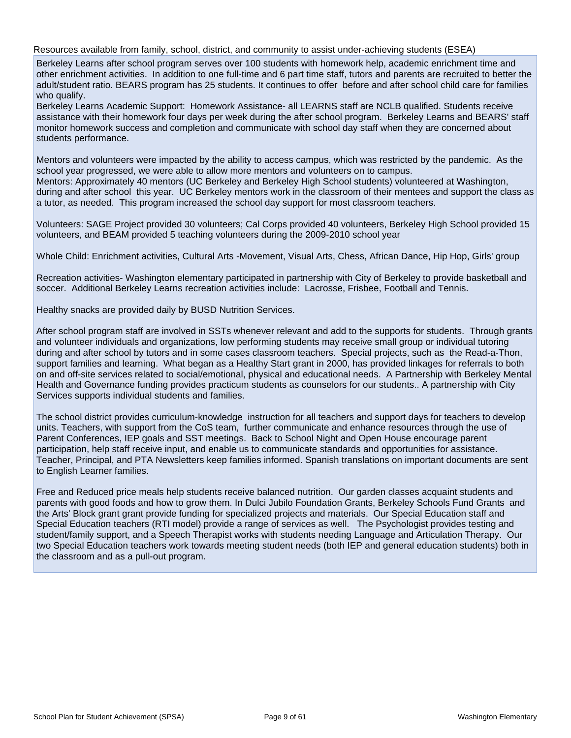Resources available from family, school, district, and community to assist under-achieving students (ESEA)

Berkeley Learns after school program serves over 100 students with homework help, academic enrichment time and other enrichment activities. In addition to one full-time and 6 part time staff, tutors and parents are recruited to better the adult/student ratio. BEARS program has 25 students. It continues to offer before and after school child care for families who qualify.

Berkeley Learns Academic Support: Homework Assistance- all LEARNS staff are NCLB qualified. Students receive assistance with their homework four days per week during the after school program. Berkeley Learns and BEARS' staff monitor homework success and completion and communicate with school day staff when they are concerned about students performance.

Mentors and volunteers were impacted by the ability to access campus, which was restricted by the pandemic. As the school year progressed, we were able to allow more mentors and volunteers on to campus.

Mentors: Approximately 40 mentors (UC Berkeley and Berkeley High School students) volunteered at Washington, during and after school this year. UC Berkeley mentors work in the classroom of their mentees and support the class as a tutor, as needed. This program increased the school day support for most classroom teachers.

Volunteers: SAGE Project provided 30 volunteers; Cal Corps provided 40 volunteers, Berkeley High School provided 15 volunteers, and BEAM provided 5 teaching volunteers during the 2009-2010 school year

Whole Child: Enrichment activities, Cultural Arts -Movement, Visual Arts, Chess, African Dance, Hip Hop, Girls' group

Recreation activities- Washington elementary participated in partnership with City of Berkeley to provide basketball and soccer. Additional Berkeley Learns recreation activities include: Lacrosse, Frisbee, Football and Tennis.

Healthy snacks are provided daily by BUSD Nutrition Services.

After school program staff are involved in SSTs whenever relevant and add to the supports for students. Through grants and volunteer individuals and organizations, low performing students may receive small group or individual tutoring during and after school by tutors and in some cases classroom teachers. Special projects, such as the Read-a-Thon, support families and learning. What began as a Healthy Start grant in 2000, has provided linkages for referrals to both on and off-site services related to social/emotional, physical and educational needs. A Partnership with Berkeley Mental Health and Governance funding provides practicum students as counselors for our students.. A partnership with City Services supports individual students and families.

The school district provides curriculum-knowledge instruction for all teachers and support days for teachers to develop units. Teachers, with support from the CoS team, further communicate and enhance resources through the use of Parent Conferences, IEP goals and SST meetings. Back to School Night and Open House encourage parent participation, help staff receive input, and enable us to communicate standards and opportunities for assistance. Teacher, Principal, and PTA Newsletters keep families informed. Spanish translations on important documents are sent to English Learner families.

Free and Reduced price meals help students receive balanced nutrition. Our garden classes acquaint students and parents with good foods and how to grow them. In Dulci Jubilo Foundation Grants, Berkeley Schools Fund Grants and the Arts' Block grant grant provide funding for specialized projects and materials. Our Special Education staff and Special Education teachers (RTI model) provide a range of services as well. The Psychologist provides testing and student/family support, and a Speech Therapist works with students needing Language and Articulation Therapy. Our two Special Education teachers work towards meeting student needs (both IEP and general education students) both in the classroom and as a pull-out program.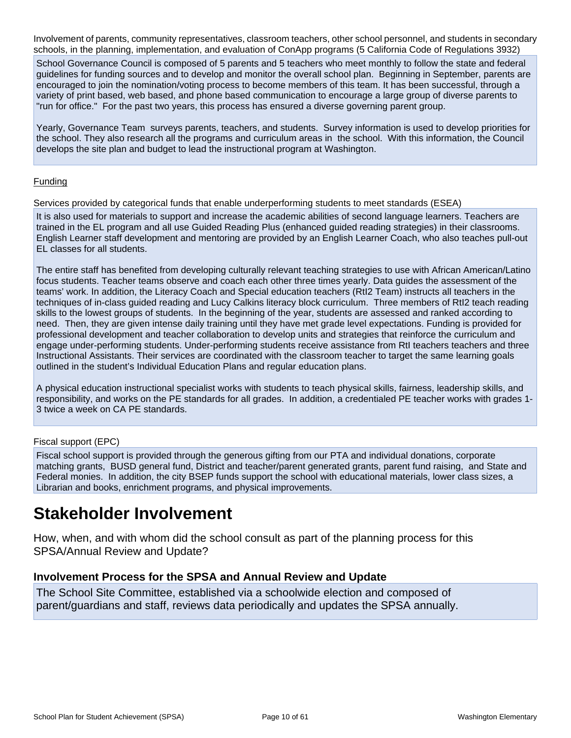Involvement of parents, community representatives, classroom teachers, other school personnel, and students in secondary schools, in the planning, implementation, and evaluation of ConApp programs (5 California Code of Regulations 3932)

School Governance Council is composed of 5 parents and 5 teachers who meet monthly to follow the state and federal guidelines for funding sources and to develop and monitor the overall school plan. Beginning in September, parents are encouraged to join the nomination/voting process to become members of this team. It has been successful, through a variety of print based, web based, and phone based communication to encourage a large group of diverse parents to "run for office." For the past two years, this process has ensured a diverse governing parent group.

Yearly, Governance Team surveys parents, teachers, and students. Survey information is used to develop priorities for the school. They also research all the programs and curriculum areas in the school. With this information, the Council develops the site plan and budget to lead the instructional program at Washington.

#### Funding

Services provided by categorical funds that enable underperforming students to meet standards (ESEA)

It is also used for materials to support and increase the academic abilities of second language learners. Teachers are trained in the EL program and all use Guided Reading Plus (enhanced guided reading strategies) in their classrooms. English Learner staff development and mentoring are provided by an English Learner Coach, who also teaches pull-out EL classes for all students.

The entire staff has benefited from developing culturally relevant teaching strategies to use with African American/Latino focus students. Teacher teams observe and coach each other three times yearly. Data guides the assessment of the teams' work. In addition, the Literacy Coach and Special education teachers (RtI2 Team) instructs all teachers in the techniques of in-class guided reading and Lucy Calkins literacy block curriculum. Three members of RtI2 teach reading skills to the lowest groups of students. In the beginning of the year, students are assessed and ranked according to need. Then, they are given intense daily training until they have met grade level expectations. Funding is provided for professional development and teacher collaboration to develop units and strategies that reinforce the curriculum and engage under-performing students. Under-performing students receive assistance from RtI teachers teachers and three Instructional Assistants. Their services are coordinated with the classroom teacher to target the same learning goals outlined in the student's Individual Education Plans and regular education plans.

A physical education instructional specialist works with students to teach physical skills, fairness, leadership skills, and responsibility, and works on the PE standards for all grades. In addition, a credentialed PE teacher works with grades 1- 3 twice a week on CA PE standards.

#### Fiscal support (EPC)

Fiscal school support is provided through the generous gifting from our PTA and individual donations, corporate matching grants, BUSD general fund, District and teacher/parent generated grants, parent fund raising, and State and Federal monies. In addition, the city BSEP funds support the school with educational materials, lower class sizes, a Librarian and books, enrichment programs, and physical improvements.

# **Stakeholder Involvement**

How, when, and with whom did the school consult as part of the planning process for this SPSA/Annual Review and Update?

#### **Involvement Process for the SPSA and Annual Review and Update**

The School Site Committee, established via a schoolwide election and composed of parent/guardians and staff, reviews data periodically and updates the SPSA annually.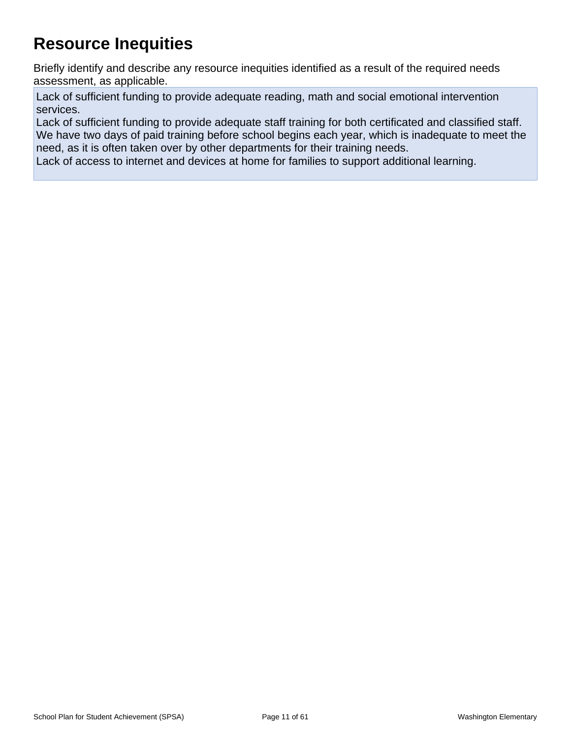# **Resource Inequities**

Briefly identify and describe any resource inequities identified as a result of the required needs assessment, as applicable.

Lack of sufficient funding to provide adequate reading, math and social emotional intervention services.

Lack of sufficient funding to provide adequate staff training for both certificated and classified staff. We have two days of paid training before school begins each year, which is inadequate to meet the need, as it is often taken over by other departments for their training needs.

Lack of access to internet and devices at home for families to support additional learning.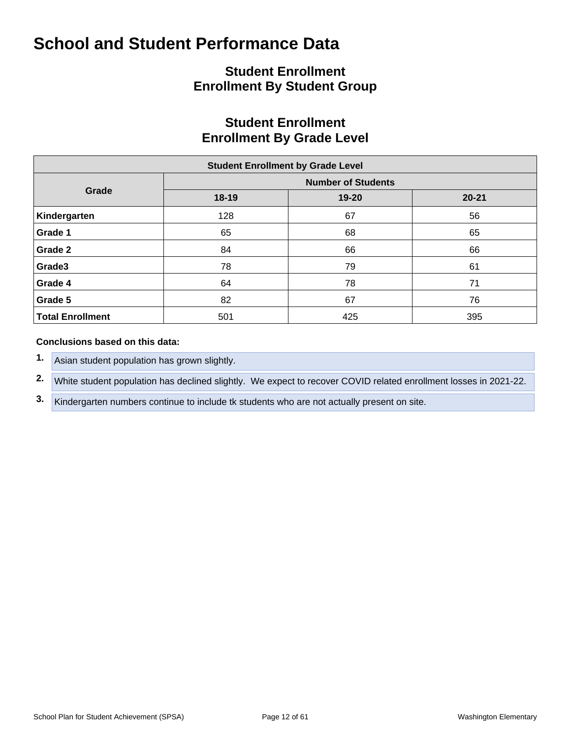## **Student Enrollment Enrollment By Student Group**

## **Student Enrollment Enrollment By Grade Level**

| <b>Student Enrollment by Grade Level</b> |       |                           |           |  |  |  |  |  |  |  |  |
|------------------------------------------|-------|---------------------------|-----------|--|--|--|--|--|--|--|--|
|                                          |       | <b>Number of Students</b> |           |  |  |  |  |  |  |  |  |
| Grade                                    | 18-19 | 19-20                     | $20 - 21$ |  |  |  |  |  |  |  |  |
| Kindergarten                             | 128   | 67                        | 56        |  |  |  |  |  |  |  |  |
| Grade 1                                  | 65    | 68                        | 65        |  |  |  |  |  |  |  |  |
| Grade 2                                  | 84    | 66                        | 66        |  |  |  |  |  |  |  |  |
| Grade3                                   | 78    | 79                        | 61        |  |  |  |  |  |  |  |  |
| Grade 4                                  | 64    | 78                        | 71        |  |  |  |  |  |  |  |  |
| Grade 5                                  | 82    | 67                        | 76        |  |  |  |  |  |  |  |  |
| <b>Total Enrollment</b>                  | 501   | 425                       | 395       |  |  |  |  |  |  |  |  |

#### **Conclusions based on this data:**

- **1.** Asian student population has grown slightly.
- **2.** White student population has declined slightly. We expect to recover COVID related enrollment losses in 2021-22.
- **3.** Kindergarten numbers continue to include tk students who are not actually present on site.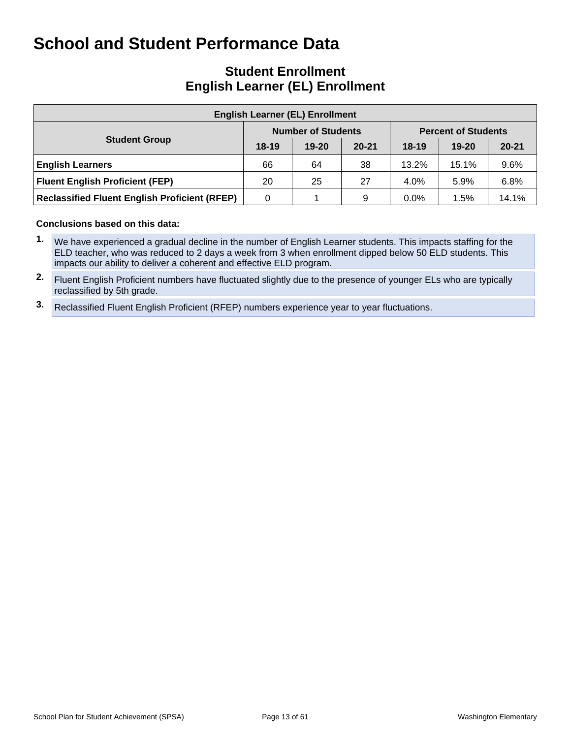## **Student Enrollment English Learner (EL) Enrollment**

| <b>English Learner (EL) Enrollment</b>               |         |                           |           |         |                            |           |  |  |  |  |  |  |
|------------------------------------------------------|---------|---------------------------|-----------|---------|----------------------------|-----------|--|--|--|--|--|--|
|                                                      |         | <b>Number of Students</b> |           |         | <b>Percent of Students</b> |           |  |  |  |  |  |  |
| <b>Student Group</b>                                 | $18-19$ | $19 - 20$                 | $20 - 21$ | $18-19$ | $19 - 20$                  | $20 - 21$ |  |  |  |  |  |  |
| <b>English Learners</b>                              | 66      | 64                        | 38        | 13.2%   | 15.1%                      | 9.6%      |  |  |  |  |  |  |
| <b>Fluent English Proficient (FEP)</b>               | 20      | 25                        | 27        | $4.0\%$ | 5.9%                       | 6.8%      |  |  |  |  |  |  |
| <b>Reclassified Fluent English Proficient (RFEP)</b> | 0       |                           | 9         | $0.0\%$ | 1.5%                       | 14.1%     |  |  |  |  |  |  |

#### **Conclusions based on this data:**

**1.** We have experienced a gradual decline in the number of English Learner students. This impacts staffing for the ELD teacher, who was reduced to 2 days a week from 3 when enrollment dipped below 50 ELD students. This impacts our ability to deliver a coherent and effective ELD program.

**2.** Fluent English Proficient numbers have fluctuated slightly due to the presence of younger ELs who are typically reclassified by 5th grade.

**3.** Reclassified Fluent English Proficient (RFEP) numbers experience year to year fluctuations.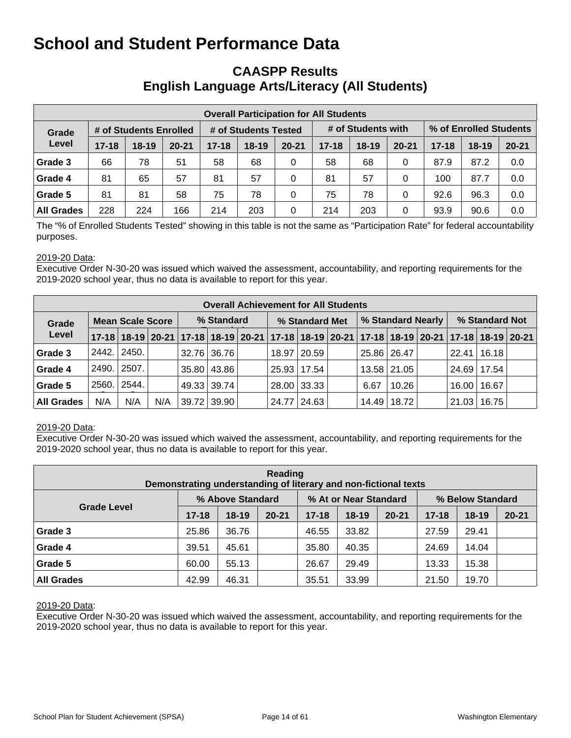## **CAASPP Results English Language Arts/Literacy (All Students)**

| <b>Overall Participation for All Students</b> |           |                        |           |           |                      |           |           |                    |           |           |                        |           |  |
|-----------------------------------------------|-----------|------------------------|-----------|-----------|----------------------|-----------|-----------|--------------------|-----------|-----------|------------------------|-----------|--|
| Grade                                         |           | # of Students Enrolled |           |           | # of Students Tested |           |           | # of Students with |           |           | % of Enrolled Students |           |  |
| Level                                         | $17 - 18$ | $18 - 19$              | $20 - 21$ | $17 - 18$ | $18 - 19$            | $20 - 21$ | $17 - 18$ | $18 - 19$          | $20 - 21$ | $17 - 18$ | $18-19$                | $20 - 21$ |  |
| Grade 3                                       | 66        | 78                     | 51        | 58        | 68                   | 0         | 58        | 68                 | 0         | 87.9      | 87.2                   | 0.0       |  |
| Grade 4                                       | 81        | 65                     | 57        | 81        | 57                   | 0         | 81        | 57                 | 0         | 100       | 87.7                   | 0.0       |  |
| Grade 5                                       | 81        | 81                     | 58        | 75        | 78                   | $\Omega$  | 75        | 78                 | 0         | 92.6      | 96.3                   | 0.0       |  |
| <b>All Grades</b>                             | 228       | 224                    | 166       | 214       | 203                  | 0         | 214       | 203                | 0         | 93.9      | 90.6                   | 0.0       |  |

The "% of Enrolled Students Tested" showing in this table is not the same as "Participation Rate" for federal accountability purposes.

#### 2019-20 Data:

Executive Order N-30-20 was issued which waived the assessment, accountability, and reporting requirements for the 2019-2020 school year, thus no data is available to report for this year.

|                   | <b>Overall Achievement for All Students</b> |                                                                                           |     |            |             |  |                |               |  |                   |                 |  |                |       |  |
|-------------------|---------------------------------------------|-------------------------------------------------------------------------------------------|-----|------------|-------------|--|----------------|---------------|--|-------------------|-----------------|--|----------------|-------|--|
| Grade             |                                             | <b>Mean Scale Score</b>                                                                   |     | % Standard |             |  | % Standard Met |               |  | % Standard Nearly |                 |  | % Standard Not |       |  |
| Level             |                                             | 17-18 18-19 20-21 17-18 18-19 20-21 17-18 18-19 20-21 17-18 18-19 20-21 17-18 18-19 20-21 |     |            |             |  |                |               |  |                   |                 |  |                |       |  |
| Grade 3           | 2442.                                       | 2450.                                                                                     |     |            | 32.76 36.76 |  |                | 18.97   20.59 |  |                   | 25.86 26.47     |  | 22.41          | 16.18 |  |
| Grade 4           | 2490.                                       | 2507.                                                                                     |     |            | 35.80 43.86 |  |                | 25.93   17.54 |  |                   | $13.58$   21.05 |  | 24.69          | 17.54 |  |
| Grade 5           | 2560.                                       | 2544.                                                                                     |     |            | 49.33 39.74 |  |                | 28.00 33.33   |  | 6.67              | 10.26           |  | 16.00          | 16.67 |  |
| <b>All Grades</b> | N/A                                         | N/A                                                                                       | N/A |            | 39.72 39.90 |  | 24.77          | 24.63         |  |                   | 14.49   18.72   |  | 21.03          | 16.75 |  |

#### 2019-20 Data:

Executive Order N-30-20 was issued which waived the assessment, accountability, and reporting requirements for the 2019-2020 school year, thus no data is available to report for this year.

| Reading<br>Demonstrating understanding of literary and non-fictional texts |           |                  |           |           |                       |           |                  |         |           |  |  |  |  |
|----------------------------------------------------------------------------|-----------|------------------|-----------|-----------|-----------------------|-----------|------------------|---------|-----------|--|--|--|--|
|                                                                            |           | % Above Standard |           |           | % At or Near Standard |           | % Below Standard |         |           |  |  |  |  |
| <b>Grade Level</b>                                                         | $17 - 18$ | $18 - 19$        | $20 - 21$ | $17 - 18$ | $18-19$               | $20 - 21$ | $17 - 18$        | $18-19$ | $20 - 21$ |  |  |  |  |
| Grade 3                                                                    | 25.86     | 36.76            |           | 46.55     | 33.82                 |           | 27.59            | 29.41   |           |  |  |  |  |
| Grade 4                                                                    | 39.51     | 45.61            |           | 35.80     | 40.35                 |           | 24.69            | 14.04   |           |  |  |  |  |
| Grade 5                                                                    | 60.00     | 55.13            |           | 26.67     | 29.49                 |           | 13.33            | 15.38   |           |  |  |  |  |
| <b>All Grades</b>                                                          | 42.99     | 46.31            |           | 35.51     | 33.99                 |           | 21.50            | 19.70   |           |  |  |  |  |

#### 2019-20 Data: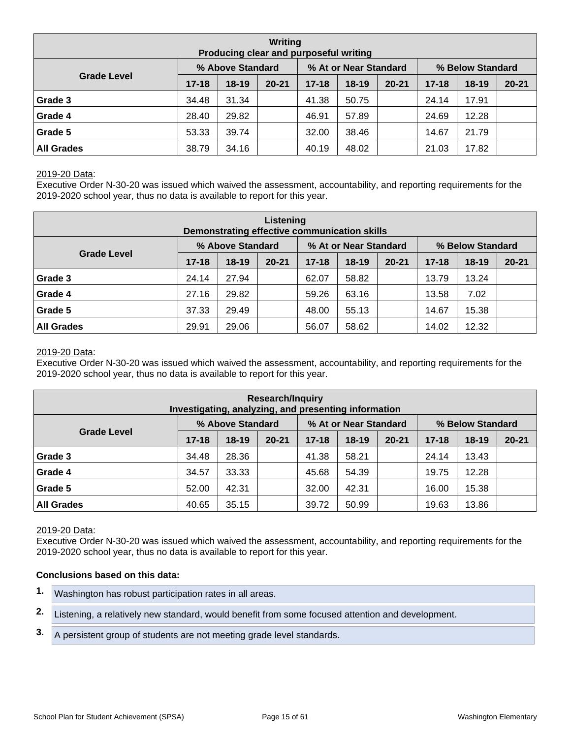| Writing<br>Producing clear and purposeful writing |           |                  |           |           |                       |           |                  |           |           |  |  |  |  |
|---------------------------------------------------|-----------|------------------|-----------|-----------|-----------------------|-----------|------------------|-----------|-----------|--|--|--|--|
|                                                   |           | % Above Standard |           |           | % At or Near Standard |           | % Below Standard |           |           |  |  |  |  |
| <b>Grade Level</b>                                | $17 - 18$ | $18-19$          | $20 - 21$ | $17 - 18$ | $18 - 19$             | $20 - 21$ | $17 - 18$        | $18 - 19$ | $20 - 21$ |  |  |  |  |
| Grade 3                                           | 34.48     | 31.34            |           | 41.38     | 50.75                 |           | 24.14            | 17.91     |           |  |  |  |  |
| Grade 4                                           | 28.40     | 29.82            |           | 46.91     | 57.89                 |           | 24.69            | 12.28     |           |  |  |  |  |
| Grade 5                                           | 53.33     | 39.74            |           | 32.00     | 38.46                 |           | 14.67            | 21.79     |           |  |  |  |  |
| <b>All Grades</b>                                 | 38.79     | 34.16            |           | 40.19     | 48.02                 |           | 21.03            | 17.82     |           |  |  |  |  |

Executive Order N-30-20 was issued which waived the assessment, accountability, and reporting requirements for the 2019-2020 school year, thus no data is available to report for this year.

| Listening<br>Demonstrating effective communication skills |           |                  |           |           |                       |           |                  |           |           |  |  |  |  |
|-----------------------------------------------------------|-----------|------------------|-----------|-----------|-----------------------|-----------|------------------|-----------|-----------|--|--|--|--|
|                                                           |           | % Above Standard |           |           | % At or Near Standard |           | % Below Standard |           |           |  |  |  |  |
| <b>Grade Level</b>                                        | $17 - 18$ | $18-19$          | $20 - 21$ | $17 - 18$ | $18 - 19$             | $20 - 21$ | $17 - 18$        | $18 - 19$ | $20 - 21$ |  |  |  |  |
| Grade 3                                                   | 24.14     | 27.94            |           | 62.07     | 58.82                 |           | 13.79            | 13.24     |           |  |  |  |  |
| Grade 4                                                   | 27.16     | 29.82            |           | 59.26     | 63.16                 |           | 13.58            | 7.02      |           |  |  |  |  |
| Grade 5                                                   | 37.33     | 29.49            |           | 48.00     | 55.13                 |           | 14.67            | 15.38     |           |  |  |  |  |
| <b>All Grades</b>                                         | 29.91     | 29.06            |           | 56.07     | 58.62                 |           | 14.02            | 12.32     |           |  |  |  |  |

#### 2019-20 Data:

Executive Order N-30-20 was issued which waived the assessment, accountability, and reporting requirements for the 2019-2020 school year, thus no data is available to report for this year.

| <b>Research/Inquiry</b><br>Investigating, analyzing, and presenting information |           |                  |           |           |                       |           |                  |         |           |  |  |  |  |
|---------------------------------------------------------------------------------|-----------|------------------|-----------|-----------|-----------------------|-----------|------------------|---------|-----------|--|--|--|--|
|                                                                                 |           | % Above Standard |           |           | % At or Near Standard |           | % Below Standard |         |           |  |  |  |  |
| <b>Grade Level</b>                                                              | $17 - 18$ | $18-19$          | $20 - 21$ | $17 - 18$ | $18 - 19$             | $20 - 21$ | $17 - 18$        | $18-19$ | $20 - 21$ |  |  |  |  |
| Grade 3                                                                         | 34.48     | 28.36            |           | 41.38     | 58.21                 |           | 24.14            | 13.43   |           |  |  |  |  |
| Grade 4                                                                         | 34.57     | 33.33            |           | 45.68     | 54.39                 |           | 19.75            | 12.28   |           |  |  |  |  |
| Grade 5                                                                         | 52.00     | 42.31            |           | 32.00     | 42.31                 |           | 16.00            | 15.38   |           |  |  |  |  |
| <b>All Grades</b>                                                               | 40.65     | 35.15            |           | 39.72     | 50.99                 |           | 19.63            | 13.86   |           |  |  |  |  |

#### 2019-20 Data:

Executive Order N-30-20 was issued which waived the assessment, accountability, and reporting requirements for the 2019-2020 school year, thus no data is available to report for this year.

#### **Conclusions based on this data:**

- **1.** Washington has robust participation rates in all areas.
- **2.** Listening, a relatively new standard, would benefit from some focused attention and development.
- **3.** A persistent group of students are not meeting grade level standards.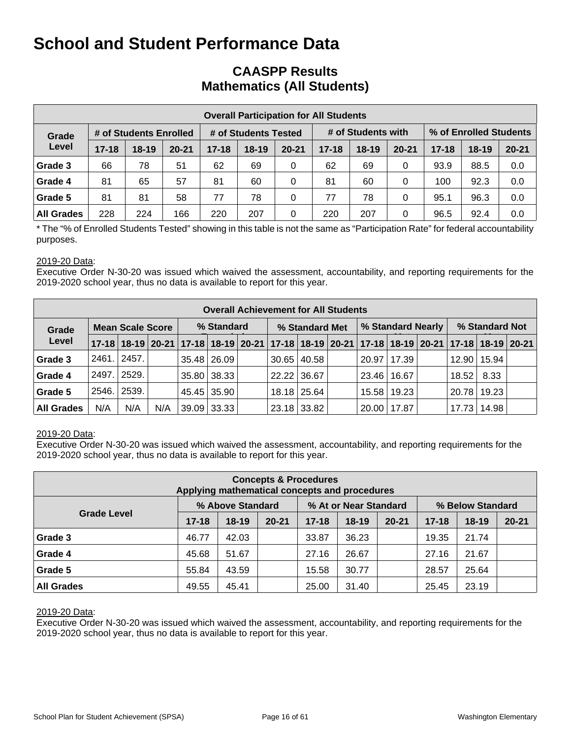## **CAASPP Results Mathematics (All Students)**

|                   | <b>Overall Participation for All Students</b> |                        |           |           |                      |           |         |                    |           |           |                        |     |  |  |
|-------------------|-----------------------------------------------|------------------------|-----------|-----------|----------------------|-----------|---------|--------------------|-----------|-----------|------------------------|-----|--|--|
| Grade             |                                               | # of Students Enrolled |           |           | # of Students Tested |           |         | # of Students with |           |           | % of Enrolled Students |     |  |  |
| Level             | $17 - 18$                                     | $18 - 19$              | $20 - 21$ | $17 - 18$ | $18 - 19$            | $20 - 21$ | $18-19$ | $20 - 21$          | $17 - 18$ | $18 - 19$ | $20 - 21$              |     |  |  |
| Grade 3           | 66                                            | 78                     | 51        | 62        | 69                   | 0         | 62      | 69                 | 0         | 93.9      | 88.5                   | 0.0 |  |  |
| Grade 4           | 81                                            | 65                     | 57        | 81        | 60                   | 0         | 81      | 60                 | 0         | 100       | 92.3                   | 0.0 |  |  |
| Grade 5           | 81                                            | 81                     | 58        | 77        | 78                   | 0         | 77      | 78                 | 0         | 95.1      | 96.3                   | 0.0 |  |  |
| <b>All Grades</b> | 228                                           | 224                    | 166       | 220       | 207                  | 0         | 220     | 207                | 0         | 96.5      | 92.4                   | 0.0 |  |  |

\* The "% of Enrolled Students Tested" showing in this table is not the same as "Participation Rate" for federal accountability purposes.

#### 2019-20 Data:

Executive Order N-30-20 was issued which waived the assessment, accountability, and reporting requirements for the 2019-2020 school year, thus no data is available to report for this year.

|                                  | <b>Overall Achievement for All Students</b> |                  |     |  |               |  |                |                 |  |                   |               |  |                                                                                           |       |  |
|----------------------------------|---------------------------------------------|------------------|-----|--|---------------|--|----------------|-----------------|--|-------------------|---------------|--|-------------------------------------------------------------------------------------------|-------|--|
| <b>Mean Scale Score</b><br>Grade |                                             |                  |     |  | % Standard    |  | % Standard Met |                 |  | % Standard Nearly |               |  | % Standard Not                                                                            |       |  |
| Level                            |                                             |                  |     |  |               |  |                |                 |  |                   |               |  | 17-18 18-19 20-21 17-18 18-19 20-21 17-18 18-19 20-21 17-18 18-19 20-21 17-18 18-19 20-21 |       |  |
| Grade 3                          | 2461.                                       | 2457.            |     |  | 35.48 26.09   |  |                | $30.65$   40.58 |  | 20.97             | 17.39         |  | 12.90                                                                                     | 15.94 |  |
| Grade 4                          | 2497.                                       | 2529.            |     |  | 35.80 38.33   |  |                | 22.22 36.67     |  | 23.46             | 16.67         |  | 18.52                                                                                     | 8.33  |  |
| Grade 5                          | 2546.                                       | $^{\circ}$ 2539. |     |  | 45.45 35.90   |  |                | 18.18 25.64     |  |                   | 15.58   19.23 |  | 20.78                                                                                     | 19.23 |  |
| <b>All Grades</b>                | N/A                                         | N/A              | N/A |  | $39.09$ 33.33 |  |                | 23.18 33.82     |  | 20.00             | 17.87         |  | 17.73                                                                                     | 14.98 |  |

#### 2019-20 Data:

Executive Order N-30-20 was issued which waived the assessment, accountability, and reporting requirements for the 2019-2020 school year, thus no data is available to report for this year.

| <b>Concepts &amp; Procedures</b><br>Applying mathematical concepts and procedures |           |                  |           |           |                       |           |                  |         |           |  |  |  |  |
|-----------------------------------------------------------------------------------|-----------|------------------|-----------|-----------|-----------------------|-----------|------------------|---------|-----------|--|--|--|--|
|                                                                                   |           | % Above Standard |           |           | % At or Near Standard |           | % Below Standard |         |           |  |  |  |  |
| <b>Grade Level</b>                                                                | $17 - 18$ | $18-19$          | $20 - 21$ | $17 - 18$ | $18 - 19$             | $20 - 21$ | $17 - 18$        | $18-19$ | $20 - 21$ |  |  |  |  |
| Grade 3                                                                           | 46.77     | 42.03            |           | 33.87     | 36.23                 |           | 19.35            | 21.74   |           |  |  |  |  |
| Grade 4                                                                           | 45.68     | 51.67            |           | 27.16     | 26.67                 |           | 27.16            | 21.67   |           |  |  |  |  |
| Grade 5                                                                           | 55.84     | 43.59            |           | 15.58     | 30.77                 |           | 28.57            | 25.64   |           |  |  |  |  |
| <b>All Grades</b>                                                                 | 49.55     | 45.41            |           | 25.00     | 31.40                 |           | 25.45            | 23.19   |           |  |  |  |  |

#### 2019-20 Data: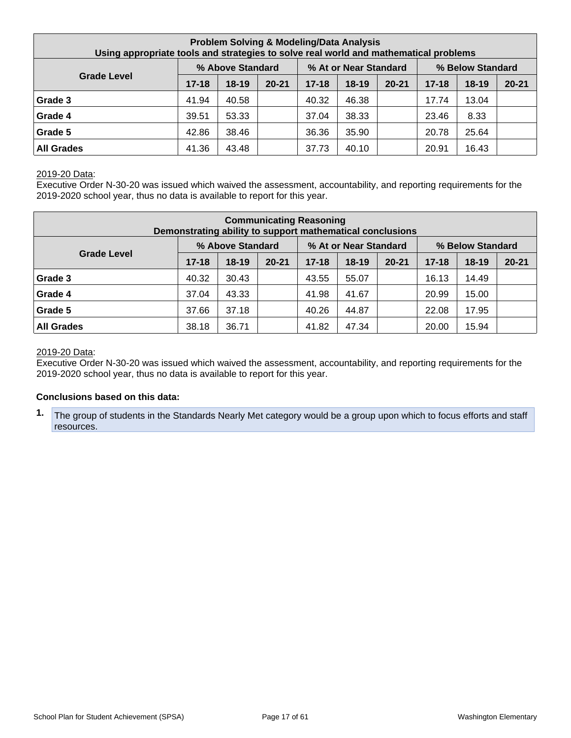| <b>Problem Solving &amp; Modeling/Data Analysis</b><br>Using appropriate tools and strategies to solve real world and mathematical problems |           |                  |           |           |                       |           |           |                  |           |  |  |
|---------------------------------------------------------------------------------------------------------------------------------------------|-----------|------------------|-----------|-----------|-----------------------|-----------|-----------|------------------|-----------|--|--|
|                                                                                                                                             |           | % Above Standard |           |           | % At or Near Standard |           |           | % Below Standard |           |  |  |
| <b>Grade Level</b>                                                                                                                          | $17 - 18$ | $18-19$          | $20 - 21$ | $17 - 18$ | $18 - 19$             | $20 - 21$ | $17 - 18$ | $18 - 19$        | $20 - 21$ |  |  |
| Grade 3                                                                                                                                     | 41.94     | 40.58            |           | 40.32     | 46.38                 |           | 17.74     | 13.04            |           |  |  |
| Grade 4                                                                                                                                     | 39.51     | 53.33            |           | 37.04     | 38.33                 |           | 23.46     | 8.33             |           |  |  |
| Grade 5                                                                                                                                     | 42.86     | 38.46            |           | 36.36     | 35.90                 |           | 20.78     | 25.64            |           |  |  |
| <b>All Grades</b>                                                                                                                           | 41.36     | 43.48            |           | 37.73     | 40.10                 |           | 20.91     | 16.43            |           |  |  |

Executive Order N-30-20 was issued which waived the assessment, accountability, and reporting requirements for the 2019-2020 school year, thus no data is available to report for this year.

| <b>Communicating Reasoning</b><br>Demonstrating ability to support mathematical conclusions |           |                  |           |           |                       |           |           |                  |           |  |  |
|---------------------------------------------------------------------------------------------|-----------|------------------|-----------|-----------|-----------------------|-----------|-----------|------------------|-----------|--|--|
|                                                                                             |           | % Above Standard |           |           | % At or Near Standard |           |           | % Below Standard |           |  |  |
| <b>Grade Level</b>                                                                          | $17 - 18$ | $18-19$          | $20 - 21$ | $17 - 18$ | $18 - 19$             | $20 - 21$ | $17 - 18$ | $18 - 19$        | $20 - 21$ |  |  |
| Grade 3                                                                                     | 40.32     | 30.43            |           | 43.55     | 55.07                 |           | 16.13     | 14.49            |           |  |  |
| Grade 4                                                                                     | 37.04     | 43.33            |           | 41.98     | 41.67                 |           | 20.99     | 15.00            |           |  |  |
| Grade 5                                                                                     | 37.66     | 37.18            |           | 40.26     | 44.87                 |           | 22.08     | 17.95            |           |  |  |
| <b>All Grades</b>                                                                           | 38.18     | 36.71            |           | 41.82     | 47.34                 |           | 20.00     | 15.94            |           |  |  |

#### 2019-20 Data:

Executive Order N-30-20 was issued which waived the assessment, accountability, and reporting requirements for the 2019-2020 school year, thus no data is available to report for this year.

#### **Conclusions based on this data:**

**1.** The group of students in the Standards Nearly Met category would be a group upon which to focus efforts and staff resources.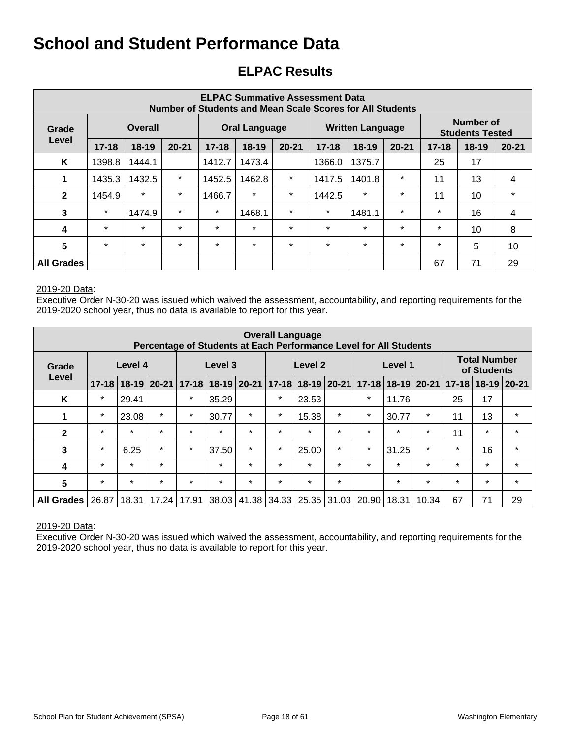## **ELPAC Results**

| <b>ELPAC Summative Assessment Data</b><br>Number of Students and Mean Scale Scores for All Students |                         |           |           |           |                      |           |           |                         |           |           |                                     |           |
|-----------------------------------------------------------------------------------------------------|-------------------------|-----------|-----------|-----------|----------------------|-----------|-----------|-------------------------|-----------|-----------|-------------------------------------|-----------|
| Grade                                                                                               | <b>Overall</b><br>Level |           |           |           | <b>Oral Language</b> |           |           | <b>Written Language</b> |           |           | Number of<br><b>Students Tested</b> |           |
|                                                                                                     | $17 - 18$               | $18 - 19$ | $20 - 21$ | $17 - 18$ | 18-19                | $20 - 21$ | $17 - 18$ | $18-19$                 | $20 - 21$ | $17 - 18$ | $18 - 19$                           | $20 - 21$ |
| K                                                                                                   | 1398.8                  | 1444.1    |           | 1412.7    | 1473.4               |           | 1366.0    | 1375.7                  |           | 25        | 17                                  |           |
| 1                                                                                                   | 1435.3                  | 1432.5    | $\star$   | 1452.5    | 1462.8               | $\ast$    | 1417.5    | 1401.8                  | $\star$   | 11        | 13                                  | 4         |
| $\mathbf{2}$                                                                                        | 1454.9                  | $\star$   | $\star$   | 1466.7    | $\star$              | $\star$   | 1442.5    | $\star$                 | $\star$   | 11        | 10                                  | $\star$   |
| 3                                                                                                   | $\star$                 | 1474.9    | $\star$   | $\star$   | 1468.1               | $\star$   | $\star$   | 1481.1                  | $\star$   | $\star$   | 16                                  | 4         |
| 4                                                                                                   | $\star$                 | $\star$   | $\star$   | $\star$   | $\star$              | $\star$   | $\star$   | $\star$                 | $\star$   | $\star$   | 10                                  | 8         |
| $5\phantom{1}$                                                                                      | $\star$                 | $\star$   | $\star$   | $\star$   | $\star$              | $\star$   | $\star$   | $\star$                 | $\star$   | $\star$   | 5                                   | 10        |
| <b>All Grades</b>                                                                                   |                         |           |           |           |                      |           |           |                         |           | 67        | 71                                  | 29        |

#### 2019-20 Data:

Executive Order N-30-20 was issued which waived the assessment, accountability, and reporting requirements for the 2019-2020 school year, thus no data is available to report for this year.

| <b>Overall Language</b><br>Percentage of Students at Each Performance Level for All Students |           |           |           |                       |                         |         |                   |         |                   |           |         |             |                                    |           |          |
|----------------------------------------------------------------------------------------------|-----------|-----------|-----------|-----------------------|-------------------------|---------|-------------------|---------|-------------------|-----------|---------|-------------|------------------------------------|-----------|----------|
| Grade                                                                                        |           | Level 4   |           | Level 3<br>Level 2    |                         |         |                   |         |                   | Level 1   |         |             | <b>Total Number</b><br>of Students |           |          |
| Level                                                                                        | $17 - 18$ | $18 - 19$ | $20 - 21$ |                       | $17-18$   18-19   20-21 |         |                   |         | 17-18 18-19 20-21 | $17 - 18$ |         | 18-19 20-21 | $17 - 18$                          | $18 - 19$ | $ 20-21$ |
| K                                                                                            | $\star$   | 29.41     |           | $\star$               | 35.29                   |         | $\star$           | 23.53   |                   | $\star$   | 11.76   |             | 25                                 | 17        |          |
| 1                                                                                            | $\star$   | 23.08     | $\star$   | $\star$               | 30.77                   | $\star$ | $\star$           | 15.38   | $\star$           | $\star$   | 30.77   | $\star$     | 11                                 | 13        | $\star$  |
| $\mathbf{2}$                                                                                 | $\star$   | $\star$   | $\star$   | $\star$               | $\star$                 | $\star$ | $\star$           | $\star$ | $\star$           | $\star$   | $\star$ | $\star$     | 11                                 | $\star$   | $\star$  |
| $\mathbf{3}$                                                                                 | $\ast$    | 6.25      | $\star$   | $\star$               | 37.50                   | $\star$ | $\star$           | 25.00   | $\star$           | $\star$   | 31.25   | $\star$     | $\star$                            | 16        | $\star$  |
| 4                                                                                            | $\star$   | $\star$   | $\star$   |                       | $\star$                 | $\star$ | $\star$           | $\star$ | $\star$           | $\star$   | $\star$ | $\star$     | $\star$                            | $\star$   | $\star$  |
| 5                                                                                            | $\star$   | $\star$   | $\star$   | $\star$               | $\star$                 | $\star$ | $\star$           | $\star$ | $\star$           |           | $\star$ | $\star$     | $\star$                            | $\star$   | $\star$  |
| <b>All Grades</b>                                                                            | 26.87     | 18.31     |           | 17.24   17.91   38.03 |                         | 41.38   | 34.33 25.35 31.03 |         |                   | 20.90     | 18.31   | 10.34       | 67                                 | 71        | 29       |

#### 2019-20 Data: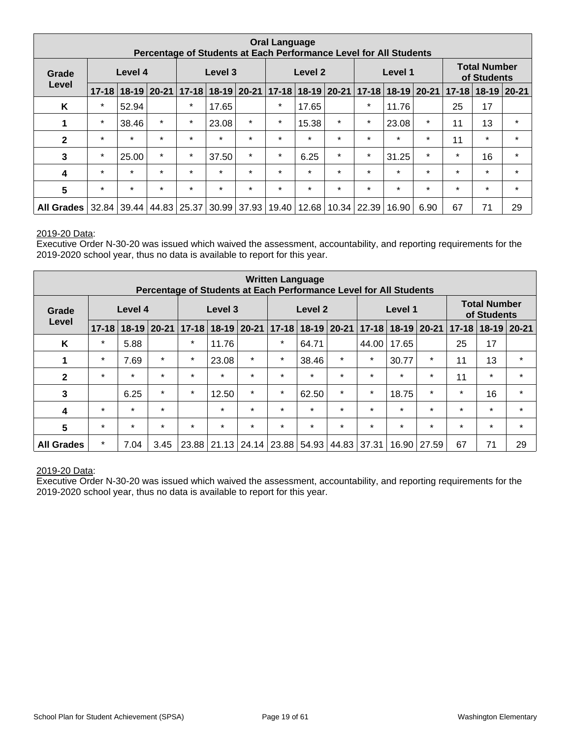| <b>Oral Language</b><br>Percentage of Students at Each Performance Level for All Students |                  |         |         |                                                               |         |         |         |                           |         |           |               |         |           |                                    |         |
|-------------------------------------------------------------------------------------------|------------------|---------|---------|---------------------------------------------------------------|---------|---------|---------|---------------------------|---------|-----------|---------------|---------|-----------|------------------------------------|---------|
| Grade                                                                                     | Level 4<br>Level |         |         |                                                               | Level 3 |         |         | Level 2                   |         |           | Level 1       |         |           | <b>Total Number</b><br>of Students |         |
|                                                                                           | $17 - 18$        |         |         | 18-19 20-21 17-18 18-19 20-21                                 |         |         |         | $17 - 18$ 18 - 19 20 - 21 |         | $17 - 18$ | $18-19$ 20-21 |         | $17 - 18$ | $18-19$ 20-21                      |         |
| K                                                                                         | $\star$          | 52.94   |         | $\star$                                                       | 17.65   |         | $\star$ | 17.65                     |         | $\star$   | 11.76         |         | 25        | 17                                 |         |
| 1                                                                                         | $\star$          | 38.46   | $\star$ | $\star$                                                       | 23.08   | $\star$ | $\star$ | 15.38                     | $\star$ | $\star$   | 23.08         | $\star$ | 11        | 13                                 | $\star$ |
| $\mathbf{2}$                                                                              | $\star$          | $\star$ | $\star$ | $\star$                                                       | $\star$ | $\star$ | $\star$ | $\star$                   | $\star$ | $\star$   | $\star$       | $\star$ | 11        | $\star$                            | $\star$ |
| 3                                                                                         | $\star$          | 25.00   | $\star$ | $\star$                                                       | 37.50   | $\star$ | $\star$ | 6.25                      | $\star$ | $\star$   | 31.25         | $\star$ | $\star$   | 16                                 | $\star$ |
| 4                                                                                         | $\star$          | $\star$ | $\star$ | $\star$                                                       | $\star$ | $\star$ | $\star$ | $\star$                   | $\star$ | $\star$   | $\star$       | $\star$ | $\star$   | $\star$                            | $\star$ |
| $5\phantom{1}$                                                                            | $\star$          | $\star$ | $\star$ | $\star$                                                       | $\star$ | $\star$ | $\star$ | $\star$                   | $\star$ | $\star$   | $\star$       | $\star$ | $\star$   | $\star$                            | $\star$ |
| <b>All Grades</b>                                                                         | 32.84            |         |         | 39.44   44.83   25.37   30.99   37.93   19.40   12.68   10.34 |         |         |         |                           |         | 22.39     | 16.90         | 6.90    | 67        | 71                                 | 29      |

Executive Order N-30-20 was issued which waived the assessment, accountability, and reporting requirements for the 2019-2020 school year, thus no data is available to report for this year.

| <b>Written Language</b><br>Percentage of Students at Each Performance Level for All Students |           |           |           |           |               |                         |           |         |               |           |         |                 |           |                                    |               |
|----------------------------------------------------------------------------------------------|-----------|-----------|-----------|-----------|---------------|-------------------------|-----------|---------|---------------|-----------|---------|-----------------|-----------|------------------------------------|---------------|
| Grade                                                                                        |           | Level 4   |           |           | Level 3       |                         |           | Level 2 |               |           | Level 1 |                 |           | <b>Total Number</b><br>of Students |               |
| Level                                                                                        | $17 - 18$ | $18 - 19$ | $20 - 21$ | $17 - 18$ | $18-19$ 20-21 |                         | $17 - 18$ |         | $18-19$ 20-21 | $17 - 18$ |         | $18-19$   20-21 | $17 - 18$ |                                    | $18-19$ 20-21 |
| K                                                                                            | $\star$   | 5.88      |           | $\star$   | 11.76         |                         | $\star$   | 64.71   |               | 44.00     | 17.65   |                 | 25        | 17                                 |               |
| 1                                                                                            | $\star$   | 7.69      | $\star$   | $\star$   | 23.08         | $\star$                 | $\star$   | 38.46   | $\star$       | $\star$   | 30.77   | $\star$         | 11        | 13                                 | $\star$       |
| $\mathbf{2}$                                                                                 | $\star$   | $\star$   | $\star$   | $\star$   | $\star$       | $\star$                 | $\star$   | $\star$ | $\star$       | $\star$   | $\star$ | $\star$         | 11        | $\star$                            | $\star$       |
| 3                                                                                            |           | 6.25      | $\star$   | $\star$   | 12.50         | $\star$                 | $\star$   | 62.50   | $\star$       | $\star$   | 18.75   | $\star$         | $\star$   | 16                                 | $\star$       |
| 4                                                                                            | $\star$   | $\star$   | $\star$   |           | $\star$       | $\star$                 | $\star$   | $\star$ | $\star$       | $\star$   | $\star$ | $\star$         | $\star$   | $\star$                            | $\star$       |
| 5                                                                                            | $\star$   | $\star$   | $\star$   | $\star$   | $\star$       | $\star$                 | $\star$   | $\star$ | $\star$       | $\star$   | $\star$ | $\star$         | $\star$   | $\star$                            | $\star$       |
| <b>All Grades</b>                                                                            | $\star$   | 7.04      | 3.45      |           |               | 23.88 21.13 24.14 23.88 |           | 54.93   | 44.83 37.31   |           | 16.90   | 27.59           | 67        | 71                                 | 29            |

#### 2019-20 Data: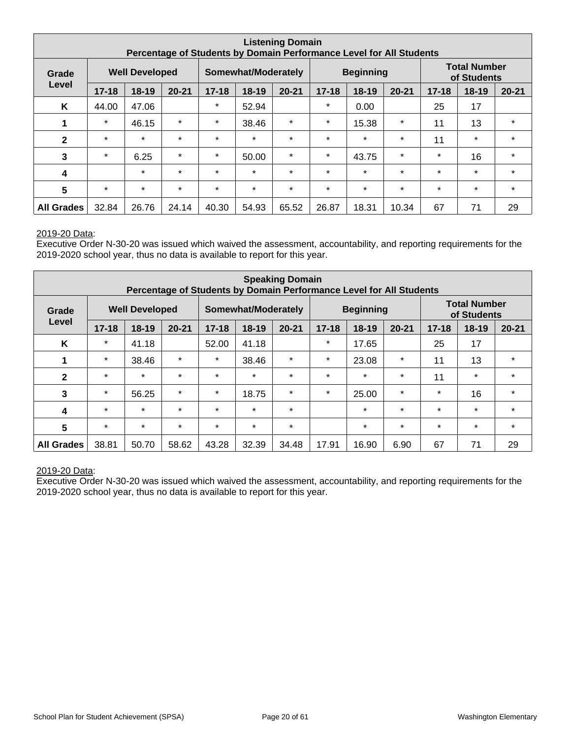| <b>Listening Domain</b><br>Percentage of Students by Domain Performance Level for All Students |           |                       |           |           |                     |           |           |                  |           |           |                                    |           |
|------------------------------------------------------------------------------------------------|-----------|-----------------------|-----------|-----------|---------------------|-----------|-----------|------------------|-----------|-----------|------------------------------------|-----------|
| Grade                                                                                          |           | <b>Well Developed</b> |           |           | Somewhat/Moderately |           |           | <b>Beginning</b> |           |           | <b>Total Number</b><br>of Students |           |
| Level                                                                                          | $17 - 18$ | $18 - 19$             | $20 - 21$ | $17 - 18$ | 18-19               | $20 - 21$ | $17 - 18$ | $18-19$          | $20 - 21$ | $17 - 18$ | $18 - 19$                          | $20 - 21$ |
| K                                                                                              | 44.00     | 47.06                 |           | $\star$   | 52.94               |           | $\star$   | 0.00             |           | 25        | 17                                 |           |
| 1                                                                                              | $\star$   | 46.15                 | $\star$   | $\star$   | 38.46               | $\star$   | $\star$   | 15.38            | $\star$   | 11        | 13                                 | $\star$   |
| $\mathbf{2}$                                                                                   | $\star$   | $\star$               | $\star$   | $\star$   | $\star$             | $\star$   | $\star$   | $\star$          | $\star$   | 11        | $\star$                            | $\star$   |
| 3                                                                                              | $\star$   | 6.25                  | $\star$   | $\star$   | 50.00               | $\star$   | $\star$   | 43.75            | $\star$   | $\star$   | 16                                 | $\star$   |
| 4                                                                                              |           | $\star$               | $\star$   | $\star$   | $\star$             | $\star$   | $\star$   | $\star$          | $\star$   | $\star$   | $\star$                            | $\star$   |
| 5                                                                                              | $\star$   | $\star$               | $\star$   | $\star$   | $\star$             | $\star$   | $\star$   | $\star$          | $\star$   | $\star$   | $\star$                            | $\star$   |
| <b>All Grades</b>                                                                              | 32.84     | 26.76                 | 24.14     | 40.30     | 54.93               | 65.52     | 26.87     | 18.31            | 10.34     | 67        | 71                                 | 29        |

Executive Order N-30-20 was issued which waived the assessment, accountability, and reporting requirements for the 2019-2020 school year, thus no data is available to report for this year.

| <b>Speaking Domain</b><br>Percentage of Students by Domain Performance Level for All Students |           |                       |           |           |                            |           |           |                  |           |           |                                    |           |
|-----------------------------------------------------------------------------------------------|-----------|-----------------------|-----------|-----------|----------------------------|-----------|-----------|------------------|-----------|-----------|------------------------------------|-----------|
| Grade                                                                                         |           | <b>Well Developed</b> |           |           | <b>Somewhat/Moderately</b> |           |           | <b>Beginning</b> |           |           | <b>Total Number</b><br>of Students |           |
| Level                                                                                         | $17 - 18$ | $18 - 19$             | $20 - 21$ | $17 - 18$ | $18 - 19$                  | $20 - 21$ | $17 - 18$ | $18 - 19$        | $20 - 21$ | $17 - 18$ | $18 - 19$                          | $20 - 21$ |
| K                                                                                             | $\star$   | 41.18                 |           | 52.00     | 41.18                      |           | $\ast$    | 17.65            |           | 25        | 17                                 |           |
| 1                                                                                             | $\star$   | 38.46                 | $\star$   | $\star$   | 38.46                      | $\star$   | $\ast$    | 23.08            | $\ast$    | 11        | 13                                 | $\star$   |
| $\mathbf{2}$                                                                                  | $\star$   | $\star$               | $\star$   | $\star$   | $\star$                    | $\star$   | $\star$   | $\star$          | $\star$   | 11        | $\star$                            | $\star$   |
| 3                                                                                             | $\ast$    | 56.25                 | $\star$   | $\star$   | 18.75                      | $\star$   | $\ast$    | 25.00            | $\star$   | $\ast$    | 16                                 | $\star$   |
| 4                                                                                             | $\star$   | $\star$               | $\star$   | $\star$   | $\star$                    | $\star$   |           | $\star$          | $\star$   | $\star$   | $\star$                            | $\star$   |
| 5                                                                                             | $\star$   | $\star$               | $\star$   | $\star$   | $\star$                    | $\star$   |           | $\star$          | $\star$   | $\star$   | $\star$                            | $\star$   |
| <b>All Grades</b>                                                                             | 38.81     | 50.70                 | 58.62     | 43.28     | 32.39                      | 34.48     | 17.91     | 16.90            | 6.90      | 67        | 71                                 | 29        |

#### 2019-20 Data: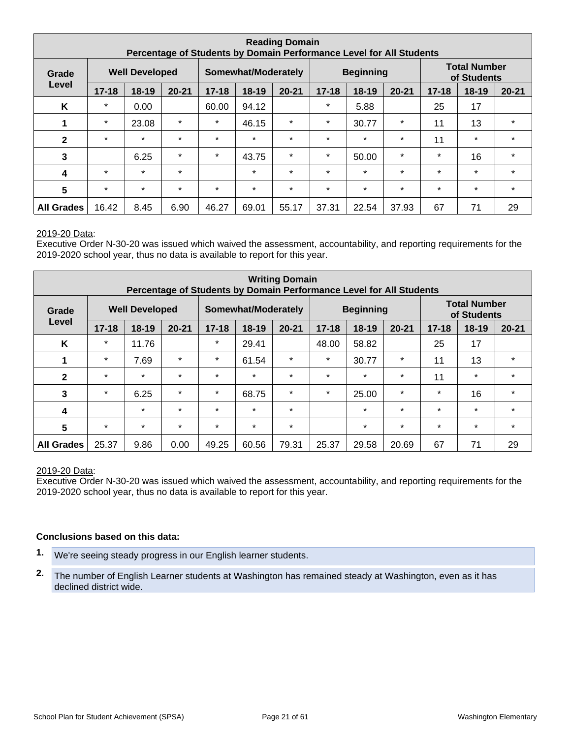| <b>Reading Domain</b><br>Percentage of Students by Domain Performance Level for All Students |                                |           |           |           |                     |           |           |                  |           |           |                                    |           |
|----------------------------------------------------------------------------------------------|--------------------------------|-----------|-----------|-----------|---------------------|-----------|-----------|------------------|-----------|-----------|------------------------------------|-----------|
| Grade                                                                                        | <b>Well Developed</b><br>Level |           |           |           | Somewhat/Moderately |           |           | <b>Beginning</b> |           |           | <b>Total Number</b><br>of Students |           |
|                                                                                              | $17 - 18$                      | $18 - 19$ | $20 - 21$ | $17 - 18$ | 18-19               | $20 - 21$ | $17 - 18$ | $18-19$          | $20 - 21$ | $17 - 18$ | $18 - 19$                          | $20 - 21$ |
| K                                                                                            | $\star$                        | 0.00      |           | 60.00     | 94.12               |           | $\star$   | 5.88             |           | 25        | 17                                 |           |
| 1                                                                                            | $\star$                        | 23.08     | $\star$   | $\star$   | 46.15               | $\star$   | $\star$   | 30.77            | $\star$   | 11        | 13                                 | $\star$   |
| $\mathbf{2}$                                                                                 | $\star$                        | $\star$   | $\star$   | $\star$   | $\star$             | $\star$   | $\star$   | $\star$          | $\star$   | 11        | $\star$                            | $\star$   |
| 3                                                                                            |                                | 6.25      | $\star$   | $\star$   | 43.75               | $\star$   | $\star$   | 50.00            | $\star$   | $\star$   | 16                                 | $\star$   |
| 4                                                                                            | $\star$                        | $\star$   | $\star$   |           | $\star$             | $\star$   | $\star$   | $\star$          | $\star$   | $\star$   | $\star$                            | $\star$   |
| $5\phantom{1}$                                                                               | $\star$                        | $\star$   | $\star$   | $\star$   | $\star$             | $\star$   | $\star$   | $\star$          | $\star$   | $\star$   | $\star$                            | $\star$   |
| <b>All Grades</b>                                                                            | 16.42                          | 8.45      | 6.90      | 46.27     | 69.01               | 55.17     | 37.31     | 22.54            | 37.93     | 67        | 71                                 | 29        |

Executive Order N-30-20 was issued which waived the assessment, accountability, and reporting requirements for the 2019-2020 school year, thus no data is available to report for this year.

| <b>Writing Domain</b><br>Percentage of Students by Domain Performance Level for All Students |           |                       |           |           |                     |           |           |                  |           |           |                                    |           |
|----------------------------------------------------------------------------------------------|-----------|-----------------------|-----------|-----------|---------------------|-----------|-----------|------------------|-----------|-----------|------------------------------------|-----------|
| Grade                                                                                        |           | <b>Well Developed</b> |           |           | Somewhat/Moderately |           |           | <b>Beginning</b> |           |           | <b>Total Number</b><br>of Students |           |
| Level                                                                                        | $17 - 18$ | $18 - 19$             | $20 - 21$ | $17 - 18$ | $18 - 19$           | $20 - 21$ | $17 - 18$ | $18 - 19$        | $20 - 21$ | $17 - 18$ | $18 - 19$                          | $20 - 21$ |
| K                                                                                            | $\star$   | 11.76                 |           | $\star$   | 29.41               |           | 48.00     | 58.82            |           | 25        | 17                                 |           |
| 1                                                                                            | $\star$   | 7.69                  | $\ast$    | $\star$   | 61.54               | $\ast$    | $\ast$    | 30.77            | $\ast$    | 11        | 13                                 | $\star$   |
| $\mathbf{2}$                                                                                 | $\star$   | $\star$               | $\star$   | $\star$   | $\star$             | $\star$   | $\star$   | $\star$          | $\star$   | 11        | $\star$                            | $\star$   |
| 3                                                                                            | $\ast$    | 6.25                  | $\star$   | $\star$   | 68.75               | $\star$   | $\star$   | 25.00            | $\star$   | $\star$   | 16                                 | $\star$   |
| 4                                                                                            |           | $\star$               | $\star$   | $\star$   | $\star$             | $\star$   |           | $\star$          | $\star$   | $\star$   | $\star$                            | $\star$   |
| 5                                                                                            | $\star$   | $\star$               | $\star$   | $\star$   | $\star$             | $\ast$    |           | $\star$          | $\star$   | $\star$   | $\star$                            | $\star$   |
| <b>All Grades</b>                                                                            | 25.37     | 9.86                  | 0.00      | 49.25     | 60.56               | 79.31     | 25.37     | 29.58            | 20.69     | 67        | 71                                 | 29        |

#### 2019-20 Data:

Executive Order N-30-20 was issued which waived the assessment, accountability, and reporting requirements for the 2019-2020 school year, thus no data is available to report for this year.

#### **Conclusions based on this data:**

- **1.** We're seeing steady progress in our English learner students.
- **2.** The number of English Learner students at Washington has remained steady at Washington, even as it has declined district wide.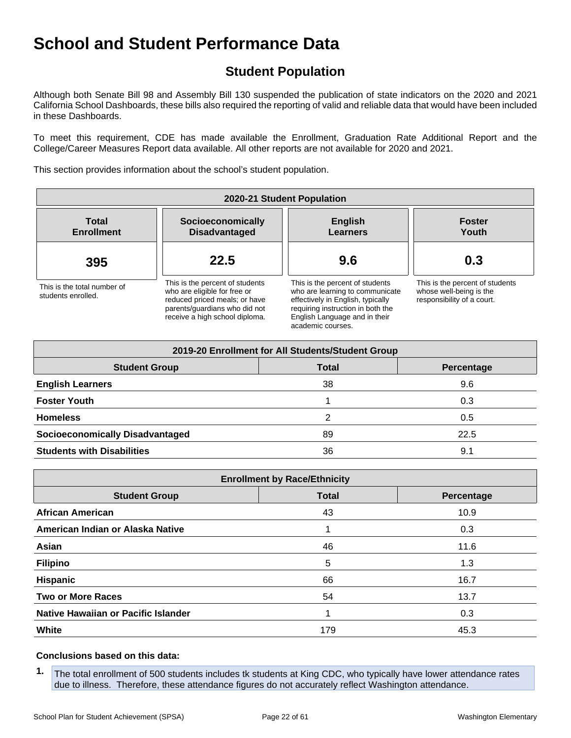## **Student Population**

Although both Senate Bill 98 and Assembly Bill 130 suspended the publication of state indicators on the 2020 and 2021 California School Dashboards, these bills also required the reporting of valid and reliable data that would have been included in these Dashboards.

To meet this requirement, CDE has made available the Enrollment, Graduation Rate Additional Report and the College/Career Measures Report data available. All other reports are not available for 2020 and 2021.

This section provides information about the school's student population.

| 2020-21 Student Population                        |                                                                                                                                                                     |                                                                                                                                                                                                    |                                                                                          |  |  |  |  |  |  |
|---------------------------------------------------|---------------------------------------------------------------------------------------------------------------------------------------------------------------------|----------------------------------------------------------------------------------------------------------------------------------------------------------------------------------------------------|------------------------------------------------------------------------------------------|--|--|--|--|--|--|
| <b>Total</b><br><b>Enrollment</b>                 | Socioeconomically<br><b>Disadvantaged</b>                                                                                                                           | <b>English</b><br>Learners                                                                                                                                                                         | <b>Foster</b><br>Youth                                                                   |  |  |  |  |  |  |
| 395                                               | 22.5                                                                                                                                                                | 9.6                                                                                                                                                                                                | 0.3                                                                                      |  |  |  |  |  |  |
| This is the total number of<br>students enrolled. | This is the percent of students<br>who are eligible for free or<br>reduced priced meals; or have<br>parents/quardians who did not<br>receive a high school diploma. | This is the percent of students<br>who are learning to communicate<br>effectively in English, typically<br>requiring instruction in both the<br>English Language and in their<br>academic courses. | This is the percent of students<br>whose well-being is the<br>responsibility of a court. |  |  |  |  |  |  |

| 2019-20 Enrollment for All Students/Student Group |              |            |  |  |  |  |  |  |  |
|---------------------------------------------------|--------------|------------|--|--|--|--|--|--|--|
| <b>Student Group</b>                              | <b>Total</b> | Percentage |  |  |  |  |  |  |  |
| <b>English Learners</b>                           | 38           | 9.6        |  |  |  |  |  |  |  |
| <b>Foster Youth</b>                               |              | 0.3        |  |  |  |  |  |  |  |
| <b>Homeless</b>                                   | 2            | 0.5        |  |  |  |  |  |  |  |
| <b>Socioeconomically Disadvantaged</b>            | 89           | 22.5       |  |  |  |  |  |  |  |
| <b>Students with Disabilities</b>                 | 36           | 9.1        |  |  |  |  |  |  |  |

| <b>Enrollment by Race/Ethnicity</b> |              |            |  |
|-------------------------------------|--------------|------------|--|
| <b>Student Group</b>                | <b>Total</b> | Percentage |  |
| <b>African American</b>             | 43           | 10.9       |  |
| American Indian or Alaska Native    |              | 0.3        |  |
| Asian                               | 46           | 11.6       |  |
| <b>Filipino</b>                     | 5            | 1.3        |  |
| <b>Hispanic</b>                     | 66           | 16.7       |  |
| <b>Two or More Races</b>            | 54           | 13.7       |  |
| Native Hawaiian or Pacific Islander |              | 0.3        |  |
| White                               | 179          | 45.3       |  |

#### **Conclusions based on this data:**

**1.** The total enrollment of 500 students includes tk students at King CDC, who typically have lower attendance rates due to illness. Therefore, these attendance figures do not accurately reflect Washington attendance.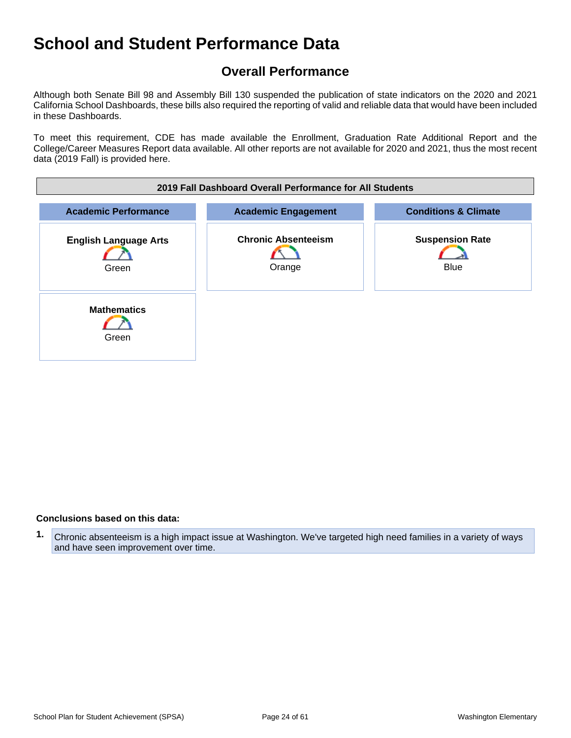## **Overall Performance**

Although both Senate Bill 98 and Assembly Bill 130 suspended the publication of state indicators on the 2020 and 2021 California School Dashboards, these bills also required the reporting of valid and reliable data that would have been included in these Dashboards.

To meet this requirement, CDE has made available the Enrollment, Graduation Rate Additional Report and the College/Career Measures Report data available. All other reports are not available for 2020 and 2021, thus the most recent data (2019 Fall) is provided here.

| 2019 Fall Dashboard Overall Performance for All Students |                                      |                                       |  |
|----------------------------------------------------------|--------------------------------------|---------------------------------------|--|
| <b>Academic Performance</b>                              | <b>Academic Engagement</b>           | <b>Conditions &amp; Climate</b>       |  |
| <b>English Language Arts</b><br>Green                    | <b>Chronic Absenteeism</b><br>Orange | <b>Suspension Rate</b><br><b>Blue</b> |  |
| <b>Mathematics</b><br>Green                              |                                      |                                       |  |

#### **Conclusions based on this data:**

**1.** Chronic absenteeism is a high impact issue at Washington. We've targeted high need families in a variety of ways and have seen improvement over time.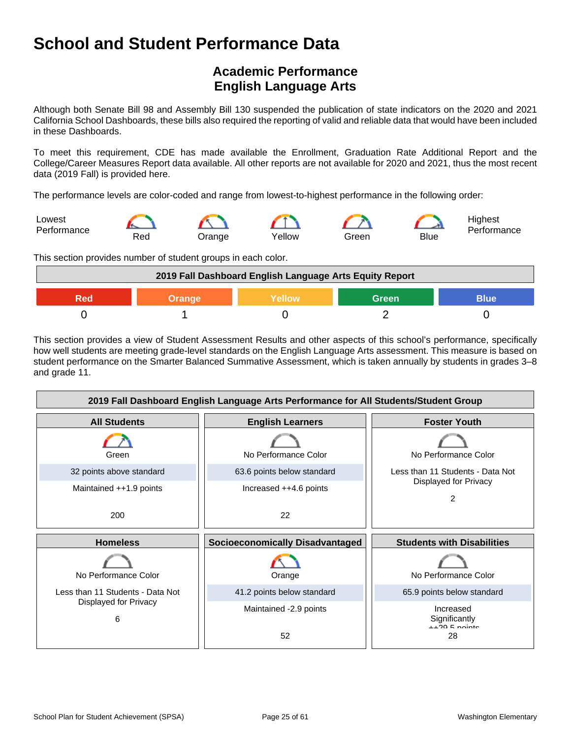## **Academic Performance English Language Arts**

Although both Senate Bill 98 and Assembly Bill 130 suspended the publication of state indicators on the 2020 and 2021 California School Dashboards, these bills also required the reporting of valid and reliable data that would have been included in these Dashboards.

To meet this requirement, CDE has made available the Enrollment, Graduation Rate Additional Report and the College/Career Measures Report data available. All other reports are not available for 2020 and 2021, thus the most recent data (2019 Fall) is provided here.

The performance levels are color-coded and range from lowest-to-highest performance in the following order:



This section provides number of student groups in each color.

| 2019 Fall Dashboard English Language Arts Equity Report       |  |  |  |  |
|---------------------------------------------------------------|--|--|--|--|
| <b>Green</b><br><b>Blue</b><br><b>Yellow</b><br><b>Orange</b> |  |  |  |  |
|                                                               |  |  |  |  |

This section provides a view of Student Assessment Results and other aspects of this school's performance, specifically how well students are meeting grade-level standards on the English Language Arts assessment. This measure is based on student performance on the Smarter Balanced Summative Assessment, which is taken annually by students in grades 3–8 and grade 11.

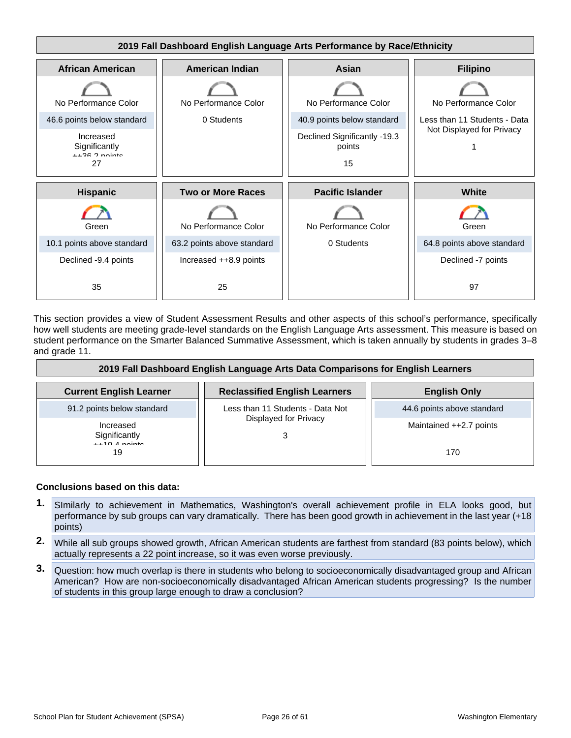

This section provides a view of Student Assessment Results and other aspects of this school's performance, specifically how well students are meeting grade-level standards on the English Language Arts assessment. This measure is based on student performance on the Smarter Balanced Summative Assessment, which is taken annually by students in grades 3–8 and grade 11.

| 2019 Fall Dashboard English Language Arts Data Comparisons for English Learners |                                      |                            |
|---------------------------------------------------------------------------------|--------------------------------------|----------------------------|
| <b>Current English Learner</b>                                                  | <b>Reclassified English Learners</b> | <b>English Only</b>        |
| 91.2 points below standard                                                      | Less than 11 Students - Data Not     | 44.6 points above standard |
| Increased<br>Significantly<br>$1140$ A pointe                                   | Displayed for Privacy                | Maintained ++2.7 points    |
| 19                                                                              |                                      | 170                        |

#### **Conclusions based on this data:**

- **1.** SImilarly to achievement in Mathematics, Washington's overall achievement profile in ELA looks good, but performance by sub groups can vary dramatically. There has been good growth in achievement in the last year (+18 points)
- **2.** While all sub groups showed growth, African American students are farthest from standard (83 points below), which actually represents a 22 point increase, so it was even worse previously.
- **3.** Question: how much overlap is there in students who belong to socioeconomically disadvantaged group and African American? How are non-socioeconomically disadvantaged African American students progressing? Is the number of students in this group large enough to draw a conclusion?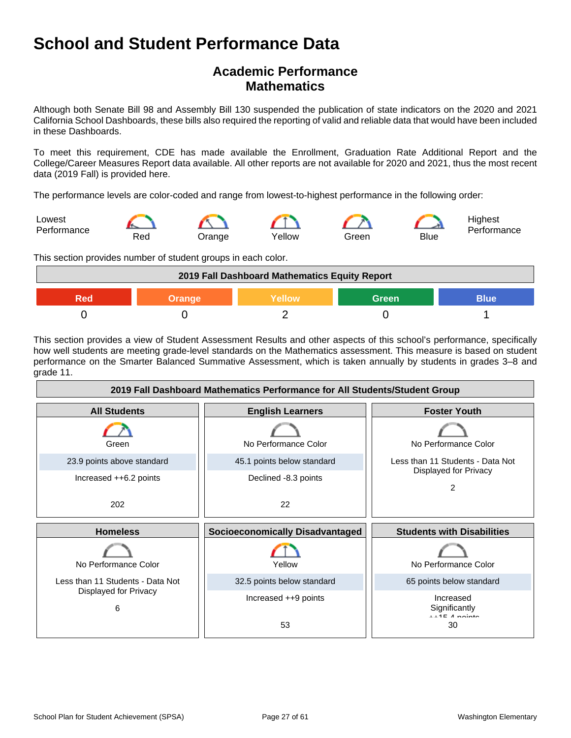## **Academic Performance Mathematics**

Although both Senate Bill 98 and Assembly Bill 130 suspended the publication of state indicators on the 2020 and 2021 California School Dashboards, these bills also required the reporting of valid and reliable data that would have been included in these Dashboards.

To meet this requirement, CDE has made available the Enrollment, Graduation Rate Additional Report and the College/Career Measures Report data available. All other reports are not available for 2020 and 2021, thus the most recent data (2019 Fall) is provided here.

The performance levels are color-coded and range from lowest-to-highest performance in the following order:



This section provides number of student groups in each color.

| 2019 Fall Dashboard Mathematics Equity Report   |  |  |  |  |
|-------------------------------------------------|--|--|--|--|
| <b>Green</b><br>Yellow<br>Blue<br>Orange<br>200 |  |  |  |  |
|                                                 |  |  |  |  |

This section provides a view of Student Assessment Results and other aspects of this school's performance, specifically how well students are meeting grade-level standards on the Mathematics assessment. This measure is based on student performance on the Smarter Balanced Summative Assessment, which is taken annually by students in grades 3–8 and grade 11.

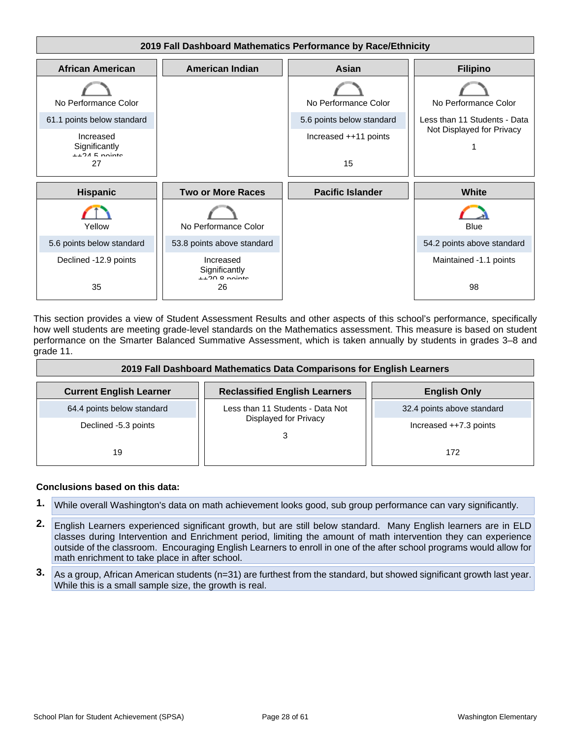

This section provides a view of Student Assessment Results and other aspects of this school's performance, specifically how well students are meeting grade-level standards on the Mathematics assessment. This measure is based on student performance on the Smarter Balanced Summative Assessment, which is taken annually by students in grades 3–8 and grade 11.

| 2019 Fall Dashboard Mathematics Data Comparisons for English Learners |                                      |                            |  |
|-----------------------------------------------------------------------|--------------------------------------|----------------------------|--|
| <b>Current English Learner</b>                                        | <b>Reclassified English Learners</b> | <b>English Only</b>        |  |
| 64.4 points below standard                                            | Less than 11 Students - Data Not     | 32.4 points above standard |  |
| Declined -5.3 points                                                  | Displayed for Privacy                | Increased $++7.3$ points   |  |
| 19                                                                    |                                      | 172                        |  |

#### **Conclusions based on this data:**

- **1.** While overall Washington's data on math achievement looks good, sub group performance can vary significantly.
- **2.** English Learners experienced significant growth, but are still below standard. Many English learners are in ELD classes during Intervention and Enrichment period, limiting the amount of math intervention they can experience outside of the classroom. Encouraging English Learners to enroll in one of the after school programs would allow for math enrichment to take place in after school.
- **3.** As a group, African American students (n=31) are furthest from the standard, but showed significant growth last year. While this is a small sample size, the growth is real.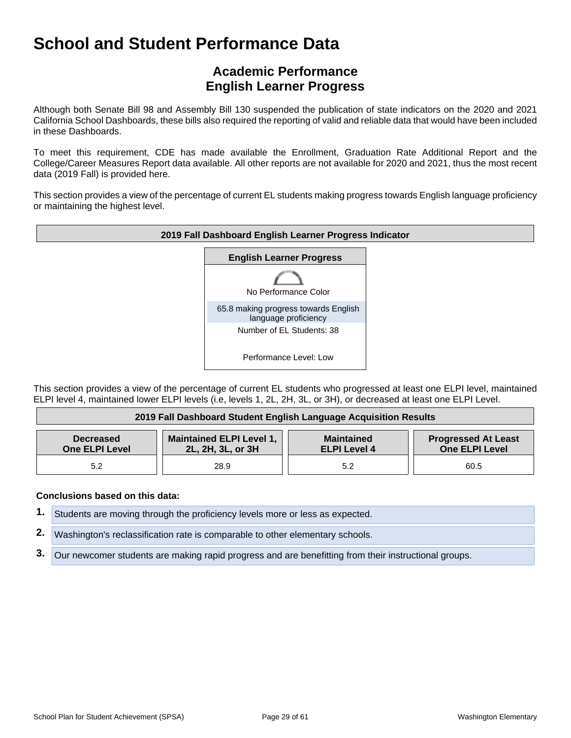## **Academic Performance English Learner Progress**

Although both Senate Bill 98 and Assembly Bill 130 suspended the publication of state indicators on the 2020 and 2021 California School Dashboards, these bills also required the reporting of valid and reliable data that would have been included in these Dashboards.

To meet this requirement, CDE has made available the Enrollment, Graduation Rate Additional Report and the College/Career Measures Report data available. All other reports are not available for 2020 and 2021, thus the most recent data (2019 Fall) is provided here.

This section provides a view of the percentage of current EL students making progress towards English language proficiency or maintaining the highest level.



This section provides a view of the percentage of current EL students who progressed at least one ELPI level, maintained ELPI level 4, maintained lower ELPI levels (i.e, levels 1, 2L, 2H, 3L, or 3H), or decreased at least one ELPI Level.

| 2019 Fall Dashboard Student English Language Acquisition Results |                                                      |                                          |                                                     |
|------------------------------------------------------------------|------------------------------------------------------|------------------------------------------|-----------------------------------------------------|
| <b>Decreased</b><br><b>One ELPI Level</b>                        | <b>Maintained ELPI Level 1,</b><br>2L, 2H, 3L, or 3H | <b>Maintained</b><br><b>ELPI Level 4</b> | <b>Progressed At Least</b><br><b>One ELPI Level</b> |
| 5.2                                                              | 28.9                                                 | 5.2                                      | 60.5                                                |

#### **Conclusions based on this data:**

**1.** Students are moving through the proficiency levels more or less as expected.

**2.** Washington's reclassification rate is comparable to other elementary schools.

**3.** Our newcomer students are making rapid progress and are benefitting from their instructional groups.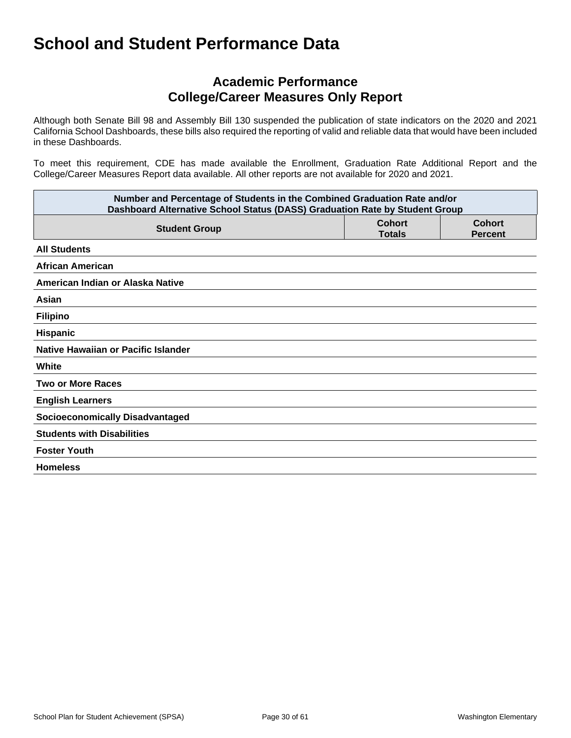## **Academic Performance College/Career Measures Only Report**

Although both Senate Bill 98 and Assembly Bill 130 suspended the publication of state indicators on the 2020 and 2021 California School Dashboards, these bills also required the reporting of valid and reliable data that would have been included in these Dashboards.

To meet this requirement, CDE has made available the Enrollment, Graduation Rate Additional Report and the College/Career Measures Report data available. All other reports are not available for 2020 and 2021.

| Number and Percentage of Students in the Combined Graduation Rate and/or<br>Dashboard Alternative School Status (DASS) Graduation Rate by Student Group |                                |                                 |
|---------------------------------------------------------------------------------------------------------------------------------------------------------|--------------------------------|---------------------------------|
| <b>Student Group</b>                                                                                                                                    | <b>Cohort</b><br><b>Totals</b> | <b>Cohort</b><br><b>Percent</b> |
| <b>All Students</b>                                                                                                                                     |                                |                                 |
| <b>African American</b>                                                                                                                                 |                                |                                 |
| American Indian or Alaska Native                                                                                                                        |                                |                                 |
| Asian                                                                                                                                                   |                                |                                 |
| <b>Filipino</b>                                                                                                                                         |                                |                                 |
| Hispanic                                                                                                                                                |                                |                                 |
| Native Hawaiian or Pacific Islander                                                                                                                     |                                |                                 |
| White                                                                                                                                                   |                                |                                 |
| <b>Two or More Races</b>                                                                                                                                |                                |                                 |
| <b>English Learners</b>                                                                                                                                 |                                |                                 |
| <b>Socioeconomically Disadvantaged</b>                                                                                                                  |                                |                                 |
| <b>Students with Disabilities</b>                                                                                                                       |                                |                                 |
| <b>Foster Youth</b>                                                                                                                                     |                                |                                 |
| <b>Homeless</b>                                                                                                                                         |                                |                                 |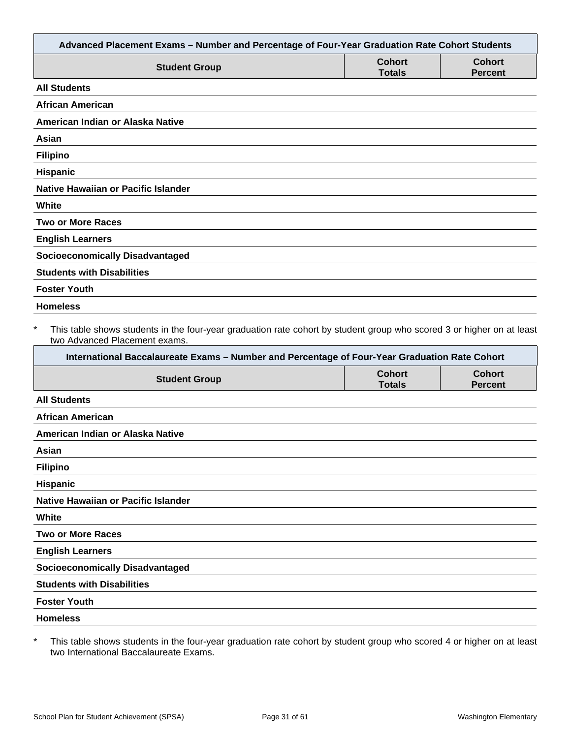|                                                                                                                                                                                                                                                                   |                                | Advanced Placement Exams - Number and Percentage of Four-Year Graduation Rate Cohort Students |
|-------------------------------------------------------------------------------------------------------------------------------------------------------------------------------------------------------------------------------------------------------------------|--------------------------------|-----------------------------------------------------------------------------------------------|
| <b>Student Group</b>                                                                                                                                                                                                                                              | <b>Cohort</b><br><b>Totals</b> | <b>Cohort</b><br><b>Percent</b>                                                               |
| <b>All Students</b>                                                                                                                                                                                                                                               |                                |                                                                                               |
| <b>African American</b>                                                                                                                                                                                                                                           |                                |                                                                                               |
| American Indian or Alaska Native                                                                                                                                                                                                                                  |                                |                                                                                               |
| Asian                                                                                                                                                                                                                                                             |                                |                                                                                               |
| <b>Filipino</b>                                                                                                                                                                                                                                                   |                                |                                                                                               |
| Hispanic                                                                                                                                                                                                                                                          |                                |                                                                                               |
| <b>Native Hawaiian or Pacific Islander</b>                                                                                                                                                                                                                        |                                |                                                                                               |
| White                                                                                                                                                                                                                                                             |                                |                                                                                               |
| <b>Two or More Races</b>                                                                                                                                                                                                                                          |                                |                                                                                               |
| <b>English Learners</b>                                                                                                                                                                                                                                           |                                |                                                                                               |
| <b>Socioeconomically Disadvantaged</b>                                                                                                                                                                                                                            |                                |                                                                                               |
| <b>Students with Disabilities</b>                                                                                                                                                                                                                                 |                                |                                                                                               |
| <b>Foster Youth</b>                                                                                                                                                                                                                                               |                                |                                                                                               |
| <b>Homeless</b>                                                                                                                                                                                                                                                   |                                |                                                                                               |
| $\ast$<br>This table shows students in the four-year graduation rate cohort by student group who scored 3 or higher on at least<br>two Advanced Placement exams.<br>International Baccalaureate Exams - Number and Percentage of Four-Year Graduation Rate Cohort |                                |                                                                                               |
| <b>Student Group</b>                                                                                                                                                                                                                                              | <b>Cohort</b><br><b>Totals</b> | <b>Cohort</b>                                                                                 |
|                                                                                                                                                                                                                                                                   |                                | <b>Percent</b>                                                                                |
| <b>All Students</b>                                                                                                                                                                                                                                               |                                |                                                                                               |
| <b>African American</b>                                                                                                                                                                                                                                           |                                |                                                                                               |
| American Indian or Alaska Native                                                                                                                                                                                                                                  |                                |                                                                                               |
| Asian                                                                                                                                                                                                                                                             |                                |                                                                                               |
| <b>Filipino</b>                                                                                                                                                                                                                                                   |                                |                                                                                               |
| Hispanic                                                                                                                                                                                                                                                          |                                |                                                                                               |
| Native Hawaiian or Pacific Islander                                                                                                                                                                                                                               |                                |                                                                                               |
| White                                                                                                                                                                                                                                                             |                                |                                                                                               |
| <b>Two or More Races</b>                                                                                                                                                                                                                                          |                                |                                                                                               |
| <b>English Learners</b>                                                                                                                                                                                                                                           |                                |                                                                                               |
| <b>Socioeconomically Disadvantaged</b>                                                                                                                                                                                                                            |                                |                                                                                               |
| <b>Students with Disabilities</b>                                                                                                                                                                                                                                 |                                |                                                                                               |
| <b>Foster Youth</b>                                                                                                                                                                                                                                               |                                |                                                                                               |
| <b>Homeless</b>                                                                                                                                                                                                                                                   |                                |                                                                                               |

\* This table shows students in the four-year graduation rate cohort by student group who scored 4 or higher on at least two International Baccalaureate Exams.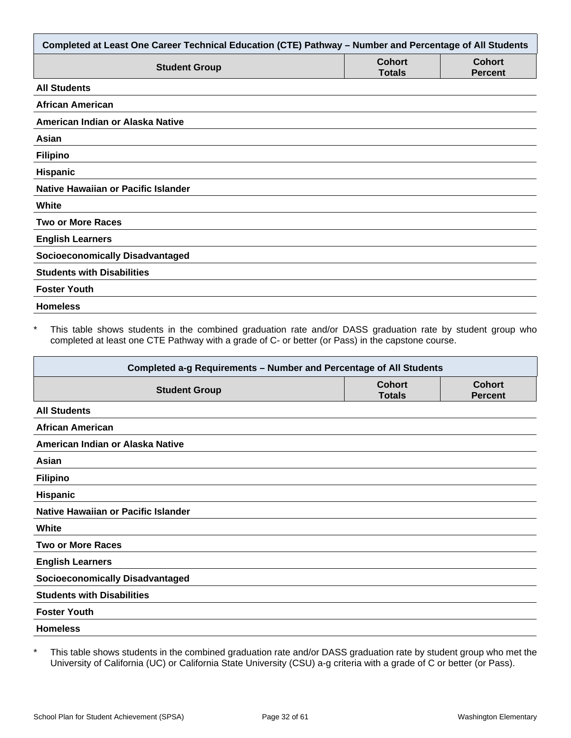| Completed at Least One Career Technical Education (CTE) Pathway - Number and Percentage of All Students |                                |                                 |
|---------------------------------------------------------------------------------------------------------|--------------------------------|---------------------------------|
| <b>Student Group</b>                                                                                    | <b>Cohort</b><br><b>Totals</b> | <b>Cohort</b><br><b>Percent</b> |
| <b>All Students</b>                                                                                     |                                |                                 |
| African American                                                                                        |                                |                                 |
| American Indian or Alaska Native                                                                        |                                |                                 |
| Asian                                                                                                   |                                |                                 |
| <b>Filipino</b>                                                                                         |                                |                                 |
| <b>Hispanic</b>                                                                                         |                                |                                 |
| Native Hawaiian or Pacific Islander                                                                     |                                |                                 |
| White                                                                                                   |                                |                                 |
| <b>Two or More Races</b>                                                                                |                                |                                 |
| <b>English Learners</b>                                                                                 |                                |                                 |
| <b>Socioeconomically Disadvantaged</b>                                                                  |                                |                                 |
| <b>Students with Disabilities</b>                                                                       |                                |                                 |
| <b>Foster Youth</b>                                                                                     |                                |                                 |
| <b>Homeless</b>                                                                                         |                                |                                 |

This table shows students in the combined graduation rate and/or DASS graduation rate by student group who completed at least one CTE Pathway with a grade of C- or better (or Pass) in the capstone course.

| Completed a-g Requirements - Number and Percentage of All Students |                                |                                 |
|--------------------------------------------------------------------|--------------------------------|---------------------------------|
| <b>Student Group</b>                                               | <b>Cohort</b><br><b>Totals</b> | <b>Cohort</b><br><b>Percent</b> |
| <b>All Students</b>                                                |                                |                                 |
| <b>African American</b>                                            |                                |                                 |
| American Indian or Alaska Native                                   |                                |                                 |
| Asian                                                              |                                |                                 |
| <b>Filipino</b>                                                    |                                |                                 |
| <b>Hispanic</b>                                                    |                                |                                 |
| Native Hawaiian or Pacific Islander                                |                                |                                 |
| White                                                              |                                |                                 |
| <b>Two or More Races</b>                                           |                                |                                 |
| <b>English Learners</b>                                            |                                |                                 |
| <b>Socioeconomically Disadvantaged</b>                             |                                |                                 |
| <b>Students with Disabilities</b>                                  |                                |                                 |
| <b>Foster Youth</b>                                                |                                |                                 |
| <b>Homeless</b>                                                    |                                |                                 |

\* This table shows students in the combined graduation rate and/or DASS graduation rate by student group who met the University of California (UC) or California State University (CSU) a-g criteria with a grade of C or better (or Pass).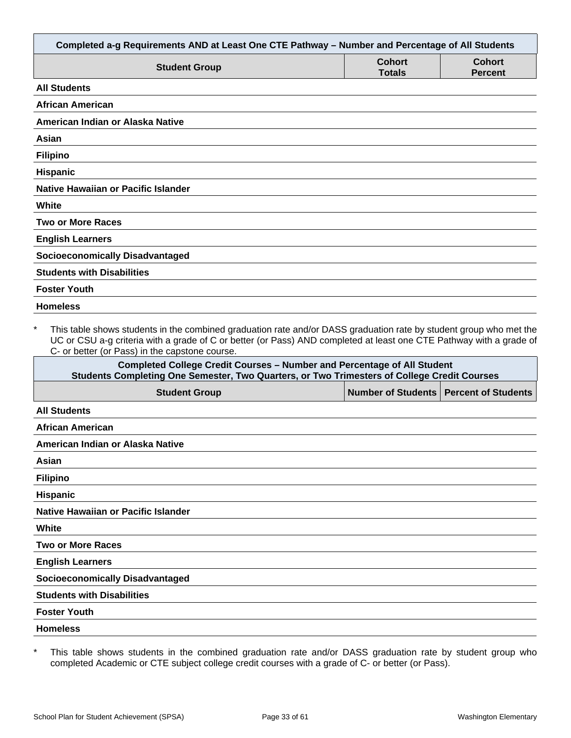| Completed a-g Requirements AND at Least One CTE Pathway - Number and Percentage of All Students                                                                                                                                                                                                                                                                                          |                                |                                 |
|------------------------------------------------------------------------------------------------------------------------------------------------------------------------------------------------------------------------------------------------------------------------------------------------------------------------------------------------------------------------------------------|--------------------------------|---------------------------------|
| <b>Student Group</b>                                                                                                                                                                                                                                                                                                                                                                     | <b>Cohort</b><br><b>Totals</b> | <b>Cohort</b><br><b>Percent</b> |
| <b>All Students</b>                                                                                                                                                                                                                                                                                                                                                                      |                                |                                 |
| <b>African American</b>                                                                                                                                                                                                                                                                                                                                                                  |                                |                                 |
| American Indian or Alaska Native                                                                                                                                                                                                                                                                                                                                                         |                                |                                 |
| Asian                                                                                                                                                                                                                                                                                                                                                                                    |                                |                                 |
| <b>Filipino</b>                                                                                                                                                                                                                                                                                                                                                                          |                                |                                 |
| <b>Hispanic</b>                                                                                                                                                                                                                                                                                                                                                                          |                                |                                 |
| Native Hawaiian or Pacific Islander                                                                                                                                                                                                                                                                                                                                                      |                                |                                 |
| White                                                                                                                                                                                                                                                                                                                                                                                    |                                |                                 |
| <b>Two or More Races</b>                                                                                                                                                                                                                                                                                                                                                                 |                                |                                 |
| <b>English Learners</b>                                                                                                                                                                                                                                                                                                                                                                  |                                |                                 |
| <b>Socioeconomically Disadvantaged</b>                                                                                                                                                                                                                                                                                                                                                   |                                |                                 |
| <b>Students with Disabilities</b>                                                                                                                                                                                                                                                                                                                                                        |                                |                                 |
| <b>Foster Youth</b>                                                                                                                                                                                                                                                                                                                                                                      |                                |                                 |
| <b>Homeless</b>                                                                                                                                                                                                                                                                                                                                                                          |                                |                                 |
| $\star$<br>This table shows students in the combined graduation rate and/or DASS graduation rate by student group who met the<br>UC or CSU a-g criteria with a grade of C or better (or Pass) AND completed at least one CTE Pathway with a grade of<br>C- or better (or Pass) in the capstone course.<br><b>Completed College Credit Courses - Number and Percentage of All Student</b> |                                |                                 |
| Students Completing One Semester, Two Quarters, or Two Trimesters of College Credit Courses                                                                                                                                                                                                                                                                                              |                                |                                 |
| <b>Student Group</b>                                                                                                                                                                                                                                                                                                                                                                     | <b>Number of Students</b>      | <b>Percent of Students</b>      |
| <b>All Students</b>                                                                                                                                                                                                                                                                                                                                                                      |                                |                                 |
| <b>African American</b>                                                                                                                                                                                                                                                                                                                                                                  |                                |                                 |
| American Indian or Alaska Native                                                                                                                                                                                                                                                                                                                                                         |                                |                                 |
| Asian                                                                                                                                                                                                                                                                                                                                                                                    |                                |                                 |

**Filipino**

**Hispanic**

**Native Hawaiian or Pacific Islander**

**White**

**Two or More Races**

**English Learners**

**Socioeconomically Disadvantaged**

**Students with Disabilities**

**Foster Youth**

**Homeless**

\* This table shows students in the combined graduation rate and/or DASS graduation rate by student group who completed Academic or CTE subject college credit courses with a grade of C- or better (or Pass).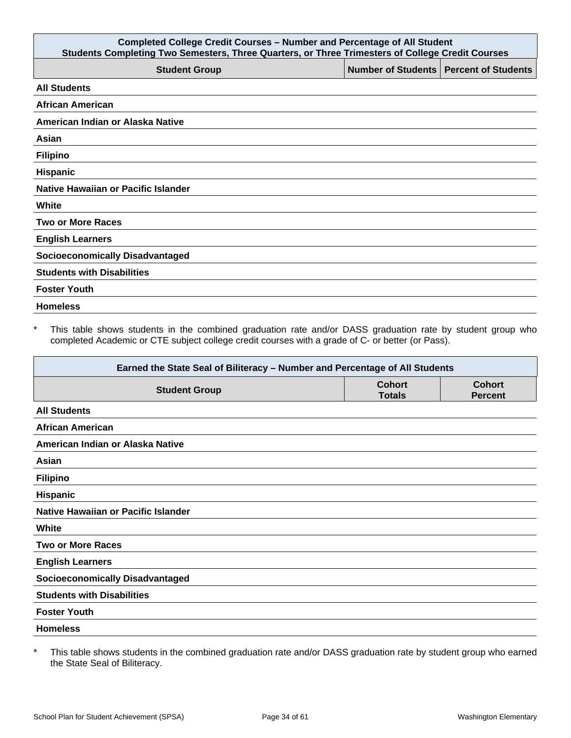| <b>Completed College Credit Courses - Number and Percentage of All Student</b><br>Students Completing Two Semesters, Three Quarters, or Three Trimesters of College Credit Courses |  |                                          |
|------------------------------------------------------------------------------------------------------------------------------------------------------------------------------------|--|------------------------------------------|
| <b>Student Group</b>                                                                                                                                                               |  | Number of Students   Percent of Students |
| <b>All Students</b>                                                                                                                                                                |  |                                          |
| <b>African American</b>                                                                                                                                                            |  |                                          |
| American Indian or Alaska Native                                                                                                                                                   |  |                                          |
| Asian                                                                                                                                                                              |  |                                          |
| <b>Filipino</b>                                                                                                                                                                    |  |                                          |
| <b>Hispanic</b>                                                                                                                                                                    |  |                                          |
| Native Hawaiian or Pacific Islander                                                                                                                                                |  |                                          |
| White                                                                                                                                                                              |  |                                          |
| <b>Two or More Races</b>                                                                                                                                                           |  |                                          |
| <b>English Learners</b>                                                                                                                                                            |  |                                          |
| <b>Socioeconomically Disadvantaged</b>                                                                                                                                             |  |                                          |
| <b>Students with Disabilities</b>                                                                                                                                                  |  |                                          |
| <b>Foster Youth</b>                                                                                                                                                                |  |                                          |
| <b>Homeless</b>                                                                                                                                                                    |  |                                          |

\* This table shows students in the combined graduation rate and/or DASS graduation rate by student group who completed Academic or CTE subject college credit courses with a grade of C- or better (or Pass).

| Earned the State Seal of Biliteracy - Number and Percentage of All Students |                                |                                 |
|-----------------------------------------------------------------------------|--------------------------------|---------------------------------|
| <b>Student Group</b>                                                        | <b>Cohort</b><br><b>Totals</b> | <b>Cohort</b><br><b>Percent</b> |
| <b>All Students</b>                                                         |                                |                                 |
| <b>African American</b>                                                     |                                |                                 |
| American Indian or Alaska Native                                            |                                |                                 |
| Asian                                                                       |                                |                                 |
| <b>Filipino</b>                                                             |                                |                                 |
| <b>Hispanic</b>                                                             |                                |                                 |
| Native Hawaiian or Pacific Islander                                         |                                |                                 |
| White                                                                       |                                |                                 |
| <b>Two or More Races</b>                                                    |                                |                                 |
| <b>English Learners</b>                                                     |                                |                                 |
| <b>Socioeconomically Disadvantaged</b>                                      |                                |                                 |
| <b>Students with Disabilities</b>                                           |                                |                                 |
| <b>Foster Youth</b>                                                         |                                |                                 |
| <b>Homeless</b>                                                             |                                |                                 |

\* This table shows students in the combined graduation rate and/or DASS graduation rate by student group who earned the State Seal of Biliteracy.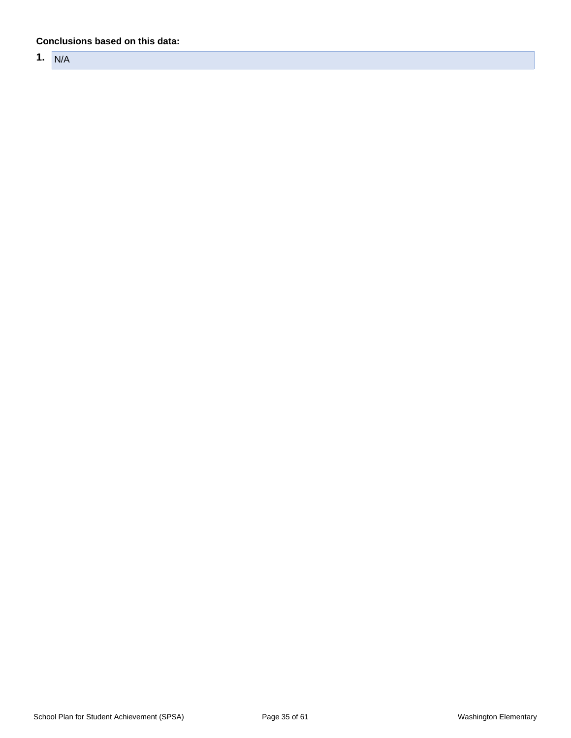#### **Conclusions based on this data:**

**1.** N/A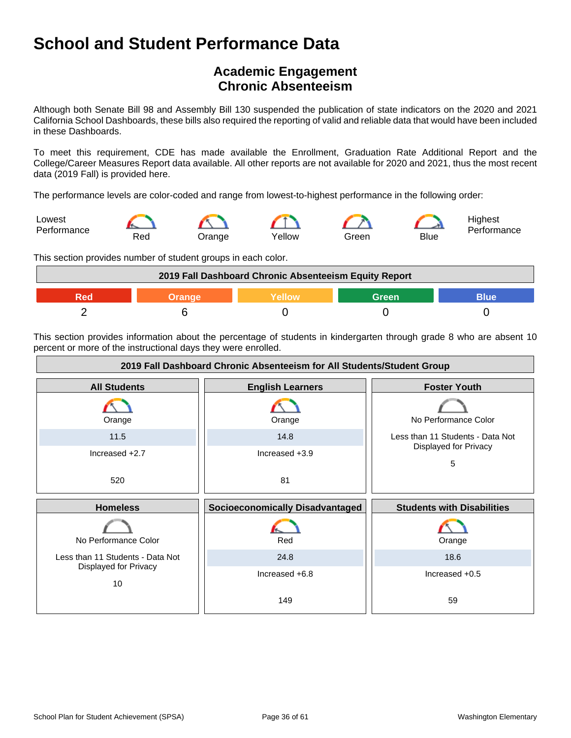## **Academic Engagement Chronic Absenteeism**

Although both Senate Bill 98 and Assembly Bill 130 suspended the publication of state indicators on the 2020 and 2021 California School Dashboards, these bills also required the reporting of valid and reliable data that would have been included in these Dashboards.

To meet this requirement, CDE has made available the Enrollment, Graduation Rate Additional Report and the College/Career Measures Report data available. All other reports are not available for 2020 and 2021, thus the most recent data (2019 Fall) is provided here.

The performance levels are color-coded and range from lowest-to-highest performance in the following order:



This section provides number of student groups in each color.



This section provides information about the percentage of students in kindergarten through grade 8 who are absent 10 percent or more of the instructional days they were enrolled.

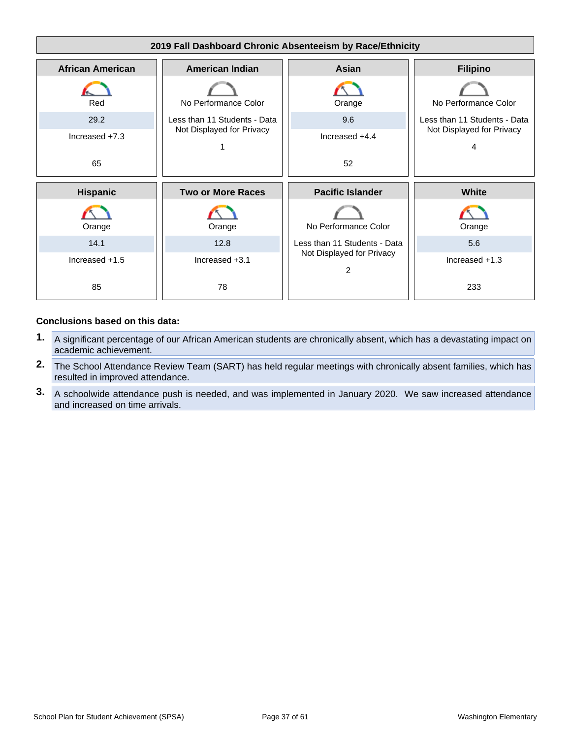

#### **Conclusions based on this data:**

- **1.** A significant percentage of our African American students are chronically absent, which has a devastating impact on academic achievement.
- **2.** The School Attendance Review Team (SART) has held regular meetings with chronically absent families, which has resulted in improved attendance.
- **3.** A schoolwide attendance push is needed, and was implemented in January 2020. We saw increased attendance and increased on time arrivals.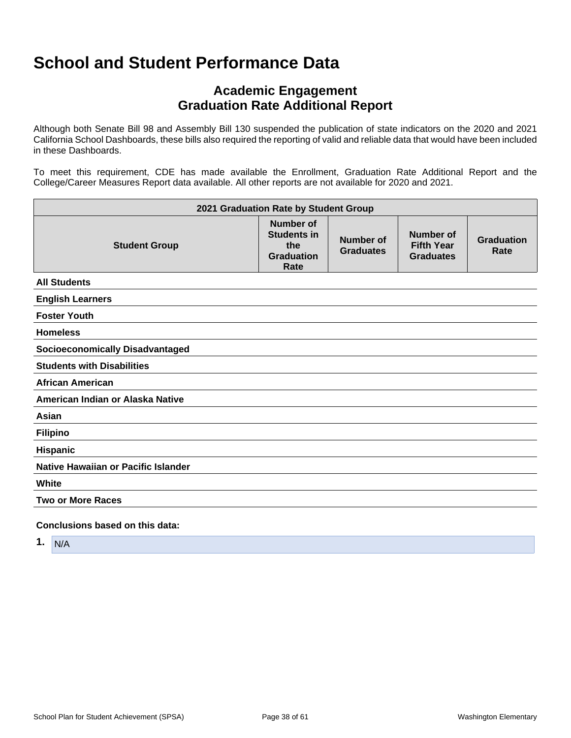## **Academic Engagement Graduation Rate Additional Report**

Although both Senate Bill 98 and Assembly Bill 130 suspended the publication of state indicators on the 2020 and 2021 California School Dashboards, these bills also required the reporting of valid and reliable data that would have been included in these Dashboards.

To meet this requirement, CDE has made available the Enrollment, Graduation Rate Additional Report and the College/Career Measures Report data available. All other reports are not available for 2020 and 2021.

| 2021 Graduation Rate by Student Group  |                                                                            |                                      |                                                           |                           |
|----------------------------------------|----------------------------------------------------------------------------|--------------------------------------|-----------------------------------------------------------|---------------------------|
| <b>Student Group</b>                   | <b>Number of</b><br><b>Students in</b><br>the<br><b>Graduation</b><br>Rate | <b>Number of</b><br><b>Graduates</b> | <b>Number of</b><br><b>Fifth Year</b><br><b>Graduates</b> | <b>Graduation</b><br>Rate |
| <b>All Students</b>                    |                                                                            |                                      |                                                           |                           |
| <b>English Learners</b>                |                                                                            |                                      |                                                           |                           |
| <b>Foster Youth</b>                    |                                                                            |                                      |                                                           |                           |
| <b>Homeless</b>                        |                                                                            |                                      |                                                           |                           |
| <b>Socioeconomically Disadvantaged</b> |                                                                            |                                      |                                                           |                           |
| <b>Students with Disabilities</b>      |                                                                            |                                      |                                                           |                           |
| <b>African American</b>                |                                                                            |                                      |                                                           |                           |
| American Indian or Alaska Native       |                                                                            |                                      |                                                           |                           |
| Asian                                  |                                                                            |                                      |                                                           |                           |
| <b>Filipino</b>                        |                                                                            |                                      |                                                           |                           |
| <b>Hispanic</b>                        |                                                                            |                                      |                                                           |                           |
| Native Hawaiian or Pacific Islander    |                                                                            |                                      |                                                           |                           |
| White                                  |                                                                            |                                      |                                                           |                           |
| <b>Two or More Races</b>               |                                                                            |                                      |                                                           |                           |
| Conclusions based on this data:        |                                                                            |                                      |                                                           |                           |

**1.** N/A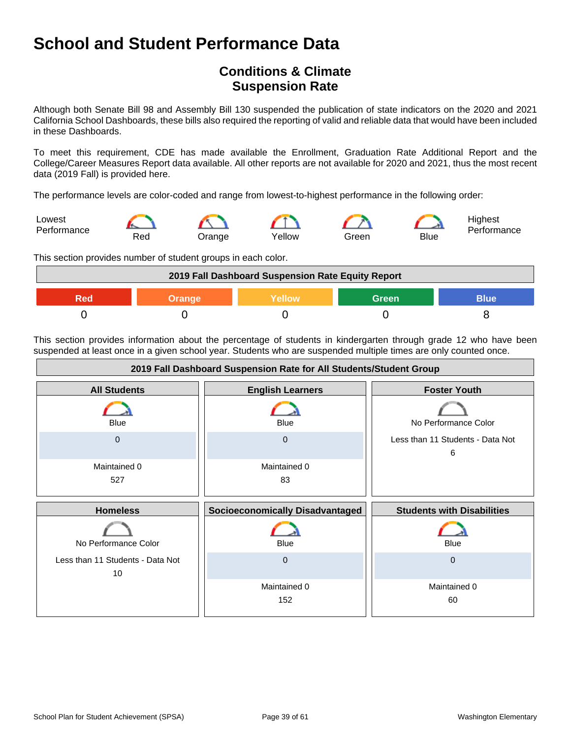## **Conditions & Climate Suspension Rate**

Although both Senate Bill 98 and Assembly Bill 130 suspended the publication of state indicators on the 2020 and 2021 California School Dashboards, these bills also required the reporting of valid and reliable data that would have been included in these Dashboards.

To meet this requirement, CDE has made available the Enrollment, Graduation Rate Additional Report and the College/Career Measures Report data available. All other reports are not available for 2020 and 2021, thus the most recent data (2019 Fall) is provided here.

The performance levels are color-coded and range from lowest-to-highest performance in the following order:



This section provides number of student groups in each color.



This section provides information about the percentage of students in kindergarten through grade 12 who have been suspended at least once in a given school year. Students who are suspended multiple times are only counted once.

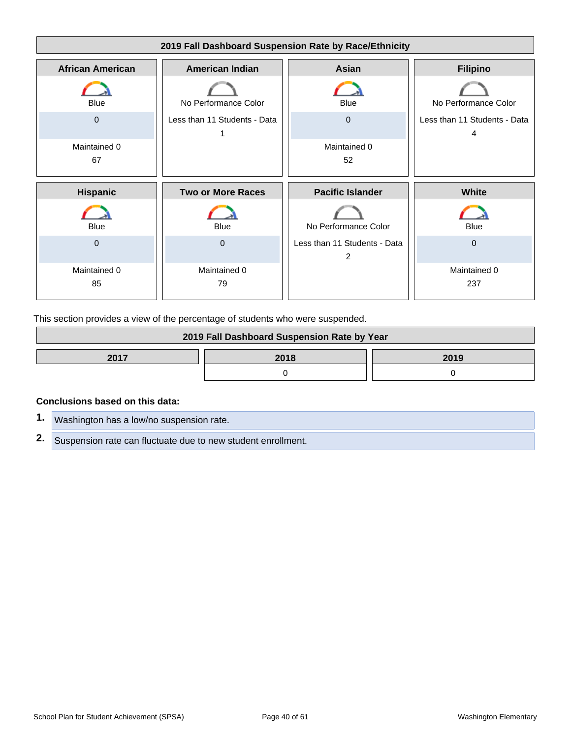

This section provides a view of the percentage of students who were suspended.

| 2019 Fall Dashboard Suspension Rate by Year |  |  |  |
|---------------------------------------------|--|--|--|
| 2017<br>2018<br>2019                        |  |  |  |
|                                             |  |  |  |

#### **Conclusions based on this data:**

**1.** Washington has a low/no suspension rate. **2.** Suspension rate can fluctuate due to new student enrollment.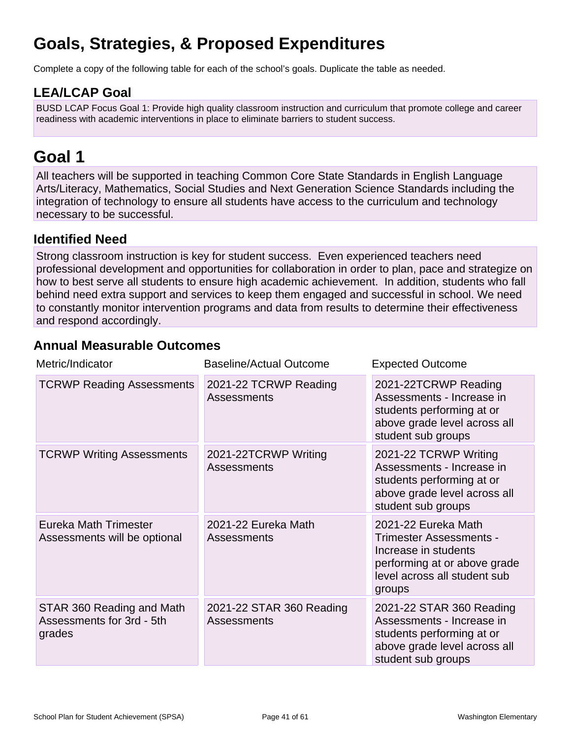# **Goals, Strategies, & Proposed Expenditures**

Complete a copy of the following table for each of the school's goals. Duplicate the table as needed.

## **LEA/LCAP Goal**

BUSD LCAP Focus Goal 1: Provide high quality classroom instruction and curriculum that promote college and career readiness with academic interventions in place to eliminate barriers to student success.

# **Goal 1**

All teachers will be supported in teaching Common Core State Standards in English Language Arts/Literacy, Mathematics, Social Studies and Next Generation Science Standards including the integration of technology to ensure all students have access to the curriculum and technology necessary to be successful.

## **Identified Need**

Strong classroom instruction is key for student success. Even experienced teachers need professional development and opportunities for collaboration in order to plan, pace and strategize on how to best serve all students to ensure high academic achievement. In addition, students who fall behind need extra support and services to keep them engaged and successful in school. We need to constantly monitor intervention programs and data from results to determine their effectiveness and respond accordingly.

## **Annual Measurable Outcomes**

| Metric/Indicator                                                 | <b>Baseline/Actual Outcome</b>              | <b>Expected Outcome</b>                                                                                                                          |
|------------------------------------------------------------------|---------------------------------------------|--------------------------------------------------------------------------------------------------------------------------------------------------|
| <b>TCRWP Reading Assessments</b>                                 | 2021-22 TCRWP Reading<br><b>Assessments</b> | 2021-22TCRWP Reading<br>Assessments - Increase in<br>students performing at or<br>above grade level across all<br>student sub groups             |
| <b>TCRWP Writing Assessments</b>                                 | 2021-22TCRWP Writing<br><b>Assessments</b>  | 2021-22 TCRWP Writing<br>Assessments - Increase in<br>students performing at or<br>above grade level across all<br>student sub groups            |
| Eureka Math Trimester<br>Assessments will be optional            | 2021-22 Eureka Math<br><b>Assessments</b>   | 2021-22 Eureka Math<br>Trimester Assessments -<br>Increase in students<br>performing at or above grade<br>level across all student sub<br>groups |
| STAR 360 Reading and Math<br>Assessments for 3rd - 5th<br>grades | 2021-22 STAR 360 Reading<br>Assessments     | 2021-22 STAR 360 Reading<br>Assessments - Increase in<br>students performing at or<br>above grade level across all<br>student sub groups         |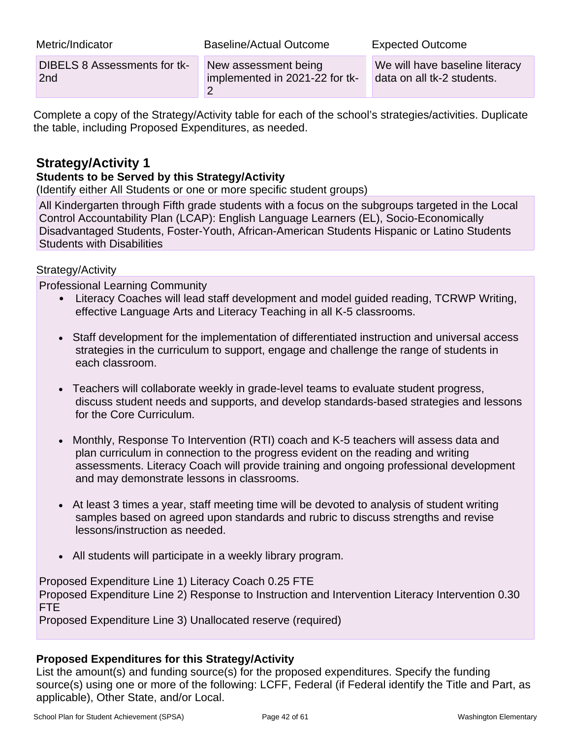| Metric/Indicator             | Baseline/Actual Outcome        | <b>Expected Outcome</b>        |
|------------------------------|--------------------------------|--------------------------------|
| DIBELS 8 Assessments for tk- | New assessment being           | We will have baseline literacy |
| 2 <sub>nd</sub>              | implemented in 2021-22 for tk- | data on all tk-2 students.     |

Complete a copy of the Strategy/Activity table for each of the school's strategies/activities. Duplicate the table, including Proposed Expenditures, as needed.

## **Strategy/Activity 1**

### **Students to be Served by this Strategy/Activity**

(Identify either All Students or one or more specific student groups)

All Kindergarten through Fifth grade students with a focus on the subgroups targeted in the Local Control Accountability Plan (LCAP): English Language Learners (EL), Socio-Economically Disadvantaged Students, Foster-Youth, African-American Students Hispanic or Latino Students Students with Disabilities

### Strategy/Activity

Professional Learning Community

- Literacy Coaches will lead staff development and model guided reading, TCRWP Writing, effective Language Arts and Literacy Teaching in all K-5 classrooms.
- Staff development for the implementation of differentiated instruction and universal access strategies in the curriculum to support, engage and challenge the range of students in each classroom.
- Teachers will collaborate weekly in grade-level teams to evaluate student progress, discuss student needs and supports, and develop standards-based strategies and lessons for the Core Curriculum.
- Monthly, Response To Intervention (RTI) coach and K-5 teachers will assess data and plan curriculum in connection to the progress evident on the reading and writing assessments. Literacy Coach will provide training and ongoing professional development and may demonstrate lessons in classrooms.
- At least 3 times a year, staff meeting time will be devoted to analysis of student writing samples based on agreed upon standards and rubric to discuss strengths and revise lessons/instruction as needed.
- All students will participate in a weekly library program.

Proposed Expenditure Line 1) Literacy Coach 0.25 FTE Proposed Expenditure Line 2) Response to Instruction and Intervention Literacy Intervention 0.30 FTE

Proposed Expenditure Line 3) Unallocated reserve (required)

### **Proposed Expenditures for this Strategy/Activity**

List the amount(s) and funding source(s) for the proposed expenditures. Specify the funding source(s) using one or more of the following: LCFF, Federal (if Federal identify the Title and Part, as applicable), Other State, and/or Local.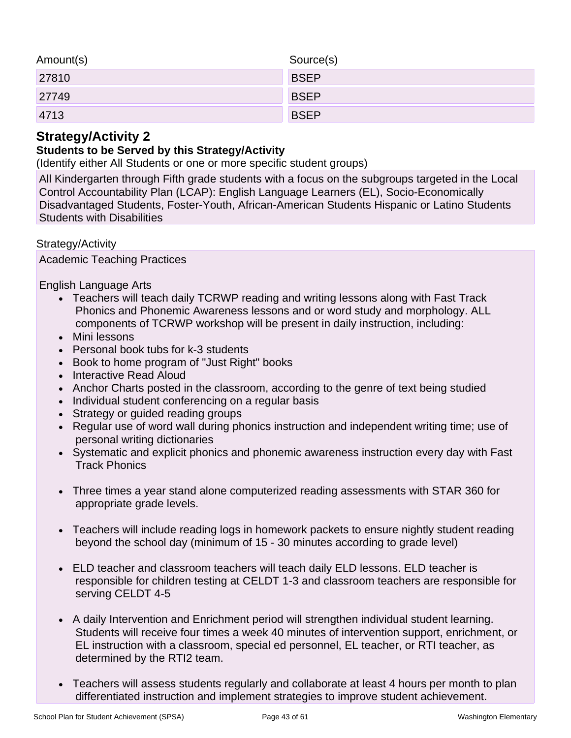| Amount(s) | Source(s)   |
|-----------|-------------|
| 27810     | <b>BSEP</b> |
| 27749     | <b>BSEP</b> |
| 4713      | <b>BSEP</b> |

## **Strategy/Activity 2**

### **Students to be Served by this Strategy/Activity**

(Identify either All Students or one or more specific student groups)

All Kindergarten through Fifth grade students with a focus on the subgroups targeted in the Local Control Accountability Plan (LCAP): English Language Learners (EL), Socio-Economically Disadvantaged Students, Foster-Youth, African-American Students Hispanic or Latino Students Students with Disabilities

Strategy/Activity

Academic Teaching Practices

English Language Arts

- Teachers will teach daily TCRWP reading and writing lessons along with Fast Track Phonics and Phonemic Awareness lessons and or word study and morphology. ALL components of TCRWP workshop will be present in daily instruction, including:
- Mini lessons
- Personal book tubs for k-3 students
- Book to home program of "Just Right" books
- Interactive Read Aloud
- Anchor Charts posted in the classroom, according to the genre of text being studied
- Individual student conferencing on a regular basis
- Strategy or guided reading groups
- Regular use of word wall during phonics instruction and independent writing time; use of personal writing dictionaries
- Systematic and explicit phonics and phonemic awareness instruction every day with Fast Track Phonics
- Three times a year stand alone computerized reading assessments with STAR 360 for appropriate grade levels.
- Teachers will include reading logs in homework packets to ensure nightly student reading beyond the school day (minimum of 15 - 30 minutes according to grade level)
- ELD teacher and classroom teachers will teach daily ELD lessons. ELD teacher is responsible for children testing at CELDT 1-3 and classroom teachers are responsible for serving CELDT 4-5
- A daily Intervention and Enrichment period will strengthen individual student learning. Students will receive four times a week 40 minutes of intervention support, enrichment, or EL instruction with a classroom, special ed personnel, EL teacher, or RTI teacher, as determined by the RTI2 team.
- Teachers will assess students regularly and collaborate at least 4 hours per month to plan differentiated instruction and implement strategies to improve student achievement.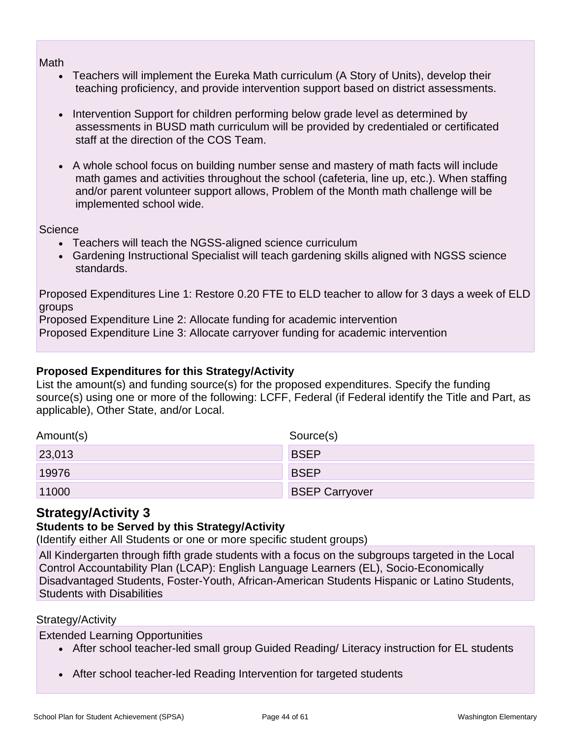Math

- Teachers will implement the Eureka Math curriculum (A Story of Units), develop their teaching proficiency, and provide intervention support based on district assessments.
- Intervention Support for children performing below grade level as determined by assessments in BUSD math curriculum will be provided by credentialed or certificated staff at the direction of the COS Team.
- A whole school focus on building number sense and mastery of math facts will include math games and activities throughout the school (cafeteria, line up, etc.). When staffing and/or parent volunteer support allows, Problem of the Month math challenge will be implemented school wide.

**Science** 

- Teachers will teach the NGSS-aligned science curriculum
- Gardening Instructional Specialist will teach gardening skills aligned with NGSS science standards.

Proposed Expenditures Line 1: Restore 0.20 FTE to ELD teacher to allow for 3 days a week of ELD groups

Proposed Expenditure Line 2: Allocate funding for academic intervention

Proposed Expenditure Line 3: Allocate carryover funding for academic intervention

### **Proposed Expenditures for this Strategy/Activity**

List the amount(s) and funding source(s) for the proposed expenditures. Specify the funding source(s) using one or more of the following: LCFF, Federal (if Federal identify the Title and Part, as applicable), Other State, and/or Local.

| Amount(s) | Source(s)             |
|-----------|-----------------------|
| 23,013    | <b>BSEP</b>           |
| 19976     | <b>BSEP</b>           |
| 11000     | <b>BSEP Carryover</b> |

## **Strategy/Activity 3**

## **Students to be Served by this Strategy/Activity**

(Identify either All Students or one or more specific student groups)

All Kindergarten through fifth grade students with a focus on the subgroups targeted in the Local Control Accountability Plan (LCAP): English Language Learners (EL), Socio-Economically Disadvantaged Students, Foster-Youth, African-American Students Hispanic or Latino Students, Students with Disabilities

### Strategy/Activity

Extended Learning Opportunities

- After school teacher-led small group Guided Reading/ Literacy instruction for EL students
- After school teacher-led Reading Intervention for targeted students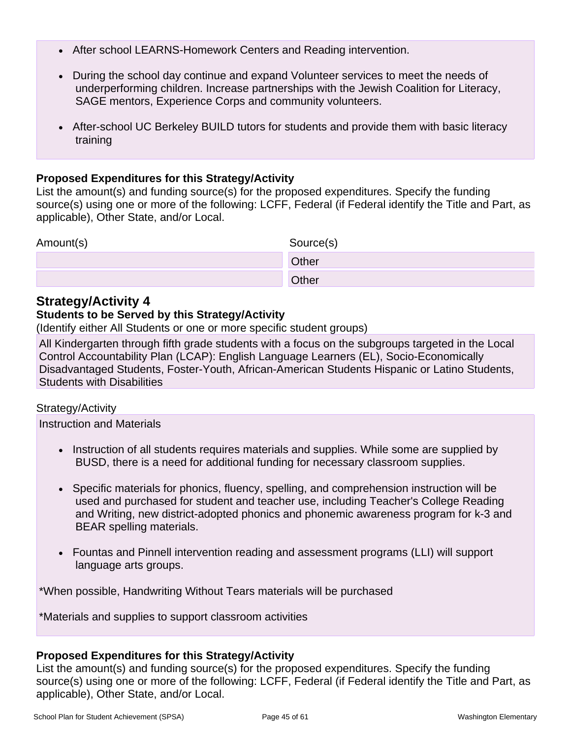- After school LEARNS-Homework Centers and Reading intervention.
- During the school day continue and expand Volunteer services to meet the needs of underperforming children. Increase partnerships with the Jewish Coalition for Literacy, SAGE mentors, Experience Corps and community volunteers.
- After-school UC Berkeley BUILD tutors for students and provide them with basic literacy training

### **Proposed Expenditures for this Strategy/Activity**

List the amount(s) and funding source(s) for the proposed expenditures. Specify the funding source(s) using one or more of the following: LCFF, Federal (if Federal identify the Title and Part, as applicable), Other State, and/or Local.

| Amount(s) | Source(s)    |
|-----------|--------------|
|           | <b>Other</b> |
|           | Other        |

## **Strategy/Activity 4**

### **Students to be Served by this Strategy/Activity**

(Identify either All Students or one or more specific student groups)

All Kindergarten through fifth grade students with a focus on the subgroups targeted in the Local Control Accountability Plan (LCAP): English Language Learners (EL), Socio-Economically Disadvantaged Students, Foster-Youth, African-American Students Hispanic or Latino Students, Students with Disabilities

### Strategy/Activity

Instruction and Materials

- Instruction of all students requires materials and supplies. While some are supplied by BUSD, there is a need for additional funding for necessary classroom supplies.
- Specific materials for phonics, fluency, spelling, and comprehension instruction will be used and purchased for student and teacher use, including Teacher's College Reading and Writing, new district-adopted phonics and phonemic awareness program for k-3 and BEAR spelling materials.
- Fountas and Pinnell intervention reading and assessment programs (LLI) will support language arts groups.

\*When possible, Handwriting Without Tears materials will be purchased

\*Materials and supplies to support classroom activities

### **Proposed Expenditures for this Strategy/Activity**

List the amount(s) and funding source(s) for the proposed expenditures. Specify the funding source(s) using one or more of the following: LCFF, Federal (if Federal identify the Title and Part, as applicable), Other State, and/or Local.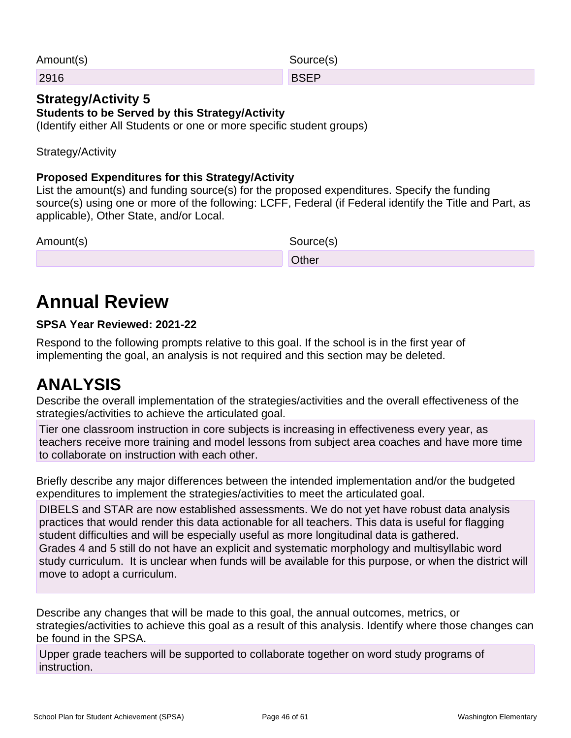| Amount(s) | Source(s)   |
|-----------|-------------|
| 2916      | <b>BSEP</b> |
|           |             |

#### **Strategy/Activity 5 Students to be Served by this Strategy/Activity** (Identify either All Students or one or more specific student groups)

Strategy/Activity

## **Proposed Expenditures for this Strategy/Activity**

List the amount(s) and funding source(s) for the proposed expenditures. Specify the funding source(s) using one or more of the following: LCFF, Federal (if Federal identify the Title and Part, as applicable), Other State, and/or Local.

| Amount(s) | Source(s) |
|-----------|-----------|
|           | Other     |

# **Annual Review**

## **SPSA Year Reviewed: 2021-22**

Respond to the following prompts relative to this goal. If the school is in the first year of implementing the goal, an analysis is not required and this section may be deleted.

# **ANALYSIS**

Describe the overall implementation of the strategies/activities and the overall effectiveness of the strategies/activities to achieve the articulated goal.

Tier one classroom instruction in core subjects is increasing in effectiveness every year, as teachers receive more training and model lessons from subject area coaches and have more time to collaborate on instruction with each other.

Briefly describe any major differences between the intended implementation and/or the budgeted expenditures to implement the strategies/activities to meet the articulated goal.

DIBELS and STAR are now established assessments. We do not yet have robust data analysis practices that would render this data actionable for all teachers. This data is useful for flagging student difficulties and will be especially useful as more longitudinal data is gathered. Grades 4 and 5 still do not have an explicit and systematic morphology and multisyllabic word study curriculum. It is unclear when funds will be available for this purpose, or when the district will move to adopt a curriculum.

Describe any changes that will be made to this goal, the annual outcomes, metrics, or strategies/activities to achieve this goal as a result of this analysis. Identify where those changes can be found in the SPSA.

Upper grade teachers will be supported to collaborate together on word study programs of instruction.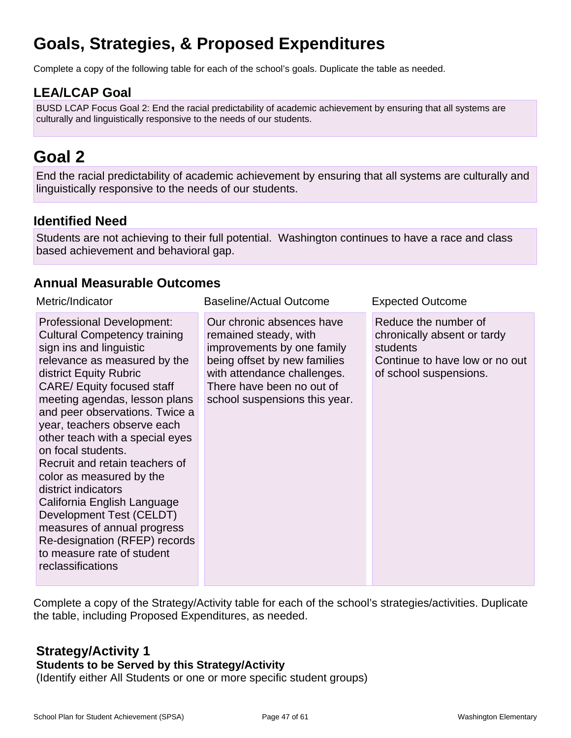# **Goals, Strategies, & Proposed Expenditures**

Complete a copy of the following table for each of the school's goals. Duplicate the table as needed.

## **LEA/LCAP Goal**

BUSD LCAP Focus Goal 2: End the racial predictability of academic achievement by ensuring that all systems are culturally and linguistically responsive to the needs of our students.

# **Goal 2**

End the racial predictability of academic achievement by ensuring that all systems are culturally and linguistically responsive to the needs of our students.

## **Identified Need**

Students are not achieving to their full potential. Washington continues to have a race and class based achievement and behavioral gap.

## **Annual Measurable Outcomes**

| Metric/Indicator                                                                                                                                                                                                                                                                                                                                                                                                                                                                                                                                                                                                                | <b>Baseline/Actual Outcome</b>                                                                                                                                                                                | <b>Expected Outcome</b>                                                                                                     |
|---------------------------------------------------------------------------------------------------------------------------------------------------------------------------------------------------------------------------------------------------------------------------------------------------------------------------------------------------------------------------------------------------------------------------------------------------------------------------------------------------------------------------------------------------------------------------------------------------------------------------------|---------------------------------------------------------------------------------------------------------------------------------------------------------------------------------------------------------------|-----------------------------------------------------------------------------------------------------------------------------|
| <b>Professional Development:</b><br><b>Cultural Competency training</b><br>sign ins and linguistic<br>relevance as measured by the<br>district Equity Rubric<br><b>CARE/ Equity focused staff</b><br>meeting agendas, lesson plans<br>and peer observations. Twice a<br>year, teachers observe each<br>other teach with a special eyes<br>on focal students.<br>Recruit and retain teachers of<br>color as measured by the<br>district indicators<br>California English Language<br>Development Test (CELDT)<br>measures of annual progress<br>Re-designation (RFEP) records<br>to measure rate of student<br>reclassifications | Our chronic absences have<br>remained steady, with<br>improvements by one family<br>being offset by new families<br>with attendance challenges.<br>There have been no out of<br>school suspensions this year. | Reduce the number of<br>chronically absent or tardy<br>students<br>Continue to have low or no out<br>of school suspensions. |

Complete a copy of the Strategy/Activity table for each of the school's strategies/activities. Duplicate the table, including Proposed Expenditures, as needed.

## **Strategy/Activity 1**

#### **Students to be Served by this Strategy/Activity**

(Identify either All Students or one or more specific student groups)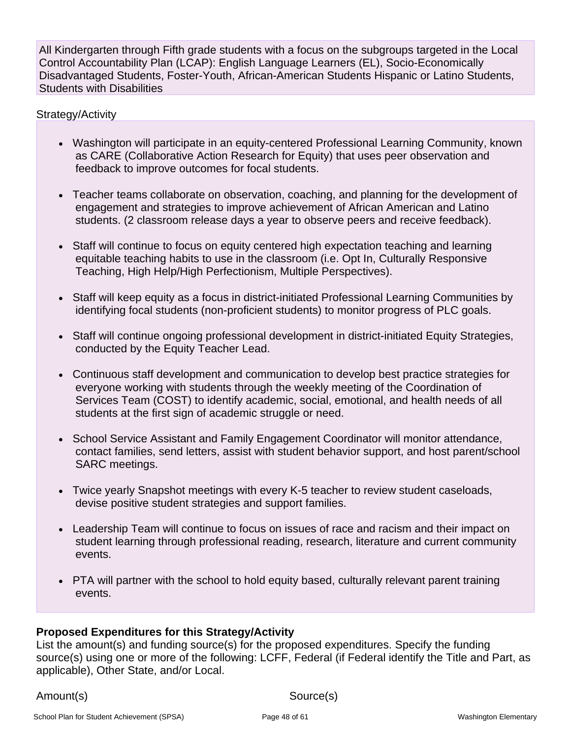All Kindergarten through Fifth grade students with a focus on the subgroups targeted in the Local Control Accountability Plan (LCAP): English Language Learners (EL), Socio-Economically Disadvantaged Students, Foster-Youth, African-American Students Hispanic or Latino Students, Students with Disabilities

### Strategy/Activity

- Washington will participate in an equity-centered Professional Learning Community, known as CARE (Collaborative Action Research for Equity) that uses peer observation and feedback to improve outcomes for focal students.
- Teacher teams collaborate on observation, coaching, and planning for the development of engagement and strategies to improve achievement of African American and Latino students. (2 classroom release days a year to observe peers and receive feedback).
- Staff will continue to focus on equity centered high expectation teaching and learning equitable teaching habits to use in the classroom (i.e. Opt In, Culturally Responsive Teaching, High Help/High Perfectionism, Multiple Perspectives).
- Staff will keep equity as a focus in district-initiated Professional Learning Communities by identifying focal students (non-proficient students) to monitor progress of PLC goals.
- Staff will continue ongoing professional development in district-initiated Equity Strategies, conducted by the Equity Teacher Lead.
- Continuous staff development and communication to develop best practice strategies for everyone working with students through the weekly meeting of the Coordination of Services Team (COST) to identify academic, social, emotional, and health needs of all students at the first sign of academic struggle or need.
- School Service Assistant and Family Engagement Coordinator will monitor attendance, contact families, send letters, assist with student behavior support, and host parent/school SARC meetings.
- Twice yearly Snapshot meetings with every K-5 teacher to review student caseloads, devise positive student strategies and support families.
- Leadership Team will continue to focus on issues of race and racism and their impact on student learning through professional reading, research, literature and current community events.
- PTA will partner with the school to hold equity based, culturally relevant parent training events.

### **Proposed Expenditures for this Strategy/Activity**

List the amount(s) and funding source(s) for the proposed expenditures. Specify the funding source(s) using one or more of the following: LCFF, Federal (if Federal identify the Title and Part, as applicable), Other State, and/or Local.

Amount(s) Source(s)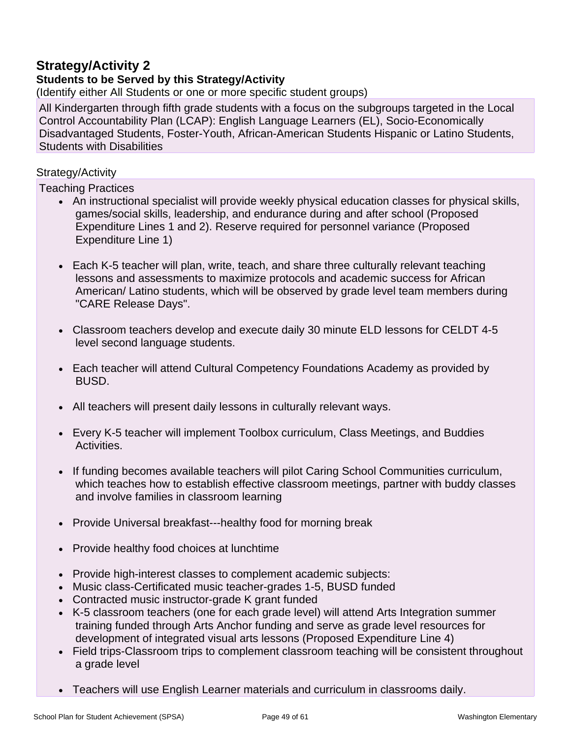## **Strategy/Activity 2**

### **Students to be Served by this Strategy/Activity**

(Identify either All Students or one or more specific student groups)

All Kindergarten through fifth grade students with a focus on the subgroups targeted in the Local Control Accountability Plan (LCAP): English Language Learners (EL), Socio-Economically Disadvantaged Students, Foster-Youth, African-American Students Hispanic or Latino Students, Students with Disabilities

#### Strategy/Activity

Teaching Practices

- An instructional specialist will provide weekly physical education classes for physical skills, games/social skills, leadership, and endurance during and after school (Proposed Expenditure Lines 1 and 2). Reserve required for personnel variance (Proposed Expenditure Line 1)
- Each K-5 teacher will plan, write, teach, and share three culturally relevant teaching lessons and assessments to maximize protocols and academic success for African American/ Latino students, which will be observed by grade level team members during "CARE Release Days".
- Classroom teachers develop and execute daily 30 minute ELD lessons for CELDT 4-5 level second language students.
- Each teacher will attend Cultural Competency Foundations Academy as provided by BUSD.
- All teachers will present daily lessons in culturally relevant ways.
- Every K-5 teacher will implement Toolbox curriculum, Class Meetings, and Buddies Activities.
- If funding becomes available teachers will pilot Caring School Communities curriculum, which teaches how to establish effective classroom meetings, partner with buddy classes and involve families in classroom learning
- Provide Universal breakfast---healthy food for morning break
- Provide healthy food choices at lunchtime
- Provide high-interest classes to complement academic subjects:
- Music class-Certificated music teacher-grades 1-5, BUSD funded
- Contracted music instructor-grade K grant funded
- K-5 classroom teachers (one for each grade level) will attend Arts Integration summer training funded through Arts Anchor funding and serve as grade level resources for development of integrated visual arts lessons (Proposed Expenditure Line 4)
- Field trips-Classroom trips to complement classroom teaching will be consistent throughout a grade level
- Teachers will use English Learner materials and curriculum in classrooms daily.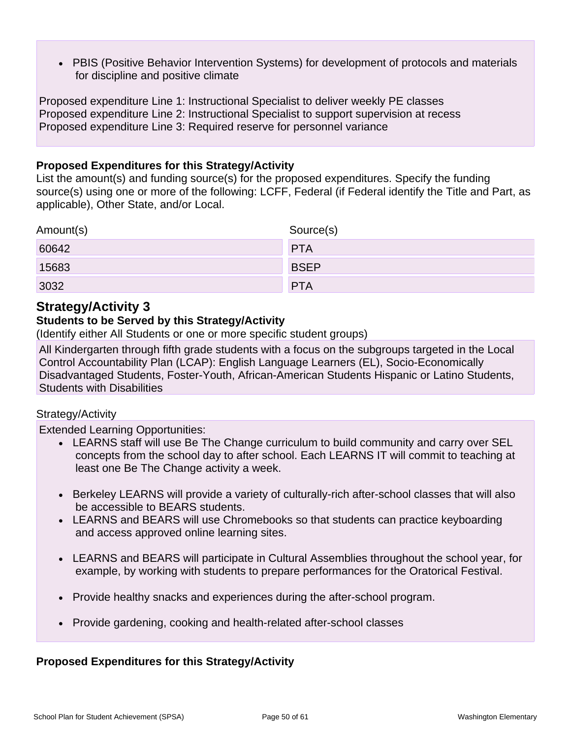• PBIS (Positive Behavior Intervention Systems) for development of protocols and materials for discipline and positive climate

Proposed expenditure Line 1: Instructional Specialist to deliver weekly PE classes Proposed expenditure Line 2: Instructional Specialist to support supervision at recess Proposed expenditure Line 3: Required reserve for personnel variance

### **Proposed Expenditures for this Strategy/Activity**

List the amount(s) and funding source(s) for the proposed expenditures. Specify the funding source(s) using one or more of the following: LCFF, Federal (if Federal identify the Title and Part, as applicable), Other State, and/or Local.

| Amount(s) | Source(s)   |
|-----------|-------------|
| 60642     | <b>PTA</b>  |
| 15683     | <b>BSEP</b> |
| 3032      | <b>PTA</b>  |

## **Strategy/Activity 3**

### **Students to be Served by this Strategy/Activity**

(Identify either All Students or one or more specific student groups)

All Kindergarten through fifth grade students with a focus on the subgroups targeted in the Local Control Accountability Plan (LCAP): English Language Learners (EL), Socio-Economically Disadvantaged Students, Foster-Youth, African-American Students Hispanic or Latino Students, Students with Disabilities

#### Strategy/Activity

Extended Learning Opportunities:

- LEARNS staff will use Be The Change curriculum to build community and carry over SEL concepts from the school day to after school. Each LEARNS IT will commit to teaching at least one Be The Change activity a week.
- Berkeley LEARNS will provide a variety of culturally-rich after-school classes that will also be accessible to BEARS students.
- LEARNS and BEARS will use Chromebooks so that students can practice keyboarding and access approved online learning sites.
- LEARNS and BEARS will participate in Cultural Assemblies throughout the school year, for example, by working with students to prepare performances for the Oratorical Festival.
- Provide healthy snacks and experiences during the after-school program.
- Provide gardening, cooking and health-related after-school classes

### **Proposed Expenditures for this Strategy/Activity**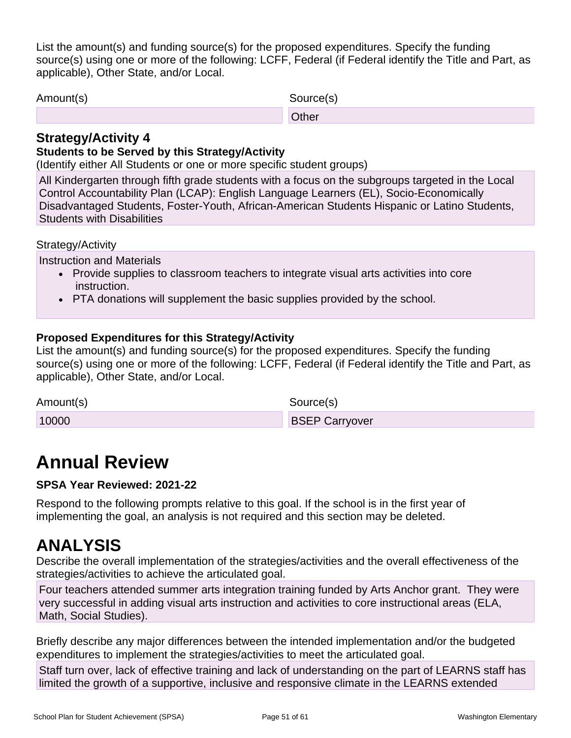List the amount(s) and funding source(s) for the proposed expenditures. Specify the funding source(s) using one or more of the following: LCFF, Federal (if Federal identify the Title and Part, as applicable), Other State, and/or Local.

| Amount(s) | Source(s) |
|-----------|-----------|
|           | Other     |
|           |           |

## **Strategy/Activity 4**

## **Students to be Served by this Strategy/Activity**

(Identify either All Students or one or more specific student groups)

All Kindergarten through fifth grade students with a focus on the subgroups targeted in the Local Control Accountability Plan (LCAP): English Language Learners (EL), Socio-Economically Disadvantaged Students, Foster-Youth, African-American Students Hispanic or Latino Students, Students with Disabilities

### Strategy/Activity

Instruction and Materials

- Provide supplies to classroom teachers to integrate visual arts activities into core instruction.
- PTA donations will supplement the basic supplies provided by the school.

### **Proposed Expenditures for this Strategy/Activity**

List the amount(s) and funding source(s) for the proposed expenditures. Specify the funding source(s) using one or more of the following: LCFF, Federal (if Federal identify the Title and Part, as applicable), Other State, and/or Local.

Amount(s) Source(s)

10000 **BSEP Carryover** 

# **Annual Review**

### **SPSA Year Reviewed: 2021-22**

Respond to the following prompts relative to this goal. If the school is in the first year of implementing the goal, an analysis is not required and this section may be deleted.

# **ANALYSIS**

Describe the overall implementation of the strategies/activities and the overall effectiveness of the strategies/activities to achieve the articulated goal.

Four teachers attended summer arts integration training funded by Arts Anchor grant. They were very successful in adding visual arts instruction and activities to core instructional areas (ELA, Math, Social Studies).

Briefly describe any major differences between the intended implementation and/or the budgeted expenditures to implement the strategies/activities to meet the articulated goal.

Staff turn over, lack of effective training and lack of understanding on the part of LEARNS staff has limited the growth of a supportive, inclusive and responsive climate in the LEARNS extended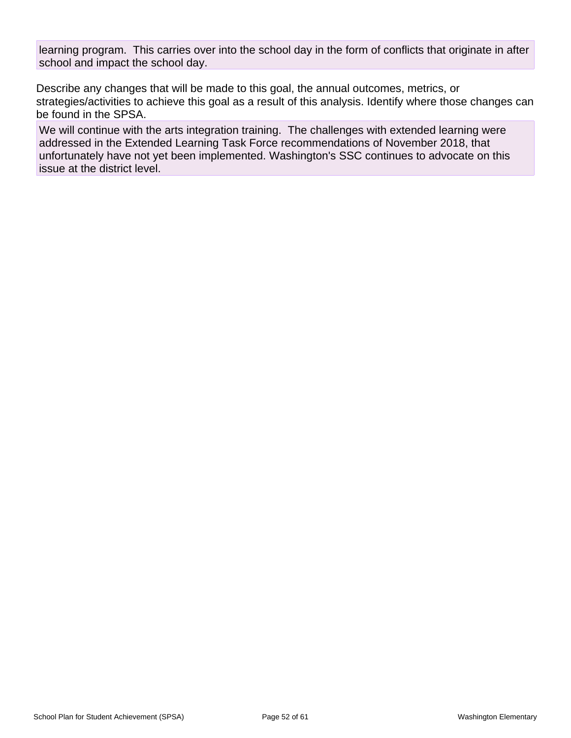learning program. This carries over into the school day in the form of conflicts that originate in after school and impact the school day.

Describe any changes that will be made to this goal, the annual outcomes, metrics, or strategies/activities to achieve this goal as a result of this analysis. Identify where those changes can be found in the SPSA.

We will continue with the arts integration training. The challenges with extended learning were addressed in the Extended Learning Task Force recommendations of November 2018, that unfortunately have not yet been implemented. Washington's SSC continues to advocate on this issue at the district level.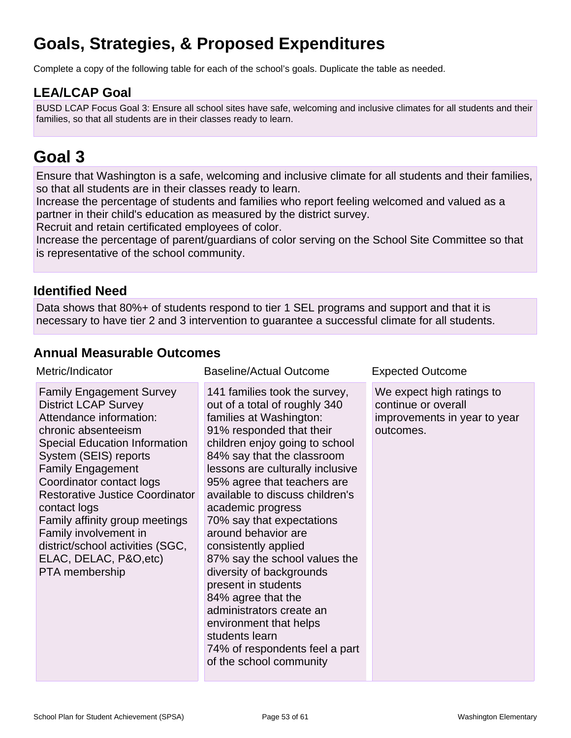# **Goals, Strategies, & Proposed Expenditures**

Complete a copy of the following table for each of the school's goals. Duplicate the table as needed.

## **LEA/LCAP Goal**

BUSD LCAP Focus Goal 3: Ensure all school sites have safe, welcoming and inclusive climates for all students and their families, so that all students are in their classes ready to learn.

# **Goal 3**

Ensure that Washington is a safe, welcoming and inclusive climate for all students and their families, so that all students are in their classes ready to learn.

Increase the percentage of students and families who report feeling welcomed and valued as a partner in their child's education as measured by the district survey.

Recruit and retain certificated employees of color.

Increase the percentage of parent/guardians of color serving on the School Site Committee so that is representative of the school community.

## **Identified Need**

Data shows that 80%+ of students respond to tier 1 SEL programs and support and that it is necessary to have tier 2 and 3 intervention to guarantee a successful climate for all students.

## **Annual Measurable Outcomes**

| Metric/Indicator                                                                                                                                                                                                                                                                                                                                                                                                                        | <b>Baseline/Actual Outcome</b>                                                                                                                                                                                                                                                                                                                                                                                                                                                                                                                                                                                                              | <b>Expected Outcome</b>                                                                       |  |  |  |  |
|-----------------------------------------------------------------------------------------------------------------------------------------------------------------------------------------------------------------------------------------------------------------------------------------------------------------------------------------------------------------------------------------------------------------------------------------|---------------------------------------------------------------------------------------------------------------------------------------------------------------------------------------------------------------------------------------------------------------------------------------------------------------------------------------------------------------------------------------------------------------------------------------------------------------------------------------------------------------------------------------------------------------------------------------------------------------------------------------------|-----------------------------------------------------------------------------------------------|--|--|--|--|
| <b>Family Engagement Survey</b><br><b>District LCAP Survey</b><br>Attendance information:<br>chronic absenteeism<br><b>Special Education Information</b><br>System (SEIS) reports<br><b>Family Engagement</b><br>Coordinator contact logs<br>Restorative Justice Coordinator<br>contact logs<br>Family affinity group meetings<br>Family involvement in<br>district/school activities (SGC,<br>ELAC, DELAC, P&O, etc)<br>PTA membership | 141 families took the survey,<br>out of a total of roughly 340<br>families at Washington:<br>91% responded that their<br>children enjoy going to school<br>84% say that the classroom<br>lessons are culturally inclusive<br>95% agree that teachers are<br>available to discuss children's<br>academic progress<br>70% say that expectations<br>around behavior are<br>consistently applied<br>87% say the school values the<br>diversity of backgrounds<br>present in students<br>84% agree that the<br>administrators create an<br>environment that helps<br>students learn<br>74% of respondents feel a part<br>of the school community | We expect high ratings to<br>continue or overall<br>improvements in year to year<br>outcomes. |  |  |  |  |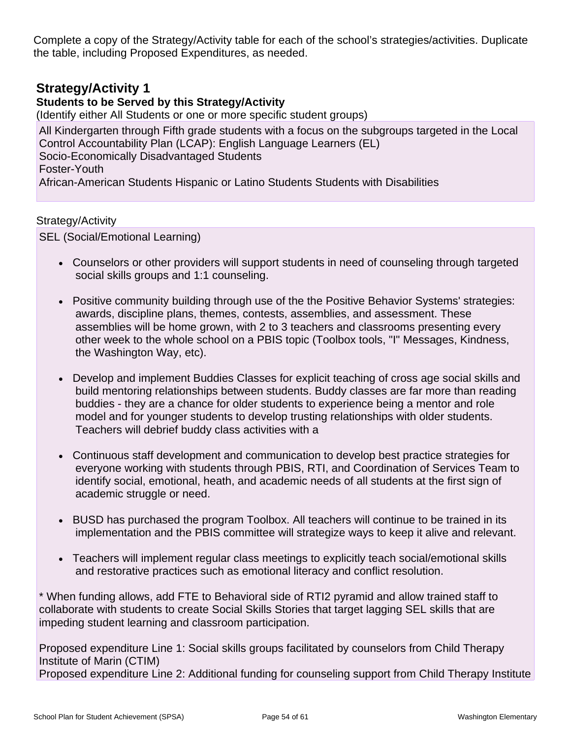Complete a copy of the Strategy/Activity table for each of the school's strategies/activities. Duplicate the table, including Proposed Expenditures, as needed.

## **Strategy/Activity 1**

## **Students to be Served by this Strategy/Activity**

(Identify either All Students or one or more specific student groups)

All Kindergarten through Fifth grade students with a focus on the subgroups targeted in the Local Control Accountability Plan (LCAP): English Language Learners (EL) Socio-Economically Disadvantaged Students Foster-Youth African-American Students Hispanic or Latino Students Students with Disabilities

### Strategy/Activity

SEL (Social/Emotional Learning)

- Counselors or other providers will support students in need of counseling through targeted social skills groups and 1:1 counseling.
- Positive community building through use of the the Positive Behavior Systems' strategies: awards, discipline plans, themes, contests, assemblies, and assessment. These assemblies will be home grown, with 2 to 3 teachers and classrooms presenting every other week to the whole school on a PBIS topic (Toolbox tools, "I" Messages, Kindness, the Washington Way, etc).
- Develop and implement Buddies Classes for explicit teaching of cross age social skills and build mentoring relationships between students. Buddy classes are far more than reading buddies - they are a chance for older students to experience being a mentor and role model and for younger students to develop trusting relationships with older students. Teachers will debrief buddy class activities with a
- Continuous staff development and communication to develop best practice strategies for everyone working with students through PBIS, RTI, and Coordination of Services Team to identify social, emotional, heath, and academic needs of all students at the first sign of academic struggle or need.
- BUSD has purchased the program Toolbox. All teachers will continue to be trained in its implementation and the PBIS committee will strategize ways to keep it alive and relevant.
- Teachers will implement regular class meetings to explicitly teach social/emotional skills and restorative practices such as emotional literacy and conflict resolution.

\* When funding allows, add FTE to Behavioral side of RTI2 pyramid and allow trained staff to collaborate with students to create Social Skills Stories that target lagging SEL skills that are impeding student learning and classroom participation.

Proposed expenditure Line 1: Social skills groups facilitated by counselors from Child Therapy Institute of Marin (CTIM)

Proposed expenditure Line 2: Additional funding for counseling support from Child Therapy Institute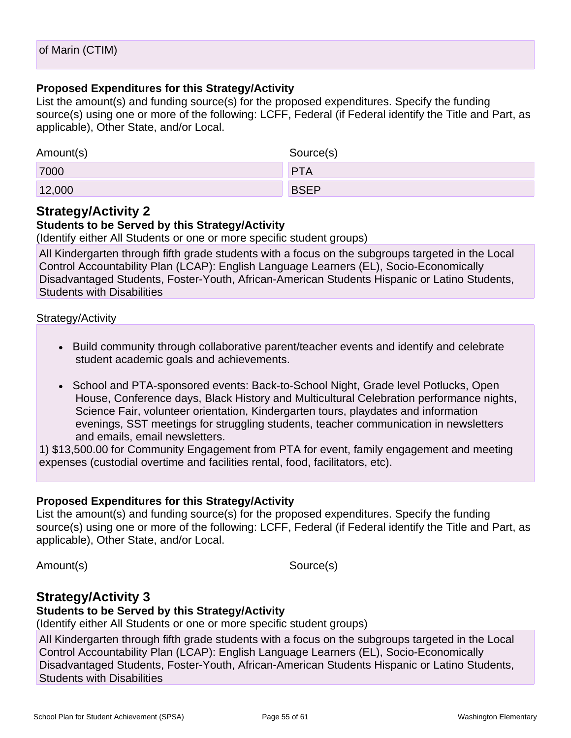### **Proposed Expenditures for this Strategy/Activity**

List the amount(s) and funding source(s) for the proposed expenditures. Specify the funding source(s) using one or more of the following: LCFF, Federal (if Federal identify the Title and Part, as applicable), Other State, and/or Local.

| Amount(s) | Source(s)   |
|-----------|-------------|
| 7000      | <b>PTA</b>  |
| 12,000    | <b>BSEP</b> |

## **Strategy/Activity 2**

### **Students to be Served by this Strategy/Activity**

(Identify either All Students or one or more specific student groups)

All Kindergarten through fifth grade students with a focus on the subgroups targeted in the Local Control Accountability Plan (LCAP): English Language Learners (EL), Socio-Economically Disadvantaged Students, Foster-Youth, African-American Students Hispanic or Latino Students, Students with Disabilities

### Strategy/Activity

- Build community through collaborative parent/teacher events and identify and celebrate student academic goals and achievements.
- School and PTA-sponsored events: Back-to-School Night, Grade level Potlucks, Open House, Conference days, Black History and Multicultural Celebration performance nights, Science Fair, volunteer orientation, Kindergarten tours, playdates and information evenings, SST meetings for struggling students, teacher communication in newsletters and emails, email newsletters.

1) \$13,500.00 for Community Engagement from PTA for event, family engagement and meeting expenses (custodial overtime and facilities rental, food, facilitators, etc).

### **Proposed Expenditures for this Strategy/Activity**

List the amount(s) and funding source(s) for the proposed expenditures. Specify the funding source(s) using one or more of the following: LCFF, Federal (if Federal identify the Title and Part, as applicable), Other State, and/or Local.

Amount(s) Source(s)

## **Strategy/Activity 3**

### **Students to be Served by this Strategy/Activity**

(Identify either All Students or one or more specific student groups)

All Kindergarten through fifth grade students with a focus on the subgroups targeted in the Local Control Accountability Plan (LCAP): English Language Learners (EL), Socio-Economically Disadvantaged Students, Foster-Youth, African-American Students Hispanic or Latino Students, Students with Disabilities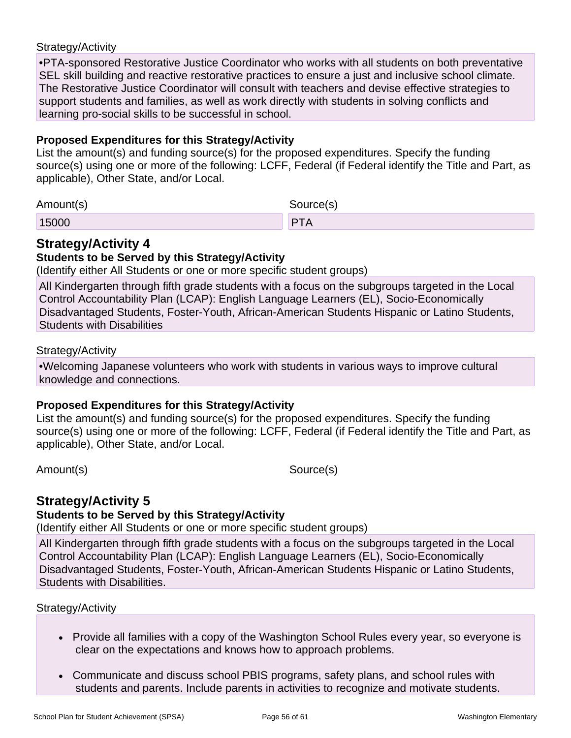### Strategy/Activity

•PTA-sponsored Restorative Justice Coordinator who works with all students on both preventative SEL skill building and reactive restorative practices to ensure a just and inclusive school climate. The Restorative Justice Coordinator will consult with teachers and devise effective strategies to support students and families, as well as work directly with students in solving conflicts and learning pro-social skills to be successful in school.

### **Proposed Expenditures for this Strategy/Activity**

List the amount(s) and funding source(s) for the proposed expenditures. Specify the funding source(s) using one or more of the following: LCFF, Federal (if Federal identify the Title and Part, as applicable), Other State, and/or Local.

| Amount(s) | Source(s) |  |  |  |  |  |  |
|-----------|-----------|--|--|--|--|--|--|
| 15000     | DT.<br>-  |  |  |  |  |  |  |

## **Strategy/Activity 4**

### **Students to be Served by this Strategy/Activity**

(Identify either All Students or one or more specific student groups)

All Kindergarten through fifth grade students with a focus on the subgroups targeted in the Local Control Accountability Plan (LCAP): English Language Learners (EL), Socio-Economically Disadvantaged Students, Foster-Youth, African-American Students Hispanic or Latino Students, Students with Disabilities

#### Strategy/Activity

•Welcoming Japanese volunteers who work with students in various ways to improve cultural knowledge and connections.

### **Proposed Expenditures for this Strategy/Activity**

List the amount(s) and funding source(s) for the proposed expenditures. Specify the funding source(s) using one or more of the following: LCFF, Federal (if Federal identify the Title and Part, as applicable), Other State, and/or Local.

Amount(s) Source(s)

## **Strategy/Activity 5**

### **Students to be Served by this Strategy/Activity**

(Identify either All Students or one or more specific student groups)

All Kindergarten through fifth grade students with a focus on the subgroups targeted in the Local Control Accountability Plan (LCAP): English Language Learners (EL), Socio-Economically Disadvantaged Students, Foster-Youth, African-American Students Hispanic or Latino Students, Students with Disabilities.

#### Strategy/Activity

- Provide all families with a copy of the Washington School Rules every year, so everyone is clear on the expectations and knows how to approach problems.
- Communicate and discuss school PBIS programs, safety plans, and school rules with students and parents. Include parents in activities to recognize and motivate students.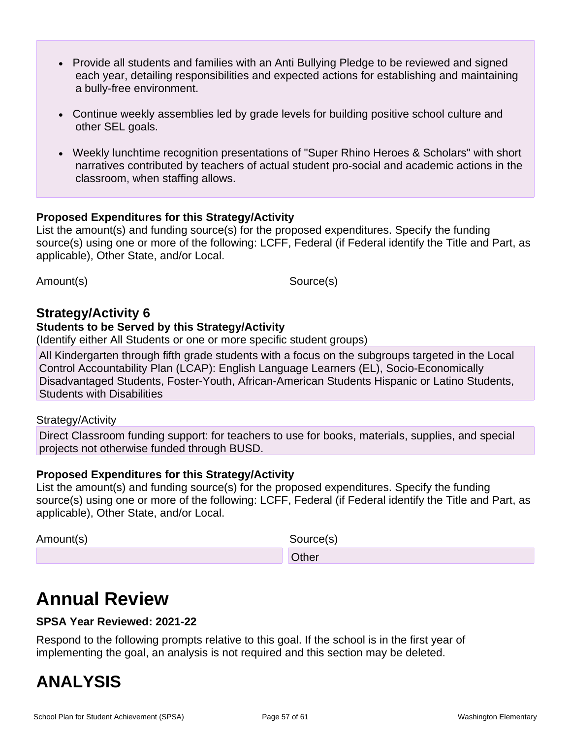- Provide all students and families with an Anti Bullying Pledge to be reviewed and signed each year, detailing responsibilities and expected actions for establishing and maintaining a bully-free environment.
- Continue weekly assemblies led by grade levels for building positive school culture and other SEL goals.
- Weekly lunchtime recognition presentations of "Super Rhino Heroes & Scholars" with short narratives contributed by teachers of actual student pro-social and academic actions in the classroom, when staffing allows.

### **Proposed Expenditures for this Strategy/Activity**

List the amount(s) and funding source(s) for the proposed expenditures. Specify the funding source(s) using one or more of the following: LCFF, Federal (if Federal identify the Title and Part, as applicable), Other State, and/or Local.

Amount(s) Source(s)

### **Strategy/Activity 6**

#### **Students to be Served by this Strategy/Activity**

(Identify either All Students or one or more specific student groups)

All Kindergarten through fifth grade students with a focus on the subgroups targeted in the Local Control Accountability Plan (LCAP): English Language Learners (EL), Socio-Economically Disadvantaged Students, Foster-Youth, African-American Students Hispanic or Latino Students, Students with Disabilities

#### Strategy/Activity

Direct Classroom funding support: for teachers to use for books, materials, supplies, and special projects not otherwise funded through BUSD.

#### **Proposed Expenditures for this Strategy/Activity**

List the amount(s) and funding source(s) for the proposed expenditures. Specify the funding source(s) using one or more of the following: LCFF, Federal (if Federal identify the Title and Part, as applicable), Other State, and/or Local.

Amount(s) Source(s)

**Other Street (2008)** Contract (2008) 2012 2013 2014

# **Annual Review**

### **SPSA Year Reviewed: 2021-22**

Respond to the following prompts relative to this goal. If the school is in the first year of implementing the goal, an analysis is not required and this section may be deleted.

# **ANALYSIS**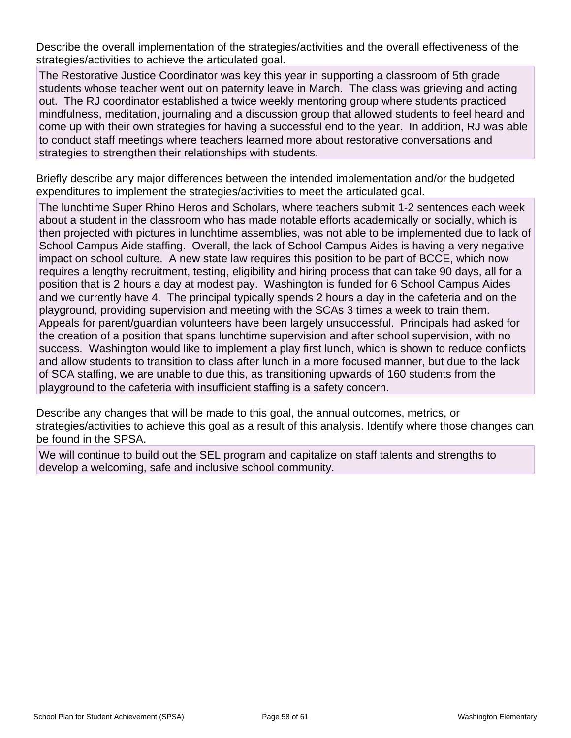Describe the overall implementation of the strategies/activities and the overall effectiveness of the strategies/activities to achieve the articulated goal.

The Restorative Justice Coordinator was key this year in supporting a classroom of 5th grade students whose teacher went out on paternity leave in March. The class was grieving and acting out. The RJ coordinator established a twice weekly mentoring group where students practiced mindfulness, meditation, journaling and a discussion group that allowed students to feel heard and come up with their own strategies for having a successful end to the year. In addition, RJ was able to conduct staff meetings where teachers learned more about restorative conversations and strategies to strengthen their relationships with students.

Briefly describe any major differences between the intended implementation and/or the budgeted expenditures to implement the strategies/activities to meet the articulated goal.

The lunchtime Super Rhino Heros and Scholars, where teachers submit 1-2 sentences each week about a student in the classroom who has made notable efforts academically or socially, which is then projected with pictures in lunchtime assemblies, was not able to be implemented due to lack of School Campus Aide staffing. Overall, the lack of School Campus Aides is having a very negative impact on school culture. A new state law requires this position to be part of BCCE, which now requires a lengthy recruitment, testing, eligibility and hiring process that can take 90 days, all for a position that is 2 hours a day at modest pay. Washington is funded for 6 School Campus Aides and we currently have 4. The principal typically spends 2 hours a day in the cafeteria and on the playground, providing supervision and meeting with the SCAs 3 times a week to train them. Appeals for parent/guardian volunteers have been largely unsuccessful. Principals had asked for the creation of a position that spans lunchtime supervision and after school supervision, with no success. Washington would like to implement a play first lunch, which is shown to reduce conflicts and allow students to transition to class after lunch in a more focused manner, but due to the lack of SCA staffing, we are unable to due this, as transitioning upwards of 160 students from the playground to the cafeteria with insufficient staffing is a safety concern.

Describe any changes that will be made to this goal, the annual outcomes, metrics, or strategies/activities to achieve this goal as a result of this analysis. Identify where those changes can be found in the SPSA.

We will continue to build out the SEL program and capitalize on staff talents and strengths to develop a welcoming, safe and inclusive school community.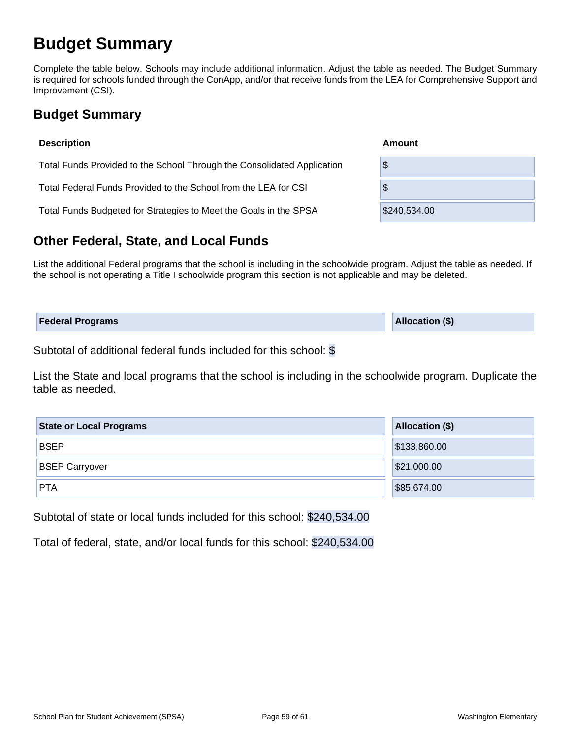# **Budget Summary**

Complete the table below. Schools may include additional information. Adjust the table as needed. The Budget Summary is required for schools funded through the ConApp, and/or that receive funds from the LEA for Comprehensive Support and Improvement (CSI).

## **Budget Summary**

| <b>Description</b>                                                      | Amount       |
|-------------------------------------------------------------------------|--------------|
| Total Funds Provided to the School Through the Consolidated Application | \$           |
| Total Federal Funds Provided to the School from the LEA for CSI         | \$           |
| Total Funds Budgeted for Strategies to Meet the Goals in the SPSA       | \$240,534.00 |

## **Other Federal, State, and Local Funds**

List the additional Federal programs that the school is including in the schoolwide program. Adjust the table as needed. If the school is not operating a Title I schoolwide program this section is not applicable and may be deleted.

| <b>Federal Programs</b> | Allocation (\$) |
|-------------------------|-----------------|
|                         |                 |

Subtotal of additional federal funds included for this school: \$

List the State and local programs that the school is including in the schoolwide program. Duplicate the table as needed.

| <b>State or Local Programs</b> | <b>Allocation (\$)</b> |  |  |  |
|--------------------------------|------------------------|--|--|--|
| <b>BSEP</b>                    | \$133,860.00           |  |  |  |
| <b>BSEP Carryover</b>          | \$21,000.00            |  |  |  |
| <b>PTA</b>                     | \$85,674.00            |  |  |  |

Subtotal of state or local funds included for this school: \$240,534.00

Total of federal, state, and/or local funds for this school: \$240,534.00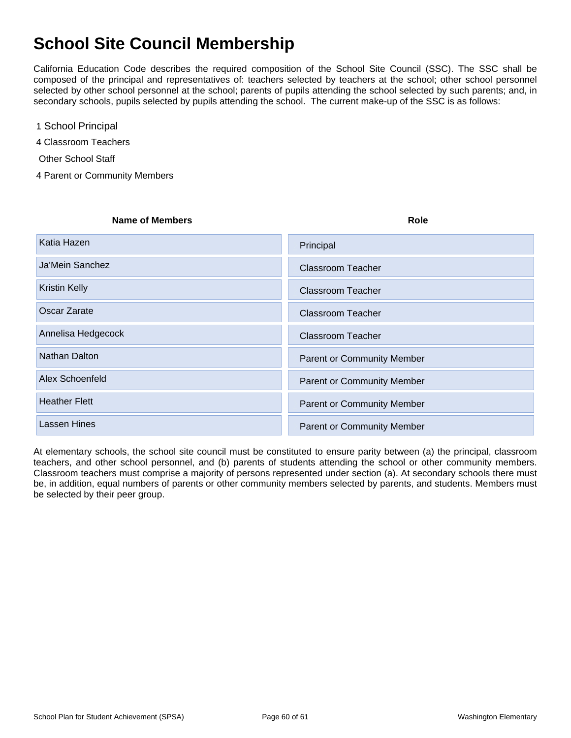# **School Site Council Membership**

California Education Code describes the required composition of the School Site Council (SSC). The SSC shall be composed of the principal and representatives of: teachers selected by teachers at the school; other school personnel selected by other school personnel at the school; parents of pupils attending the school selected by such parents; and, in secondary schools, pupils selected by pupils attending the school. The current make-up of the SSC is as follows:

1 School Principal

4 Classroom Teachers

- Other School Staff
- 4 Parent or Community Members

#### **Name of Members Role**

| Katia Hazen          | Principal                         |
|----------------------|-----------------------------------|
| Ja'Mein Sanchez      | <b>Classroom Teacher</b>          |
| <b>Kristin Kelly</b> | <b>Classroom Teacher</b>          |
| Oscar Zarate         | <b>Classroom Teacher</b>          |
| Annelisa Hedgecock   | <b>Classroom Teacher</b>          |
| Nathan Dalton        | <b>Parent or Community Member</b> |
| Alex Schoenfeld      | <b>Parent or Community Member</b> |
| <b>Heather Flett</b> | <b>Parent or Community Member</b> |
| <b>Lassen Hines</b>  | <b>Parent or Community Member</b> |

At elementary schools, the school site council must be constituted to ensure parity between (a) the principal, classroom teachers, and other school personnel, and (b) parents of students attending the school or other community members. Classroom teachers must comprise a majority of persons represented under section (a). At secondary schools there must be, in addition, equal numbers of parents or other community members selected by parents, and students. Members must be selected by their peer group.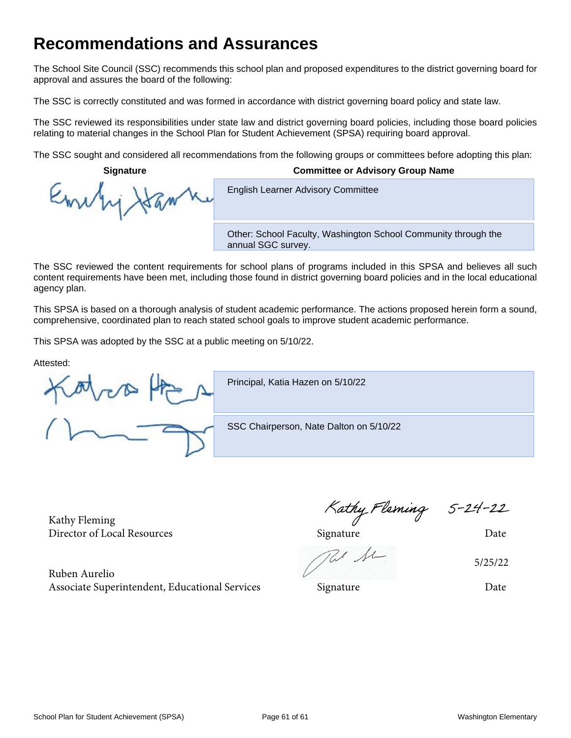# **Recommendations and Assurances**

The School Site Council (SSC) recommends this school plan and proposed expenditures to the district governing board for approval and assures the board of the following:

The SSC is correctly constituted and was formed in accordance with district governing board policy and state law.

The SSC reviewed its responsibilities under state law and district governing board policies, including those board policies relating to material changes in the School Plan for Student Achievement (SPSA) requiring board approval.

The SSC sought and considered all recommendations from the following groups or committees before adopting this plan:

**English Learner Advisory Committee** 

Emb

**Signature Committee or Advisory Group Name**

Other: School Faculty, Washington School Community through the annual SGC survey.

The SSC reviewed the content requirements for school plans of programs included in this SPSA and believes all such content requirements have been met, including those found in district governing board policies and in the local educational agency plan.

This SPSA is based on a thorough analysis of student academic performance. The actions proposed herein form a sound, comprehensive, coordinated plan to reach stated school goals to improve student academic performance.

This SPSA was adopted by the SSC at a public meeting on 5/10/22.

Attested:

Principal, Katia Hazen on 5/10/22

SSC Chairperson, Nate Dalton on 5/10/22

Kathy Fleming

Ruben Aurelio Associate Superintendent, Educational Services Signature Signature Date

Kathy Fleming 5-24-22<br>Director of Local Resources Signature Director of Local Resources

5/25/22